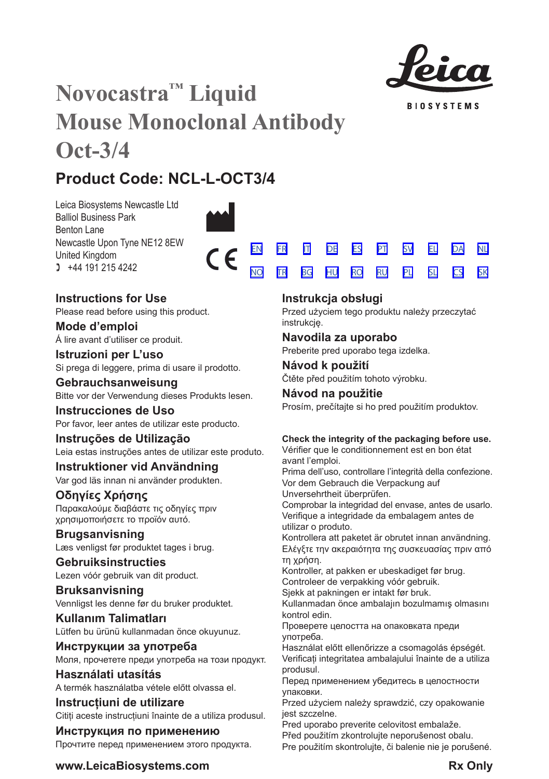

**BIOSYSTEMS** 

[SV](#page-20-0) [EL](#page-23-0) [DA](#page-26-0) [PL](#page-50-0) [SL](#page-53-0) [CS](#page-56-0)

[NL](#page-29-0)

[SK](#page-59-0)

# **Novocastra™ Liquid Mouse Monoclonal Antibody Oct-3/4**

# **Product Code: NCL-L-OCT3/4**

Leica Biosystems Newcastle Ltd Balliol Business Park Benton Lane Newcastle Upon Tyne NE12 8EW United Kingdom  $1 +44 191 215 4242$ 



## **Instructions for Use**

Please read before using this product.

**Mode d'emploi** Á lire avant d'utiliser ce produit.

**Istruzioni per L'uso** Si prega di leggere, prima di usare il prodotto.

**Gebrauchsanweisung** Bitte vor der Verwendung dieses Produkts lesen.

**Instrucciones de Uso** Por favor, leer antes de utilizar este producto.

## **Instruções de Utilização**

Leia estas instruções antes de utilizar este produto.

# **Instruktioner vid Användning**

Var god läs innan ni använder produkten.

## **Οδηγίες Χρήσης**

Παρακαλούμε διαβάστε τις οδηγίες πριν χρησιμοποιήσετε το προϊόν αυτό.

## **Brugsanvisning**

Læs venligst før produktet tages i brug.

## **Gebruiksinstructies**

Lezen vóór gebruik van dit product.

## **Bruksanvisning** Vennligst les denne før du bruker produktet.

**Kullanım Talimatları** Lütfen bu ürünü kullanmadan önce okuyunuz.

**Инструкции за употреба** Моля, прочетете преди употреба на този продукт.

## **Használati utasítás** A termék használatba vétele előtt olvassa el.

**Instrucțiuni de utilizare** Cititi aceste instructiuni înainte de a utiliza produsul.

## **Инструкция по применению** Прочтите перед применением этого продукта.

## **Instrukcja obsługi**

<u>[NO](#page-32-0) [TR](#page-35-0) [BG](#page-38-0) [HU](#page-41-0) [RO](#page-44-0) [RU](#page-47-0)</u>

Przed użyciem tego produktu należy przeczytać instrukcję.

## **Navodila za uporabo**

Preberite pred uporabo tega izdelka.

## **Návod k použití** Čtěte před použitím tohoto výrobku.

## **Návod na použitie**

Prosím, prečítajte si ho pred použitím produktov.

## **Check the integrity of the packaging before use.**

Vérifier que le conditionnement est en bon état avant l'emploi.

Prima dell'uso, controllare l'integrità della confezione. Vor dem Gebrauch die Verpackung auf

Unversehrtheit überprüfen.

Comprobar la integridad del envase, antes de usarlo. Verifique a integridade da embalagem antes de utilizar o produto.

Kontrollera att paketet är obrutet innan användning. Ελέγξτε την ακεραιότητα της συσκευασίας πριν από τη χρήση.

Kontroller, at pakken er ubeskadiget før brug. Controleer de verpakking vóór gebruik.

Sjekk at pakningen er intakt før bruk.

Kullanmadan önce ambalajın bozulmamış olmasını kontrol edin.

Проверете целостта на опаковката преди употреба.

Használat előtt ellenőrizze a csomagolás épségét. Verificați integritatea ambalajului înainte de a utiliza produsul.

Перед применением убедитесь в целостности упаковки.

Przed użyciem należy sprawdzić, czy opakowanie jest szczelne.

Pred uporabo preverite celovitost embalaže.

Před použitím zkontrolujte neporušenost obalu. Pre použitím skontrolujte, či balenie nie je porušené.

**www.LeicaBiosystems.com Rx** Only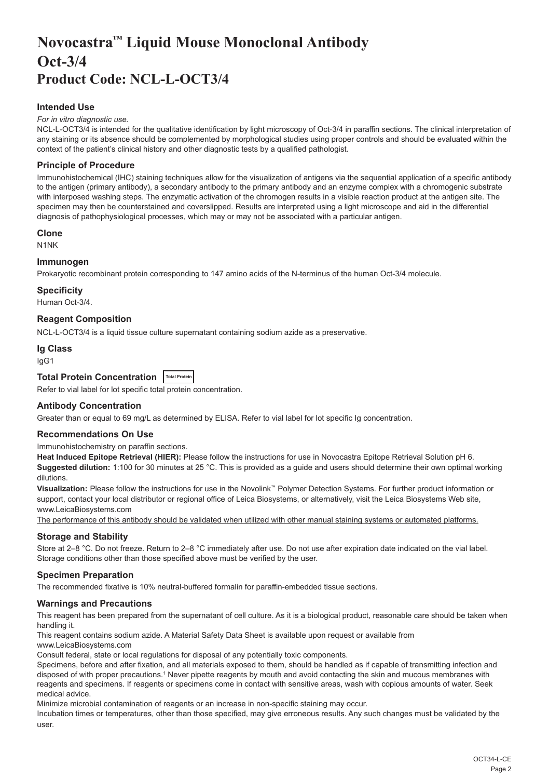# <span id="page-2-0"></span>**Novocastra™ Liquid Mouse Monoclonal Antibody Oct-3/4 Product Code: NCL-L-OCT3/4**

## **Intended Use**

#### *For in vitro diagnostic use.*

NCL-L-OCT3/4 is intended for the qualitative identification by light microscopy of Oct-3/4 in paraffin sections. The clinical interpretation of any staining or its absence should be complemented by morphological studies using proper controls and should be evaluated within the context of the patient's clinical history and other diagnostic tests by a qualified pathologist.

#### **Principle of Procedure**

Immunohistochemical (IHC) staining techniques allow for the visualization of antigens via the sequential application of a specific antibody to the antigen (primary antibody), a secondary antibody to the primary antibody and an enzyme complex with a chromogenic substrate with interposed washing steps. The enzymatic activation of the chromogen results in a visible reaction product at the antigen site. The specimen may then be counterstained and coverslipped. Results are interpreted using a light microscope and aid in the differential diagnosis of pathophysiological processes, which may or may not be associated with a particular antigen.

#### **Clone**

N1NK

#### **Immunogen**

Prokaryotic recombinant protein corresponding to 147 amino acids of the N-terminus of the human Oct-3/4 molecule.

## **Specificity**

Human Oct-3/4.

#### **Reagent Composition**

NCL-L-OCT3/4 is a liquid tissue culture supernatant containing sodium azide as a preservative.

#### **Ig Class**

IgG1

## **Total Protein Concentration Total Protein**

Refer to vial label for lot specific total protein concentration.

## **Antibody Concentration**

Greater than or equal to 69 mg/L as determined by ELISA. Refer to vial label for lot specific Ig concentration.

#### **Recommendations On Use**

Immunohistochemistry on paraffin sections.

**Heat Induced Epitope Retrieval (HIER):** Please follow the instructions for use in Novocastra Epitope Retrieval Solution pH 6. **Suggested dilution:** 1:100 for 30 minutes at 25 °C. This is provided as a guide and users should determine their own optimal working dilutions.

**Visualization:** Please follow the instructions for use in the Novolink™ Polymer Detection Systems. For further product information or support, contact your local distributor or regional office of Leica Biosystems, or alternatively, visit the Leica Biosystems Web site, www.LeicaBiosystems.com

The performance of this antibody should be validated when utilized with other manual staining systems or automated platforms.

#### **Storage and Stability**

Store at 2–8 °C. Do not freeze. Return to 2–8 °C immediately after use. Do not use after expiration date indicated on the vial label. Storage conditions other than those specified above must be verified by the user.

#### **Specimen Preparation**

The recommended fixative is 10% neutral-buffered formalin for paraffin-embedded tissue sections.

#### **Warnings and Precautions**

This reagent has been prepared from the supernatant of cell culture. As it is a biological product, reasonable care should be taken when handling it.

This reagent contains sodium azide. A Material Safety Data Sheet is available upon request or available from

www.LeicaBiosystems.com

Consult federal, state or local regulations for disposal of any potentially toxic components.

Specimens, before and after fixation, and all materials exposed to them, should be handled as if capable of transmitting infection and disposed of with proper precautions.1 Never pipette reagents by mouth and avoid contacting the skin and mucous membranes with reagents and specimens. If reagents or specimens come in contact with sensitive areas, wash with copious amounts of water. Seek medical advice.

Minimize microbial contamination of reagents or an increase in non-specific staining may occur.

Incubation times or temperatures, other than those specified, may give erroneous results. Any such changes must be validated by the user.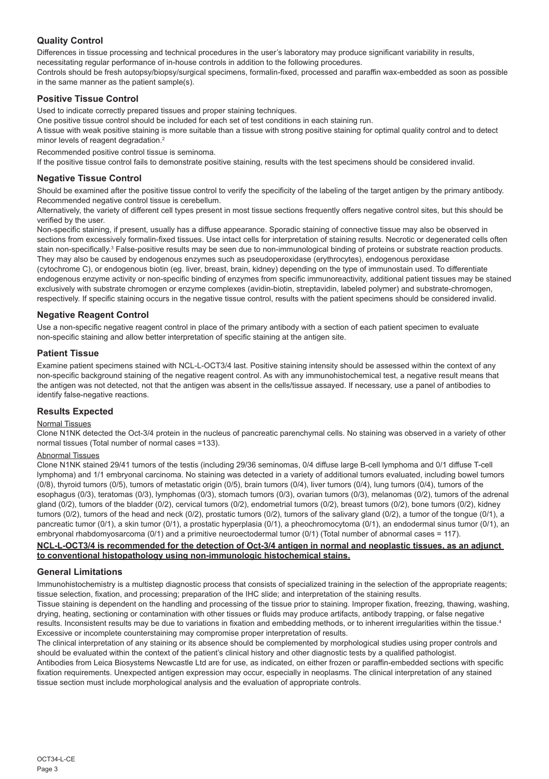## **Quality Control**

Differences in tissue processing and technical procedures in the user's laboratory may produce significant variability in results, necessitating regular performance of in-house controls in addition to the following procedures.

Controls should be fresh autopsy/biopsy/surgical specimens, formalin-fixed, processed and paraffin wax-embedded as soon as possible in the same manner as the patient sample(s).

## **Positive Tissue Control**

Used to indicate correctly prepared tissues and proper staining techniques.

One positive tissue control should be included for each set of test conditions in each staining run.

A tissue with weak positive staining is more suitable than a tissue with strong positive staining for optimal quality control and to detect minor levels of reagent degradation.<sup>2</sup>

Recommended positive control tissue is seminoma.

If the positive tissue control fails to demonstrate positive staining, results with the test specimens should be considered invalid.

#### **Negative Tissue Control**

Should be examined after the positive tissue control to verify the specificity of the labeling of the target antigen by the primary antibody. Recommended negative control tissue is cerebellum.

Alternatively, the variety of different cell types present in most tissue sections frequently offers negative control sites, but this should be verified by the user.

Non-specific staining, if present, usually has a diffuse appearance. Sporadic staining of connective tissue may also be observed in sections from excessively formalin-fixed tissues. Use intact cells for interpretation of staining results. Necrotic or degenerated cells often stain non-specifically.<sup>3</sup> False-positive results may be seen due to non-immunological binding of proteins or substrate reaction products. They may also be caused by endogenous enzymes such as pseudoperoxidase (erythrocytes), endogenous peroxidase

(cytochrome C), or endogenous biotin (eg. liver, breast, brain, kidney) depending on the type of immunostain used. To differentiate endogenous enzyme activity or non-specific binding of enzymes from specific immunoreactivity, additional patient tissues may be stained exclusively with substrate chromogen or enzyme complexes (avidin-biotin, streptavidin, labeled polymer) and substrate-chromogen, respectively. If specific staining occurs in the negative tissue control, results with the patient specimens should be considered invalid.

## **Negative Reagent Control**

Use a non-specific negative reagent control in place of the primary antibody with a section of each patient specimen to evaluate non-specific staining and allow better interpretation of specific staining at the antigen site.

#### **Patient Tissue**

Examine patient specimens stained with NCL-L-OCT3/4 last. Positive staining intensity should be assessed within the context of any non-specific background staining of the negative reagent control. As with any immunohistochemical test, a negative result means that the antigen was not detected, not that the antigen was absent in the cells/tissue assayed. If necessary, use a panel of antibodies to identify false-negative reactions.

## **Results Expected**

### Normal Tissues

Clone N1NK detected the Oct-3/4 protein in the nucleus of pancreatic parenchymal cells. No staining was observed in a variety of other normal tissues (Total number of normal cases =133).

#### Abnormal Tissues

Clone N1NK stained 29/41 tumors of the testis (including 29/36 seminomas, 0/4 diffuse large B-cell lymphoma and 0/1 diffuse T-cell lymphoma) and 1/1 embryonal carcinoma. No staining was detected in a variety of additional tumors evaluated, including bowel tumors (0/8), thyroid tumors (0/5), tumors of metastatic origin (0/5), brain tumors (0/4), liver tumors (0/4), lung tumors (0/4), tumors of the esophagus (0/3), teratomas (0/3), lymphomas (0/3), stomach tumors (0/3), ovarian tumors (0/3), melanomas (0/2), tumors of the adrenal gland (0/2), tumors of the bladder (0/2), cervical tumors (0/2), endometrial tumors (0/2), breast tumors (0/2), bone tumors (0/2), kidney tumors (0/2), tumors of the head and neck (0/2), prostatic tumors (0/2), tumors of the salivary gland (0/2), a tumor of the tongue (0/1), a pancreatic tumor (0/1), a skin tumor (0/1), a prostatic hyperplasia (0/1), a pheochromocytoma (0/1), an endodermal sinus tumor (0/1), an embryonal rhabdomyosarcoma (0/1) and a primitive neuroectodermal tumor (0/1) (Total number of abnormal cases = 117).

#### **NCL-L-OCT3/4 is recommended for the detection of Oct-3/4 antigen in normal and neoplastic tissues, as an adjunct to conventional histopathology using non-immunologic histochemical stains.**

## **General Limitations**

Immunohistochemistry is a multistep diagnostic process that consists of specialized training in the selection of the appropriate reagents; tissue selection, fixation, and processing; preparation of the IHC slide; and interpretation of the staining results.

Tissue staining is dependent on the handling and processing of the tissue prior to staining. Improper fixation, freezing, thawing, washing, drying, heating, sectioning or contamination with other tissues or fluids may produce artifacts, antibody trapping, or false negative results. Inconsistent results may be due to variations in fixation and embedding methods, or to inherent irregularities within the tissue.<sup>4</sup> Excessive or incomplete counterstaining may compromise proper interpretation of results.

The clinical interpretation of any staining or its absence should be complemented by morphological studies using proper controls and should be evaluated within the context of the patient's clinical history and other diagnostic tests by a qualified pathologist.

Antibodies from Leica Biosystems Newcastle Ltd are for use, as indicated, on either frozen or paraffin-embedded sections with specific fixation requirements. Unexpected antigen expression may occur, especially in neoplasms. The clinical interpretation of any stained tissue section must include morphological analysis and the evaluation of appropriate controls.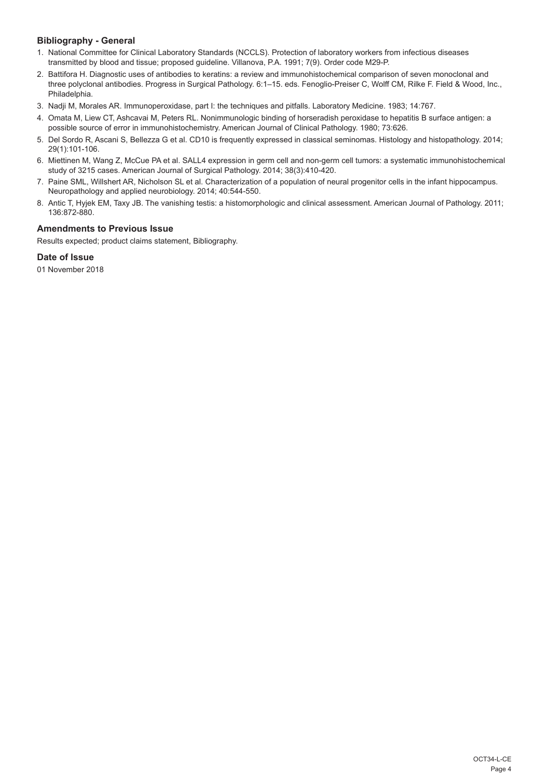## **Bibliography - General**

- 1. National Committee for Clinical Laboratory Standards (NCCLS). Protection of laboratory workers from infectious diseases transmitted by blood and tissue; proposed guideline. Villanova, P.A. 1991; 7(9). Order code M29-P.
- 2. Battifora H. Diagnostic uses of antibodies to keratins: a review and immunohistochemical comparison of seven monoclonal and three polyclonal antibodies. Progress in Surgical Pathology. 6:1–15. eds. Fenoglio-Preiser C, Wolff CM, Rilke F. Field & Wood, Inc., Philadelphia.
- 3. Nadji M, Morales AR. Immunoperoxidase, part I: the techniques and pitfalls. Laboratory Medicine. 1983; 14:767.
- 4. Omata M, Liew CT, Ashcavai M, Peters RL. Nonimmunologic binding of horseradish peroxidase to hepatitis B surface antigen: a possible source of error in immunohistochemistry. American Journal of Clinical Pathology. 1980; 73:626.
- 5. Del Sordo R, Ascani S, Bellezza G et al. CD10 is frequently expressed in classical seminomas. Histology and histopathology. 2014; 29(1):101-106.
- 6. Miettinen M, Wang Z, McCue PA et al. SALL4 expression in germ cell and non-germ cell tumors: a systematic immunohistochemical study of 3215 cases. American Journal of Surgical Pathology. 2014; 38(3):410-420.
- 7. Paine SML, Willshert AR, Nicholson SL et al. Characterization of a population of neural progenitor cells in the infant hippocampus. Neuropathology and applied neurobiology. 2014; 40:544-550.
- 8. Antic T, Hyjek EM, Taxy JB. The vanishing testis: a histomorphologic and clinical assessment. American Journal of Pathology. 2011; 136:872-880.

## **Amendments to Previous Issue**

Results expected; product claims statement, Bibliography.

## **Date of Issue**

01 November 2018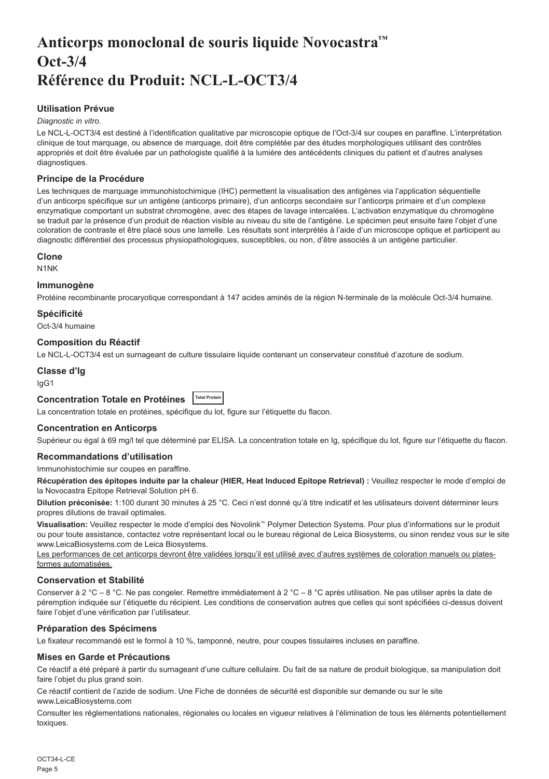# <span id="page-5-0"></span>**Anticorps monoclonal de souris liquide Novocastra™ Oct-3/4 Référence du Produit: NCL-L-OCT3/4**

## **Utilisation Prévue**

#### *Diagnostic in vitro*.

Le NCL-L-OCT3/4 est destiné à l'identification qualitative par microscopie optique de l'Oct-3/4 sur coupes en paraffine. L'interprétation clinique de tout marquage, ou absence de marquage, doit être complétée par des études morphologiques utilisant des contrôles appropriés et doit être évaluée par un pathologiste qualifié à la lumière des antécédents cliniques du patient et d'autres analyses diagnostiques.

## **Principe de la Procédure**

Les techniques de marquage immunohistochimique (IHC) permettent la visualisation des antigènes via l'application séquentielle d'un anticorps spécifique sur un antigène (anticorps primaire), d'un anticorps secondaire sur l'anticorps primaire et d'un complexe enzymatique comportant un substrat chromogène, avec des étapes de lavage intercalées. L'activation enzymatique du chromogène se traduit par la présence d'un produit de réaction visible au niveau du site de l'antigène. Le spécimen peut ensuite faire l'objet d'une coloration de contraste et être placé sous une lamelle. Les résultats sont interprétés à l'aide d'un microscope optique et participent au diagnostic différentiel des processus physiopathologiques, susceptibles, ou non, d'être associés à un antigène particulier.

#### **Clone**

N1NK

#### **Immunogène**

Protéine recombinante procaryotique correspondant à 147 acides aminés de la région N-terminale de la molécule Oct-3/4 humaine.

#### **Spécificité**

Oct-3/4 humaine

## **Composition du Réactif**

Le NCL-L-OCT3/4 est un surnageant de culture tissulaire liquide contenant un conservateur constitué d'azoture de sodium.

## **Classe d'Ig**

IgG1

## **Concentration Totale en Protéines Total Protein**

La concentration totale en protéines, spécifique du lot, figure sur l'étiquette du flacon.

#### **Concentration en Anticorps**

Supérieur ou égal à 69 mg/l tel que déterminé par ELISA. La concentration totale en Ig, spécifique du lot, figure sur l'étiquette du flacon.

#### **Recommandations d'utilisation**

Immunohistochimie sur coupes en paraffine.

**Récupération des épitopes induite par la chaleur (HIER, Heat Induced Epitope Retrieval) :** Veuillez respecter le mode d'emploi de la Novocastra Epitope Retrieval Solution pH 6.

**Dilution préconisée:** 1:100 durant 30 minutes à 25 °C. Ceci n'est donné qu'à titre indicatif et les utilisateurs doivent déterminer leurs propres dilutions de travail optimales.

**Visualisation:** Veuillez respecter le mode d'emploi des Novolink™ Polymer Detection Systems. Pour plus d'informations sur le produit ou pour toute assistance, contactez votre représentant local ou le bureau régional de Leica Biosystems, ou sinon rendez vous sur le site www.LeicaBiosystems.com de Leica Biosystems.

Les performances de cet anticorps devront être validées lorsqu'il est utilisé avec d'autres systèmes de coloration manuels ou platesformes automatisées.

#### **Conservation et Stabilité**

Conserver à 2 °C – 8 °C. Ne pas congeler. Remettre immédiatement à 2 °C – 8 °C après utilisation. Ne pas utiliser après la date de péremption indiquée sur l'étiquette du récipient. Les conditions de conservation autres que celles qui sont spécifiées ci-dessus doivent faire l'objet d'une vérification par l'utilisateur.

#### **Préparation des Spécimens**

Le fixateur recommandé est le formol à 10 %, tamponné, neutre, pour coupes tissulaires incluses en paraffine.

#### **Mises en Garde et Précautions**

Ce réactif a été préparé à partir du surnageant d'une culture cellulaire. Du fait de sa nature de produit biologique, sa manipulation doit faire l'objet du plus grand soin.

Ce réactif contient de l'azide de sodium. Une Fiche de données de sécurité est disponible sur demande ou sur le site www.LeicaBiosystems.com

Consulter les réglementations nationales, régionales ou locales en vigueur relatives à l'élimination de tous les éléments potentiellement toxiques.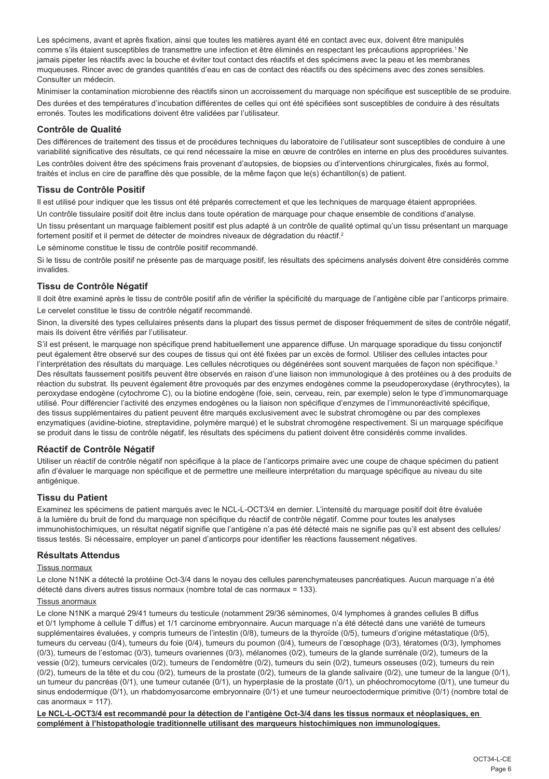Les spécimens, avant et après fixation, ainsi que toutes les matières ayant été en contact avec eux, doivent être manipulés comme s'ils étaient susceptibles de transmettre une infection et être éliminés en respectant les précautions appropriées.1 Ne jamais pipeter les réactifs avec la bouche et éviter tout contact des réactifs et des spécimens avec la peau et les membranes muqueuses. Rincer avec de grandes quantités d'eau en cas de contact des réactifs ou des spécimens avec des zones sensibles. Consulter un médecin.

Minimiser la contamination microbienne des réactifs sinon un accroissement du marquage non spécifique est susceptible de se produire. Des durées et des températures d'incubation différentes de celles qui ont été spécifiées sont susceptibles de conduire à des résultats erronés. Toutes les modifications doivent être validées par l'utilisateur.

#### **Contrôle de Qualité**

Des différences de traitement des tissus et de procédures techniques du laboratoire de l'utilisateur sont susceptibles de conduire à une variabilité significative des résultats, ce qui rend nécessaire la mise en œuvre de contrôles en interne en plus des procédures suivantes.

Les contrôles doivent être des spécimens frais provenant d'autopsies, de biopsies ou d'interventions chirurgicales, fixés au formol, traités et inclus en cire de paraffine dès que possible, de la même façon que le(s) échantillon(s) de patient.

#### **Tissu de Contrôle Positif**

Il est utilisé pour indiquer que les tissus ont été préparés correctement et que les techniques de marquage étaient appropriées.

Un contrôle tissulaire positif doit être inclus dans toute opération de marquage pour chaque ensemble de conditions d'analyse.

Un tissu présentant un marquage faiblement positif est plus adapté à un contrôle de qualité optimal qu'un tissu présentant un marquage fortement positif et il permet de détecter de moindres niveaux de dégradation du réactif.<sup>2</sup>

Le séminome constitue le tissu de contrôle positif recommandé.

Si le tissu de contrôle positif ne présente pas de marquage positif, les résultats des spécimens analysés doivent être considérés comme invalides.

#### **Tissu de Contrôle Négatif**

Il doit être examiné après le tissu de contrôle positif afin de vérifier la spécificité du marquage de l'antigène cible par l'anticorps primaire. Le cervelet constitue le tissu de contrôle négatif recommandé.

Sinon, la diversité des types cellulaires présents dans la plupart des tissus permet de disposer fréquemment de sites de contrôle négatif, mais ils doivent être vérifiés par l'utilisateur.

S'il est présent, le marquage non spécifique prend habituellement une apparence diffuse. Un marquage sporadique du tissu conjonctif peut également être observé sur des coupes de tissus qui ont été fixées par un excès de formol. Utiliser des cellules intactes pour l'interprétation des résultats du marquage. Les cellules nécrotiques ou dégénérées sont souvent marquées de façon non spécifique.<sup>3</sup> Des résultats faussement positifs peuvent être observés en raison d'une liaison non immunologique à des protéines ou à des produits de réaction du substrat. Ils peuvent également être provoqués par des enzymes endogènes comme la pseudoperoxydase (érythrocytes), la peroxydase endogène (cytochrome C), ou la biotine endogène (foie, sein, cerveau, rein, par exemple) selon le type d'immunomarquage utilisé. Pour différencier l'activité des enzymes endogènes ou la liaison non spécifique d'enzymes de l'immunoréactivité spécifique, des tissus supplémentaires du patient peuvent être marqués exclusivement avec le substrat chromogène ou par des complexes enzymatiques (avidine-biotine, streptavidine, polymère marqué) et le substrat chromogène respectivement. Si un marquage spécifique se produit dans le tissu de contrôle négatif, les résultats des spécimens du patient doivent être considérés comme invalides.

## **Réactif de Contrôle Négatif**

Utiliser un réactif de contrôle négatif non spécifique à la place de l'anticorps primaire avec une coupe de chaque spécimen du patient afin d'évaluer le marquage non spécifique et de permettre une meilleure interprétation du marquage spécifique au niveau du site antigénique.

## **Tissu du Patient**

Examinez les spécimens de patient marqués avec le NCL-L-OCT3/4 en dernier. L'intensité du marquage positif doit être évaluée à la lumière du bruit de fond du marquage non spécifique du réactif de contrôle négatif. Comme pour toutes les analyses immunohistochimiques, un résultat négatif signifie que l'antigène n'a pas été détecté mais ne signifie pas qu'il est absent des cellules/ tissus testés. Si nécessaire, employer un panel d'anticorps pour identifier les réactions faussement négatives.

#### **Résultats Attendus**

#### Tissus normaux

Le clone N1NK a détecté la protéine Oct-3/4 dans le noyau des cellules parenchymateuses pancréatiques. Aucun marquage n'a été détecté dans divers autres tissus normaux (nombre total de cas normaux = 133).

#### Tissus anormaux

Le clone N1NK a marqué 29/41 tumeurs du testicule (notamment 29/36 séminomes, 0/4 lymphomes à grandes cellules B diffus et 0/1 lymphome à cellule T diffus) et 1/1 carcinome embryonnaire. Aucun marquage n'a été détecté dans une variété de tumeurs supplémentaires évaluées, y compris tumeurs de l'intestin (0/8), tumeurs de la thyroïde (0/5), tumeurs d'origine métastatique (0/5), tumeurs du cerveau (0/4), tumeurs du foie (0/4), tumeurs du poumon (0/4), tumeurs de l'œsophage (0/3), tératomes (0/3), lymphomes (0/3), tumeurs de l'estomac (0/3), tumeurs ovariennes (0/3), mélanomes (0/2), tumeurs de la glande surrénale (0/2), tumeurs de la vessie (0/2), tumeurs cervicales (0/2), tumeurs de l'endomètre (0/2), tumeurs du sein (0/2), tumeurs osseuses (0/2), tumeurs du rein (0/2), tumeurs de la tête et du cou (0/2), tumeurs de la prostate (0/2), tumeurs de la glande salivaire (0/2), une tumeur de la langue (0/1), un tumeur du pancréas (0/1), une tumeur cutanée (0/1), un hyperplasie de la prostate (0/1), un phéochromocytome (0/1), une tumeur du sinus endodermique (0/1), un rhabdomyosarcome embryonnaire (0/1) et une tumeur neuroectodermique primitive (0/1) (nombre total de cas anormaux = 117).

**Le NCL-L-OCT3/4 est recommandé pour la détection de l'antigène Oct-3/4 dans les tissus normaux et néoplasiques, en complément à l'histopathologie traditionnelle utilisant des marqueurs histochimiques non immunologiques.**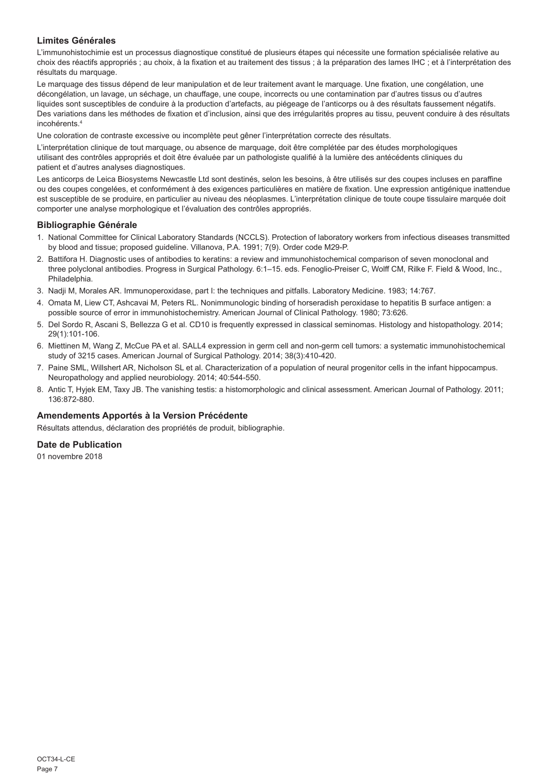## **Limites Générales**

L'immunohistochimie est un processus diagnostique constitué de plusieurs étapes qui nécessite une formation spécialisée relative au choix des réactifs appropriés ; au choix, à la fixation et au traitement des tissus ; à la préparation des lames IHC ; et à l'interprétation des résultats du marquage.

Le marquage des tissus dépend de leur manipulation et de leur traitement avant le marquage. Une fixation, une congélation, une décongélation, un lavage, un séchage, un chauffage, une coupe, incorrects ou une contamination par d'autres tissus ou d'autres liquides sont susceptibles de conduire à la production d'artefacts, au piégeage de l'anticorps ou à des résultats faussement négatifs. Des variations dans les méthodes de fixation et d'inclusion, ainsi que des irrégularités propres au tissu, peuvent conduire à des résultats incohérents.<sup>4</sup>

Une coloration de contraste excessive ou incomplète peut gêner l'interprétation correcte des résultats.

L'interprétation clinique de tout marquage, ou absence de marquage, doit être complétée par des études morphologiques utilisant des contrôles appropriés et doit être évaluée par un pathologiste qualifié à la lumière des antécédents cliniques du patient et d'autres analyses diagnostiques.

Les anticorps de Leica Biosystems Newcastle Ltd sont destinés, selon les besoins, à être utilisés sur des coupes incluses en paraffine ou des coupes congelées, et conformément à des exigences particulières en matière de fixation. Une expression antigénique inattendue est susceptible de se produire, en particulier au niveau des néoplasmes. L'interprétation clinique de toute coupe tissulaire marquée doit comporter une analyse morphologique et l'évaluation des contrôles appropriés.

#### **Bibliographie Générale**

- 1. National Committee for Clinical Laboratory Standards (NCCLS). Protection of laboratory workers from infectious diseases transmitted by blood and tissue; proposed guideline. Villanova, P.A. 1991; 7(9). Order code M29-P.
- 2. Battifora H. Diagnostic uses of antibodies to keratins: a review and immunohistochemical comparison of seven monoclonal and three polyclonal antibodies. Progress in Surgical Pathology. 6:1–15. eds. Fenoglio-Preiser C, Wolff CM, Rilke F. Field & Wood, Inc., Philadelphia.
- 3. Nadji M, Morales AR. Immunoperoxidase, part I: the techniques and pitfalls. Laboratory Medicine. 1983; 14:767.
- 4. Omata M, Liew CT, Ashcavai M, Peters RL. Nonimmunologic binding of horseradish peroxidase to hepatitis B surface antigen: a possible source of error in immunohistochemistry. American Journal of Clinical Pathology. 1980; 73:626.
- 5. Del Sordo R, Ascani S, Bellezza G et al. CD10 is frequently expressed in classical seminomas. Histology and histopathology. 2014; 29(1):101-106.
- 6. Miettinen M, Wang Z, McCue PA et al. SALL4 expression in germ cell and non-germ cell tumors: a systematic immunohistochemical study of 3215 cases. American Journal of Surgical Pathology. 2014; 38(3):410-420.
- 7. Paine SML, Willshert AR, Nicholson SL et al. Characterization of a population of neural progenitor cells in the infant hippocampus. Neuropathology and applied neurobiology. 2014; 40:544-550.
- 8. Antic T, Hyjek EM, Taxy JB. The vanishing testis: a histomorphologic and clinical assessment. American Journal of Pathology. 2011; 136:872-880.

## **Amendements Apportés à la Version Précédente**

Résultats attendus, déclaration des propriétés de produit, bibliographie.

## **Date de Publication**

01 novembre 2018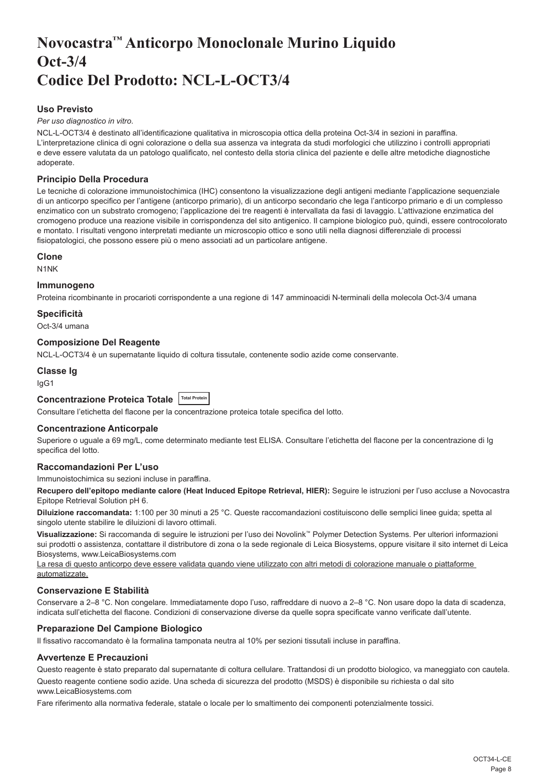# <span id="page-8-0"></span>**Novocastra™ Anticorpo Monoclonale Murino Liquido Oct-3/4 Codice Del Prodotto: NCL-L-OCT3/4**

## **Uso Previsto**

#### *Per uso diagnostico in vitro*.

NCL-L-OCT3/4 è destinato all'identificazione qualitativa in microscopia ottica della proteina Oct-3/4 in sezioni in paraffina. L'interpretazione clinica di ogni colorazione o della sua assenza va integrata da studi morfologici che utilizzino i controlli appropriati e deve essere valutata da un patologo qualificato, nel contesto della storia clinica del paziente e delle altre metodiche diagnostiche adoperate.

#### **Principio Della Procedura**

Le tecniche di colorazione immunoistochimica (IHC) consentono la visualizzazione degli antigeni mediante l'applicazione sequenziale di un anticorpo specifico per l'antigene (anticorpo primario), di un anticorpo secondario che lega l'anticorpo primario e di un complesso enzimatico con un substrato cromogeno; l'applicazione dei tre reagenti è intervallata da fasi di lavaggio. L'attivazione enzimatica del cromogeno produce una reazione visibile in corrispondenza del sito antigenico. Il campione biologico può, quindi, essere controcolorato e montato. I risultati vengono interpretati mediante un microscopio ottico e sono utili nella diagnosi differenziale di processi fisiopatologici, che possono essere più o meno associati ad un particolare antigene.

#### **Clone**

N1NK

#### **Immunogeno**

Proteina ricombinante in procarioti corrispondente a una regione di 147 amminoacidi N-terminali della molecola Oct-3/4 umana

#### **Specificità**

Oct-3/4 umana

#### **Composizione Del Reagente**

NCL-L-OCT3/4 è un supernatante liquido di coltura tissutale, contenente sodio azide come conservante.

## **Classe Ig**

IgG1

## **Concentrazione Proteica Totale Total Protein**

Consultare l'etichetta del flacone per la concentrazione proteica totale specifica del lotto.

#### **Concentrazione Anticorpale**

Superiore o uguale a 69 mg/L, come determinato mediante test ELISA. Consultare l'etichetta del flacone per la concentrazione di Ig specifica del lotto.

## **Raccomandazioni Per L'uso**

Immunoistochimica su sezioni incluse in paraffina.

**Recupero dell'epitopo mediante calore (Heat Induced Epitope Retrieval, HIER):** Seguire le istruzioni per l'uso accluse a Novocastra Epitope Retrieval Solution pH 6.

**Diluizione raccomandata:** 1:100 per 30 minuti a 25 °C. Queste raccomandazioni costituiscono delle semplici linee guida; spetta al singolo utente stabilire le diluizioni di lavoro ottimali.

**Visualizzazione:** Si raccomanda di seguire le istruzioni per l'uso dei Novolink™ Polymer Detection Systems. Per ulteriori informazioni sui prodotti o assistenza, contattare il distributore di zona o la sede regionale di Leica Biosystems, oppure visitare il sito internet di Leica Biosystems, www.LeicaBiosystems.com

La resa di questo anticorpo deve essere validata quando viene utilizzato con altri metodi di colorazione manuale o piattaforme automatizzate.

#### **Conservazione E Stabilità**

Conservare a 2–8 °C. Non congelare. Immediatamente dopo l'uso, raffreddare di nuovo a 2–8 °C. Non usare dopo la data di scadenza, indicata sull'etichetta del flacone. Condizioni di conservazione diverse da quelle sopra specificate vanno verificate dall'utente.

#### **Preparazione Del Campione Biologico**

Il fissativo raccomandato è la formalina tamponata neutra al 10% per sezioni tissutali incluse in paraffina.

#### **Avvertenze E Precauzioni**

Questo reagente è stato preparato dal supernatante di coltura cellulare. Trattandosi di un prodotto biologico, va maneggiato con cautela.

Questo reagente contiene sodio azide. Una scheda di sicurezza del prodotto (MSDS) è disponibile su richiesta o dal sito www.LeicaBiosystems.com

Fare riferimento alla normativa federale, statale o locale per lo smaltimento dei componenti potenzialmente tossici.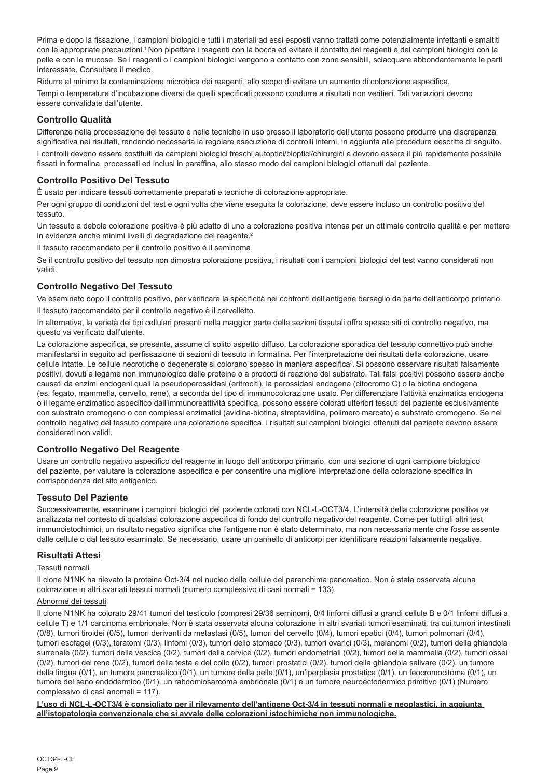Prima e dopo la fissazione, i campioni biologici e tutti i materiali ad essi esposti vanno trattati come potenzialmente infettanti e smaltiti con le appropriate precauzioni.<sup>1</sup> Non pipettare i reagenti con la bocca ed evitare il contatto dei reagenti e dei campioni biologici con la pelle e con le mucose. Se i reagenti o i campioni biologici vengono a contatto con zone sensibili, sciacquare abbondantemente le parti interessate. Consultare il medico.

Ridurre al minimo la contaminazione microbica dei reagenti, allo scopo di evitare un aumento di colorazione aspecifica. Tempi o temperature d'incubazione diversi da quelli specificati possono condurre a risultati non veritieri. Tali variazioni devono essere convalidate dall'utente.

## **Controllo Qualità**

Differenze nella processazione del tessuto e nelle tecniche in uso presso il laboratorio dell'utente possono produrre una discrepanza significativa nei risultati, rendendo necessaria la regolare esecuzione di controlli interni, in aggiunta alle procedure descritte di seguito.

I controlli devono essere costituiti da campioni biologici freschi autoptici/bioptici/chirurgici e devono essere il più rapidamente possibile fissati in formalina, processati ed inclusi in paraffina, allo stesso modo dei campioni biologici ottenuti dal paziente.

## **Controllo Positivo Del Tessuto**

È usato per indicare tessuti correttamente preparati e tecniche di colorazione appropriate.

Per ogni gruppo di condizioni del test e ogni volta che viene eseguita la colorazione, deve essere incluso un controllo positivo del tessuto.

Un tessuto a debole colorazione positiva è più adatto di uno a colorazione positiva intensa per un ottimale controllo qualità e per mettere in evidenza anche minimi livelli di degradazione del reagente.<sup>2</sup>

Il tessuto raccomandato per il controllo positivo è il seminoma.

Se il controllo positivo del tessuto non dimostra colorazione positiva, i risultati con i campioni biologici del test vanno considerati non validi.

## **Controllo Negativo Del Tessuto**

Va esaminato dopo il controllo positivo, per verificare la specificità nei confronti dell'antigene bersaglio da parte dell'anticorpo primario. Il tessuto raccomandato per il controllo negativo è il cervelletto.

In alternativa, la varietà dei tipi cellulari presenti nella maggior parte delle sezioni tissutali offre spesso siti di controllo negativo, ma questo va verificato dall'utente.

La colorazione aspecifica, se presente, assume di solito aspetto diffuso. La colorazione sporadica del tessuto connettivo può anche manifestarsi in seguito ad iperfissazione di sezioni di tessuto in formalina. Per l'interpretazione dei risultati della colorazione, usare cellule intatte. Le cellule necrotiche o degenerate si colorano spesso in maniera aspecifica<sup>3</sup>. Si possono osservare risultati falsamente positivi, dovuti a legame non immunologico delle proteine o a prodotti di reazione del substrato. Tali falsi positivi possono essere anche causati da enzimi endogeni quali la pseudoperossidasi (eritrociti), la perossidasi endogena (citocromo C) o la biotina endogena (es. fegato, mammella, cervello, rene), a seconda del tipo di immunocolorazione usato. Per differenziare l'attività enzimatica endogena o il legame enzimatico aspecifico dall'immunoreattività specifica, possono essere colorati ulteriori tessuti del paziente esclusivamente con substrato cromogeno o con complessi enzimatici (avidina-biotina, streptavidina, polimero marcato) e substrato cromogeno. Se nel controllo negativo del tessuto compare una colorazione specifica, i risultati sui campioni biologici ottenuti dal paziente devono essere considerati non validi.

## **Controllo Negativo Del Reagente**

Usare un controllo negativo aspecifico del reagente in luogo dell'anticorpo primario, con una sezione di ogni campione biologico del paziente, per valutare la colorazione aspecifica e per consentire una migliore interpretazione della colorazione specifica in corrispondenza del sito antigenico.

## **Tessuto Del Paziente**

Successivamente, esaminare i campioni biologici del paziente colorati con NCL-L-OCT3/4. L'intensità della colorazione positiva va analizzata nel contesto di qualsiasi colorazione aspecifica di fondo del controllo negativo del reagente. Come per tutti gli altri test immunoistochimici, un risultato negativo significa che l'antigene non è stato determinato, ma non necessariamente che fosse assente dalle cellule o dal tessuto esaminato. Se necessario, usare un pannello di anticorpi per identificare reazioni falsamente negative.

#### **Risultati Attesi**

#### Tessuti normali

Il clone N1NK ha rilevato la proteina Oct-3/4 nel nucleo delle cellule del parenchima pancreatico. Non è stata osservata alcuna colorazione in altri svariati tessuti normali (numero complessivo di casi normali = 133).

#### Abnorme dei tessuti

Il clone N1NK ha colorato 29/41 tumori del testicolo (compresi 29/36 seminomi, 0/4 linfomi diffusi a grandi cellule B e 0/1 linfomi diffusi a cellule T) e 1/1 carcinoma embrionale. Non è stata osservata alcuna colorazione in altri svariati tumori esaminati, tra cui tumori intestinali (0/8), tumori tiroidei (0/5), tumori derivanti da metastasi (0/5), tumori del cervello (0/4), tumori epatici (0/4), tumori polmonari (0/4), tumori esofagei (0/3), teratomi (0/3), linfomi (0/3), tumori dello stomaco (0/3), tumori ovarici (0/3), melanomi (0/2), tumori della ghiandola surrenale (0/2), tumori della vescica (0/2), tumori della cervice (0/2), tumori endometriali (0/2), tumori della mammella (0/2), tumori ossei (0/2), tumori del rene (0/2), tumori della testa e del collo (0/2), tumori prostatici (0/2), tumori della ghiandola salivare (0/2), un tumore della lingua (0/1), un tumore pancreatico (0/1), un tumore della pelle (0/1), un'iperplasia prostatica (0/1), un feocromocitoma (0/1), un tumore del seno endodermico (0/1), un rabdomiosarcoma embrionale (0/1) e un tumore neuroectodermico primitivo (0/1) (Numero complessivo di casi anomali = 117).

**L'uso di NCL-L-OCT3/4 è consigliato per il rilevamento dell'antigene Oct-3/4 in tessuti normali e neoplastici, in aggiunta all'istopatologia convenzionale che si avvale delle colorazioni istochimiche non immunologiche.**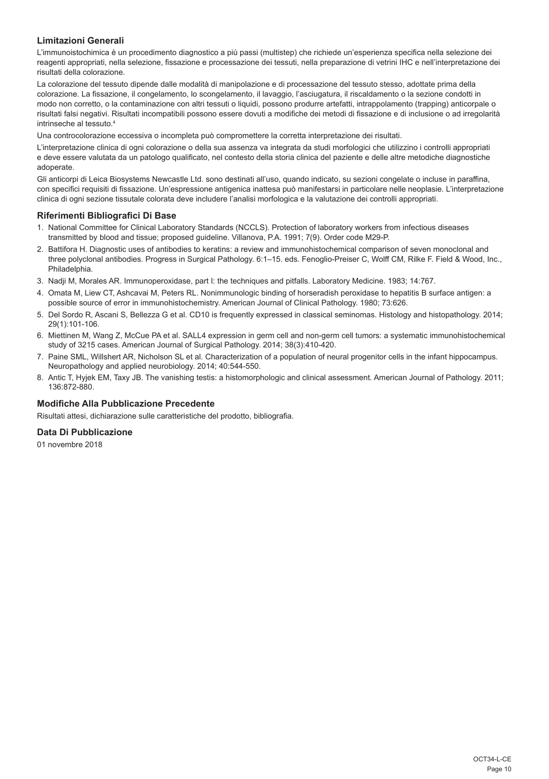## **Limitazioni Generali**

L'immunoistochimica è un procedimento diagnostico a più passi (multistep) che richiede un'esperienza specifica nella selezione dei reagenti appropriati, nella selezione, fissazione e processazione dei tessuti, nella preparazione di vetrini IHC e nell'interpretazione dei risultati della colorazione.

La colorazione del tessuto dipende dalle modalità di manipolazione e di processazione del tessuto stesso, adottate prima della colorazione. La fissazione, il congelamento, lo scongelamento, il lavaggio, l'asciugatura, il riscaldamento o la sezione condotti in modo non corretto, o la contaminazione con altri tessuti o liquidi, possono produrre artefatti, intrappolamento (trapping) anticorpale o risultati falsi negativi. Risultati incompatibili possono essere dovuti a modifiche dei metodi di fissazione e di inclusione o ad irregolarità intrinseche al tessuto.<sup>4</sup>

Una controcolorazione eccessiva o incompleta può compromettere la corretta interpretazione dei risultati.

L'interpretazione clinica di ogni colorazione o della sua assenza va integrata da studi morfologici che utilizzino i controlli appropriati e deve essere valutata da un patologo qualificato, nel contesto della storia clinica del paziente e delle altre metodiche diagnostiche adoperate.

Gli anticorpi di Leica Biosystems Newcastle Ltd. sono destinati all'uso, quando indicato, su sezioni congelate o incluse in paraffina, con specifici requisiti di fissazione. Un'espressione antigenica inattesa può manifestarsi in particolare nelle neoplasie. L'interpretazione clinica di ogni sezione tissutale colorata deve includere l'analisi morfologica e la valutazione dei controlli appropriati.

#### **Riferimenti Bibliografici Di Base**

- 1. National Committee for Clinical Laboratory Standards (NCCLS). Protection of laboratory workers from infectious diseases transmitted by blood and tissue; proposed guideline. Villanova, P.A. 1991; 7(9). Order code M29-P.
- 2. Battifora H. Diagnostic uses of antibodies to keratins: a review and immunohistochemical comparison of seven monoclonal and three polyclonal antibodies. Progress in Surgical Pathology. 6:1–15. eds. Fenoglio-Preiser C, Wolff CM, Rilke F. Field & Wood, Inc., Philadelphia.
- 3. Nadji M, Morales AR. Immunoperoxidase, part I: the techniques and pitfalls. Laboratory Medicine. 1983; 14:767.
- 4. Omata M, Liew CT, Ashcavai M, Peters RL. Nonimmunologic binding of horseradish peroxidase to hepatitis B surface antigen: a possible source of error in immunohistochemistry. American Journal of Clinical Pathology. 1980; 73:626.
- 5. Del Sordo R, Ascani S, Bellezza G et al. CD10 is frequently expressed in classical seminomas. Histology and histopathology. 2014; 29(1):101-106.
- 6. Miettinen M, Wang Z, McCue PA et al. SALL4 expression in germ cell and non-germ cell tumors: a systematic immunohistochemical study of 3215 cases. American Journal of Surgical Pathology. 2014; 38(3):410-420.
- 7. Paine SML, Willshert AR, Nicholson SL et al. Characterization of a population of neural progenitor cells in the infant hippocampus. Neuropathology and applied neurobiology. 2014; 40:544-550.
- 8. Antic T, Hyjek EM, Taxy JB. The vanishing testis: a histomorphologic and clinical assessment. American Journal of Pathology. 2011; 136:872-880.

#### **Modifiche Alla Pubblicazione Precedente**

Risultati attesi, dichiarazione sulle caratteristiche del prodotto, bibliografia.

## **Data Di Pubblicazione**

01 novembre 2018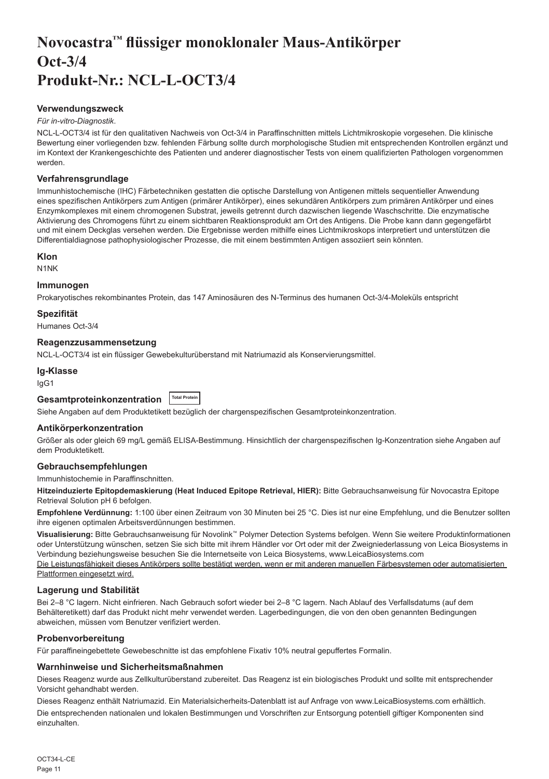# <span id="page-11-0"></span>**Novocastra™ flüssiger monoklonaler Maus-Antikörper Oct-3/4 Produkt-Nr.: NCL-L-OCT3/4**

#### **Verwendungszweck**

#### *Für in-vitro-Diagnostik*.

NCL-L-OCT3/4 ist für den qualitativen Nachweis von Oct-3/4 in Paraffinschnitten mittels Lichtmikroskopie vorgesehen. Die klinische Bewertung einer vorliegenden bzw. fehlenden Färbung sollte durch morphologische Studien mit entsprechenden Kontrollen ergänzt und im Kontext der Krankengeschichte des Patienten und anderer diagnostischer Tests von einem qualifizierten Pathologen vorgenommen werden.

#### **Verfahrensgrundlage**

Immunhistochemische (IHC) Färbetechniken gestatten die optische Darstellung von Antigenen mittels sequentieller Anwendung eines spezifischen Antikörpers zum Antigen (primärer Antikörper), eines sekundären Antikörpers zum primären Antikörper und eines Enzymkomplexes mit einem chromogenen Substrat, jeweils getrennt durch dazwischen liegende Waschschritte. Die enzymatische Aktivierung des Chromogens führt zu einem sichtbaren Reaktionsprodukt am Ort des Antigens. Die Probe kann dann gegengefärbt und mit einem Deckglas versehen werden. Die Ergebnisse werden mithilfe eines Lichtmikroskops interpretiert und unterstützen die Differentialdiagnose pathophysiologischer Prozesse, die mit einem bestimmten Antigen assoziiert sein könnten.

#### **Klon**

N1NK

#### **Immunogen**

Prokaryotisches rekombinantes Protein, das 147 Aminosäuren des N-Terminus des humanen Oct-3/4-Moleküls entspricht

#### **Spezifität**

Humanes Oct-3/4

#### **Reagenzzusammensetzung**

NCL-L-OCT3/4 ist ein flüssiger Gewebekulturüberstand mit Natriumazid als Konservierungsmittel.

## **Ig-Klasse**

IgG1

## **Gesamtproteinkonzentration Total Protein**

Siehe Angaben auf dem Produktetikett bezüglich der chargenspezifischen Gesamtproteinkonzentration.

#### **Antikörperkonzentration**

Größer als oder gleich 69 mg/L gemäß ELISA-Bestimmung. Hinsichtlich der chargenspezifischen Ig-Konzentration siehe Angaben auf dem Produktetikett.

#### **Gebrauchsempfehlungen**

Immunhistochemie in Paraffinschnitten.

**Hitzeinduzierte Epitopdemaskierung (Heat Induced Epitope Retrieval, HIER):** Bitte Gebrauchsanweisung für Novocastra Epitope Retrieval Solution pH 6 befolgen.

**Empfohlene Verdünnung:** 1:100 über einen Zeitraum von 30 Minuten bei 25 °C. Dies ist nur eine Empfehlung, und die Benutzer sollten ihre eigenen optimalen Arbeitsverdünnungen bestimmen.

**Visualisierung:** Bitte Gebrauchsanweisung für Novolink™ Polymer Detection Systems befolgen. Wenn Sie weitere Produktinformationen oder Unterstützung wünschen, setzen Sie sich bitte mit ihrem Händler vor Ort oder mit der Zweigniederlassung von Leica Biosystems in Verbindung beziehungsweise besuchen Sie die Internetseite von Leica Biosystems, www.LeicaBiosystems.com

Die Leistungsfähigkeit dieses Antikörpers sollte bestätigt werden, wenn er mit anderen manuellen Färbesystemen oder automatisierten Plattformen eingesetzt wird.

#### **Lagerung und Stabilität**

Bei 2–8 °C lagern. Nicht einfrieren. Nach Gebrauch sofort wieder bei 2–8 °C lagern. Nach Ablauf des Verfallsdatums (auf dem Behälteretikett) darf das Produkt nicht mehr verwendet werden. Lagerbedingungen, die von den oben genannten Bedingungen abweichen, müssen vom Benutzer verifiziert werden.

#### **Probenvorbereitung**

Für paraffineingebettete Gewebeschnitte ist das empfohlene Fixativ 10% neutral gepuffertes Formalin.

#### **Warnhinweise und Sicherheitsmaßnahmen**

Dieses Reagenz wurde aus Zellkulturüberstand zubereitet. Das Reagenz ist ein biologisches Produkt und sollte mit entsprechender Vorsicht gehandhabt werden.

Dieses Reagenz enthält Natriumazid. Ein Materialsicherheits-Datenblatt ist auf Anfrage von www.LeicaBiosystems.com erhältlich.

Die entsprechenden nationalen und lokalen Bestimmungen und Vorschriften zur Entsorgung potentiell giftiger Komponenten sind einzuhalten.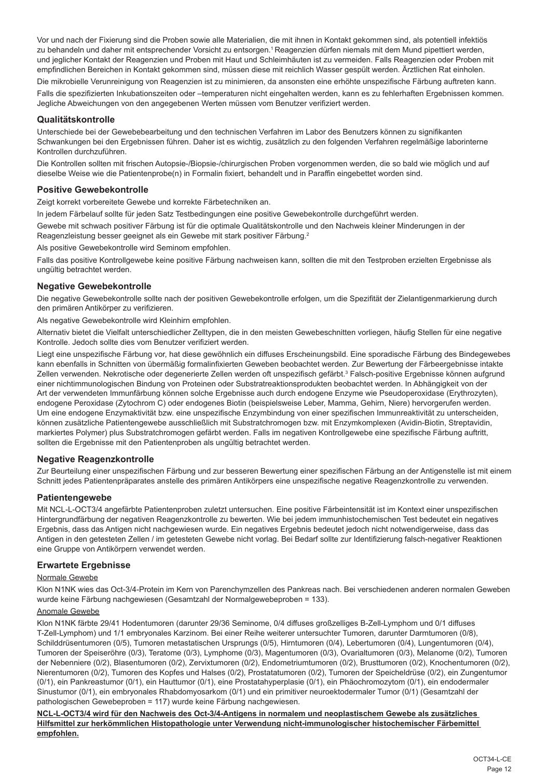Vor und nach der Fixierung sind die Proben sowie alle Materialien, die mit ihnen in Kontakt gekommen sind, als potentiell infektiös zu behandeln und daher mit entsprechender Vorsicht zu entsorgen.<sup>1</sup> Reagenzien dürfen niemals mit dem Mund pipettiert werden, und jeglicher Kontakt der Reagenzien und Proben mit Haut und Schleimhäuten ist zu vermeiden. Falls Reagenzien oder Proben mit empfindlichen Bereichen in Kontakt gekommen sind, müssen diese mit reichlich Wasser gespült werden. Ärztlichen Rat einholen.

Die mikrobielle Verunreinigung von Reagenzien ist zu minimieren, da ansonsten eine erhöhte unspezifische Färbung auftreten kann. Falls die spezifizierten Inkubationszeiten oder –temperaturen nicht eingehalten werden, kann es zu fehlerhaften Ergebnissen kommen. Jegliche Abweichungen von den angegebenen Werten müssen vom Benutzer verifiziert werden.

## **Qualitätskontrolle**

Unterschiede bei der Gewebebearbeitung und den technischen Verfahren im Labor des Benutzers können zu signifikanten Schwankungen bei den Ergebnissen führen. Daher ist es wichtig, zusätzlich zu den folgenden Verfahren regelmäßige laborinterne Kontrollen durchzuführen.

Die Kontrollen sollten mit frischen Autopsie-/Biopsie-/chirurgischen Proben vorgenommen werden, die so bald wie möglich und auf dieselbe Weise wie die Patientenprobe(n) in Formalin fixiert, behandelt und in Paraffin eingebettet worden sind.

## **Positive Gewebekontrolle**

Zeigt korrekt vorbereitete Gewebe und korrekte Färbetechniken an.

In jedem Färbelauf sollte für jeden Satz Testbedingungen eine positive Gewebekontrolle durchgeführt werden.

Gewebe mit schwach positiver Färbung ist für die optimale Qualitätskontrolle und den Nachweis kleiner Minderungen in der Reagenzleistung besser geeignet als ein Gewebe mit stark positiver Färbung.<sup>2</sup>

Als positive Gewebekontrolle wird Seminom empfohlen.

Falls das positive Kontrollgewebe keine positive Färbung nachweisen kann, sollten die mit den Testproben erzielten Ergebnisse als ungültig betrachtet werden.

## **Negative Gewebekontrolle**

Die negative Gewebekontrolle sollte nach der positiven Gewebekontrolle erfolgen, um die Spezifität der Zielantigenmarkierung durch den primären Antikörper zu verifizieren.

Als negative Gewebekontrolle wird Kleinhirn empfohlen.

Alternativ bietet die Vielfalt unterschiedlicher Zelltypen, die in den meisten Gewebeschnitten vorliegen, häufig Stellen für eine negative Kontrolle. Jedoch sollte dies vom Benutzer verifiziert werden.

Liegt eine unspezifische Färbung vor, hat diese gewöhnlich ein diffuses Erscheinungsbild. Eine sporadische Färbung des Bindegewebes kann ebenfalls in Schnitten von übermäßig formalinfixierten Geweben beobachtet werden. Zur Bewertung der Färbeergebnisse intakte Zellen verwenden. Nekrotische oder degenerierte Zellen werden oft unspezifisch gefärbt.<sup>3</sup> Falsch-positive Ergebnisse können aufgrund einer nichtimmunologischen Bindung von Proteinen oder Substratreaktionsprodukten beobachtet werden. In Abhängigkeit von der Art der verwendeten Immunfärbung können solche Ergebnisse auch durch endogene Enzyme wie Pseudoperoxidase (Erythrozyten), endogene Peroxidase (Zytochrom C) oder endogenes Biotin (beispielsweise Leber, Mamma, Gehirn, Niere) hervorgerufen werden. Um eine endogene Enzymaktivität bzw. eine unspezifische Enzymbindung von einer spezifischen Immunreaktivität zu unterscheiden, können zusätzliche Patientengewebe ausschließlich mit Substratchromogen bzw. mit Enzymkomplexen (Avidin-Biotin, Streptavidin, markiertes Polymer) plus Substratchromogen gefärbt werden. Falls im negativen Kontrollgewebe eine spezifische Färbung auftritt, sollten die Ergebnisse mit den Patientenproben als ungültig betrachtet werden.

#### **Negative Reagenzkontrolle**

Zur Beurteilung einer unspezifischen Färbung und zur besseren Bewertung einer spezifischen Färbung an der Antigenstelle ist mit einem Schnitt jedes Patientenpräparates anstelle des primären Antikörpers eine unspezifische negative Reagenzkontrolle zu verwenden.

#### **Patientengewebe**

Mit NCL-L-OCT3/4 angefärbte Patientenproben zuletzt untersuchen. Eine positive Färbeintensität ist im Kontext einer unspezifischen Hintergrundfärbung der negativen Reagenzkontrolle zu bewerten. Wie bei jedem immunhistochemischen Test bedeutet ein negatives Ergebnis, dass das Antigen nicht nachgewiesen wurde. Ein negatives Ergebnis bedeutet jedoch nicht notwendigerweise, dass das Antigen in den getesteten Zellen / im getesteten Gewebe nicht vorlag. Bei Bedarf sollte zur Identifizierung falsch-negativer Reaktionen eine Gruppe von Antikörpern verwendet werden.

## **Erwartete Ergebnisse**

### Normale Gewebe

Klon N1NK wies das Oct-3/4-Protein im Kern von Parenchymzellen des Pankreas nach. Bei verschiedenen anderen normalen Geweben wurde keine Färbung nachgewiesen (Gesamtzahl der Normalgewebeproben = 133).

## Anomale Gewebe

Klon N1NK färbte 29/41 Hodentumoren (darunter 29/36 Seminome, 0/4 diffuses großzelliges B-Zell-Lymphom und 0/1 diffuses T-Zell-Lymphom) und 1/1 embryonales Karzinom. Bei einer Reihe weiterer untersuchter Tumoren, darunter Darmtumoren (0/8), Schilddrüsentumoren (0/5), Tumoren metastatischen Ursprungs (0/5), Hirntumoren (0/4), Lebertumoren (0/4), Lungentumoren (0/4), Tumoren der Speiseröhre (0/3), Teratome (0/3), Lymphome (0/3), Magentumoren (0/3), Ovarialtumoren (0/3), Melanome (0/2), Tumoren der Nebenniere (0/2), Blasentumoren (0/2), Zervixtumoren (0/2), Endometriumtumoren (0/2), Brusttumoren (0/2), Knochentumoren (0/2), Nierentumoren (0/2), Tumoren des Kopfes und Halses (0/2), Prostatatumoren (0/2), Tumoren der Speicheldrüse (0/2), ein Zungentumor (0/1), ein Pankreastumor (0/1), ein Hauttumor (0/1), eine Prostatahyperplasie (0/1), ein Phäochromozytom (0/1), ein endodermaler Sinustumor (0/1), ein embryonales Rhabdomyosarkom (0/1) und ein primitiver neuroektodermaler Tumor (0/1) (Gesamtzahl der pathologischen Gewebeproben = 117) wurde keine Färbung nachgewiesen.

**NCL-L-OCT3/4 wird für den Nachweis des Oct-3/4-Antigens in normalem und neoplastischem Gewebe als zusätzliches Hilfsmittel zur herkömmlichen Histopathologie unter Verwendung nicht-immunologischer histochemischer Färbemittel empfohlen.**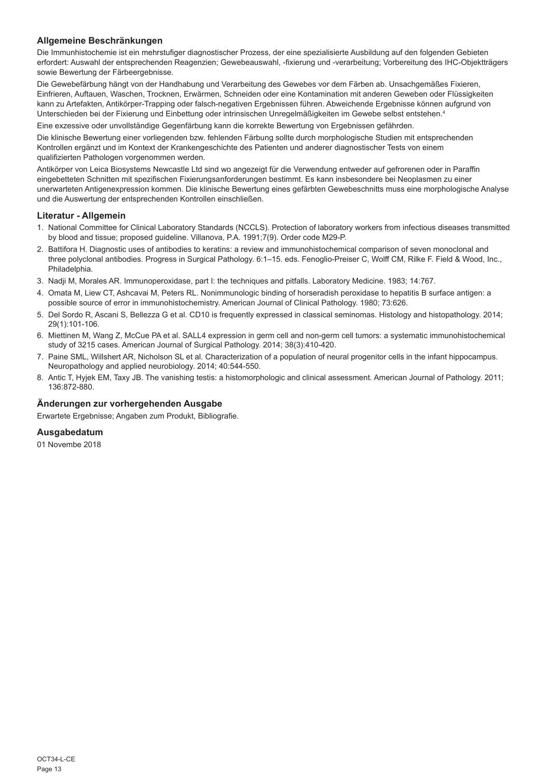## **Allgemeine Beschränkungen**

Die Immunhistochemie ist ein mehrstufiger diagnostischer Prozess, der eine spezialisierte Ausbildung auf den folgenden Gebieten erfordert: Auswahl der entsprechenden Reagenzien; Gewebeauswahl, -fixierung und -verarbeitung; Vorbereitung des IHC-Objektträgers sowie Bewertung der Färbeergebnisse.

Die Gewebefärbung hängt von der Handhabung und Verarbeitung des Gewebes vor dem Färben ab. Unsachgemäßes Fixieren, Einfrieren, Auftauen, Waschen, Trocknen, Erwärmen, Schneiden oder eine Kontamination mit anderen Geweben oder Flüssigkeiten kann zu Artefakten, Antikörper-Trapping oder falsch-negativen Ergebnissen führen. Abweichende Ergebnisse können aufgrund von Unterschieden bei der Fixierung und Einbettung oder intrinsischen Unregelmäßigkeiten im Gewebe selbst entstehen.<sup>4</sup>

Eine exzessive oder unvollständige Gegenfärbung kann die korrekte Bewertung von Ergebnissen gefährden.

Die klinische Bewertung einer vorliegenden bzw. fehlenden Färbung sollte durch morphologische Studien mit entsprechenden Kontrollen ergänzt und im Kontext der Krankengeschichte des Patienten und anderer diagnostischer Tests von einem qualifizierten Pathologen vorgenommen werden.

Antikörper von Leica Biosystems Newcastle Ltd sind wo angezeigt für die Verwendung entweder auf gefrorenen oder in Paraffin eingebetteten Schnitten mit spezifischen Fixierungsanforderungen bestimmt. Es kann insbesondere bei Neoplasmen zu einer unerwarteten Antigenexpression kommen. Die klinische Bewertung eines gefärbten Gewebeschnitts muss eine morphologische Analyse und die Auswertung der entsprechenden Kontrollen einschließen.

#### **Literatur - Allgemein**

- 1. National Committee for Clinical Laboratory Standards (NCCLS). Protection of laboratory workers from infectious diseases transmitted by blood and tissue; proposed guideline. Villanova, P.A. 1991;7(9). Order code M29-P.
- 2. Battifora H. Diagnostic uses of antibodies to keratins: a review and immunohistochemical comparison of seven monoclonal and three polyclonal antibodies. Progress in Surgical Pathology. 6:1–15. eds. Fenoglio-Preiser C, Wolff CM, Rilke F. Field & Wood, Inc., Philadelphia.
- 3. Nadji M, Morales AR. Immunoperoxidase, part I: the techniques and pitfalls. Laboratory Medicine. 1983; 14:767.
- 4. Omata M, Liew CT, Ashcavai M, Peters RL. Nonimmunologic binding of horseradish peroxidase to hepatitis B surface antigen: a possible source of error in immunohistochemistry. American Journal of Clinical Pathology. 1980; 73:626.
- 5. Del Sordo R, Ascani S, Bellezza G et al. CD10 is frequently expressed in classical seminomas. Histology and histopathology. 2014; 29(1):101-106.
- 6. Miettinen M, Wang Z, McCue PA et al. SALL4 expression in germ cell and non-germ cell tumors: a systematic immunohistochemical study of 3215 cases. American Journal of Surgical Pathology. 2014; 38(3):410-420.
- 7. Paine SML, Willshert AR, Nicholson SL et al. Characterization of a population of neural progenitor cells in the infant hippocampus. Neuropathology and applied neurobiology. 2014; 40:544-550.
- 8. Antic T, Hyjek EM, Taxy JB. The vanishing testis: a histomorphologic and clinical assessment. American Journal of Pathology. 2011; 136:872-880.

#### **Änderungen zur vorhergehenden Ausgabe**

Erwartete Ergebnisse; Angaben zum Produkt, Bibliografie.

#### **Ausgabedatum**

01 Novembe 2018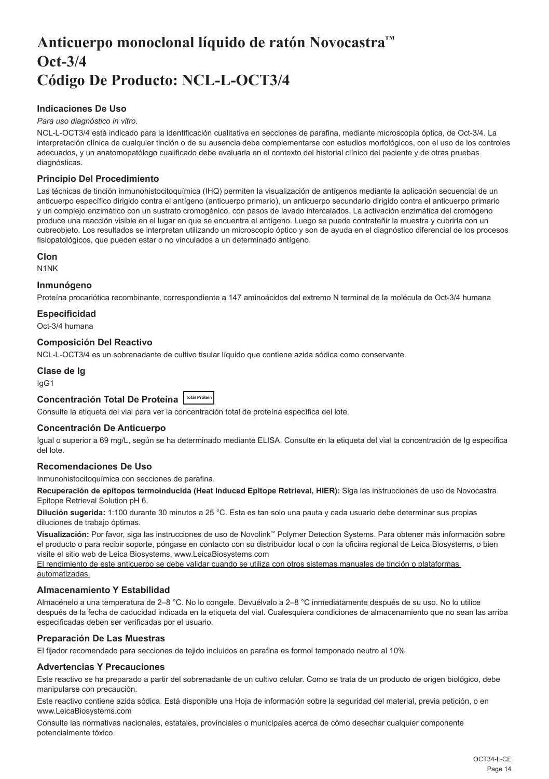# <span id="page-14-0"></span>**Anticuerpo monoclonal líquido de ratón Novocastra™ Oct-3/4 Código De Producto: NCL-L-OCT3/4**

## **Indicaciones De Uso**

#### *Para uso diagnóstico in vitro*.

NCL-L-OCT3/4 está indicado para la identificación cualitativa en secciones de parafina, mediante microscopía óptica, de Oct-3/4. La interpretación clínica de cualquier tinción o de su ausencia debe complementarse con estudios morfológicos, con el uso de los controles adecuados, y un anatomopatólogo cualificado debe evaluarla en el contexto del historial clínico del paciente y de otras pruebas diagnósticas.

### **Principio Del Procedimiento**

Las técnicas de tinción inmunohistocitoquímica (IHQ) permiten la visualización de antígenos mediante la aplicación secuencial de un anticuerpo específico dirigido contra el antígeno (anticuerpo primario), un anticuerpo secundario dirigido contra el anticuerpo primario y un complejo enzimático con un sustrato cromogénico, con pasos de lavado intercalados. La activación enzimática del cromógeno produce una reacción visible en el lugar en que se encuentra el antígeno. Luego se puede contrateñir la muestra y cubrirla con un cubreobjeto. Los resultados se interpretan utilizando un microscopio óptico y son de ayuda en el diagnóstico diferencial de los procesos fisiopatológicos, que pueden estar o no vinculados a un determinado antígeno.

#### **Clon**

N1NK

#### **Inmunógeno**

Proteína procariótica recombinante, correspondiente a 147 aminoácidos del extremo N terminal de la molécula de Oct-3/4 humana

#### **Especificidad**

Oct-3/4 humana

#### **Composición Del Reactivo**

NCL-L-OCT3/4 es un sobrenadante de cultivo tisular líquido que contiene azida sódica como conservante.

## **Clase de Ig**

IgG1

## **Concentración Total De Proteína Total Protein**

Consulte la etiqueta del vial para ver la concentración total de proteína específica del lote.

#### **Concentración De Anticuerpo**

Igual o superior a 69 mg/L, según se ha determinado mediante ELISA. Consulte en la etiqueta del vial la concentración de Ig específica del lote.

## **Recomendaciones De Uso**

Inmunohistocitoquímica con secciones de parafina.

**Recuperación de epítopos termoinducida (Heat Induced Epitope Retrieval, HIER):** Siga las instrucciones de uso de Novocastra Epitope Retrieval Solution pH 6.

**Dilución sugerida:** 1:100 durante 30 minutos a 25 °C. Esta es tan solo una pauta y cada usuario debe determinar sus propias diluciones de trabajo óptimas.

**Visualización:** Por favor, siga las instrucciones de uso de Novolink™ Polymer Detection Systems. Para obtener más información sobre el producto o para recibir soporte, póngase en contacto con su distribuidor local o con la oficina regional de Leica Biosystems, o bien visite el sitio web de Leica Biosystems, www.LeicaBiosystems.com

El rendimiento de este anticuerpo se debe validar cuando se utiliza con otros sistemas manuales de tinción o plataformas automatizadas.

#### **Almacenamiento Y Estabilidad**

Almacénelo a una temperatura de 2–8 °C. No lo congele. Devuélvalo a 2–8 °C inmediatamente después de su uso. No lo utilice después de la fecha de caducidad indicada en la etiqueta del vial. Cualesquiera condiciones de almacenamiento que no sean las arriba especificadas deben ser verificadas por el usuario.

#### **Preparación De Las Muestras**

El fijador recomendado para secciones de tejido incluidos en parafina es formol tamponado neutro al 10%.

#### **Advertencias Y Precauciones**

Este reactivo se ha preparado a partir del sobrenadante de un cultivo celular. Como se trata de un producto de origen biológico, debe manipularse con precaución.

Este reactivo contiene azida sódica. Está disponible una Hoja de información sobre la seguridad del material, previa petición, o en www.LeicaBiosystems.com

Consulte las normativas nacionales, estatales, provinciales o municipales acerca de cómo desechar cualquier componente potencialmente tóxico.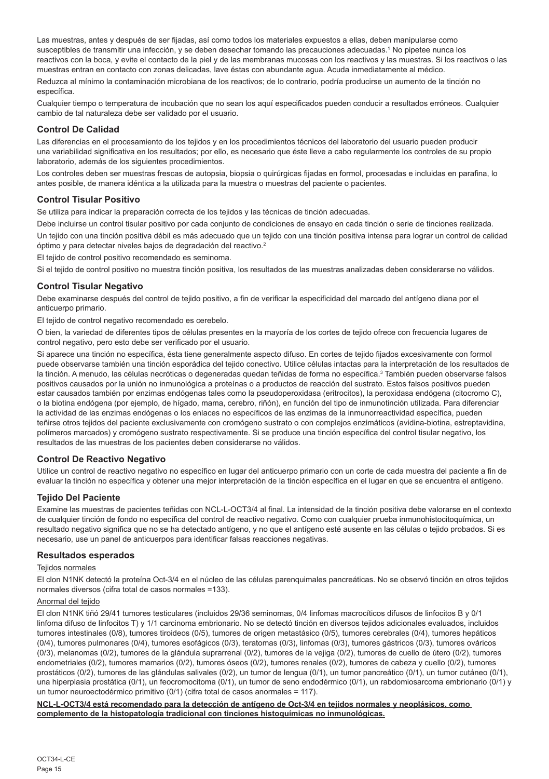Las muestras, antes y después de ser fijadas, así como todos los materiales expuestos a ellas, deben manipularse como susceptibles de transmitir una infección, y se deben desechar tomando las precauciones adecuadas.<sup>1</sup> No pipetee nunca los reactivos con la boca, y evite el contacto de la piel y de las membranas mucosas con los reactivos y las muestras. Si los reactivos o las muestras entran en contacto con zonas delicadas, lave éstas con abundante agua. Acuda inmediatamente al médico. Reduzca al mínimo la contaminación microbiana de los reactivos; de lo contrario, podría producirse un aumento de la tinción no específica.

Cualquier tiempo o temperatura de incubación que no sean los aquí especificados pueden conducir a resultados erróneos. Cualquier cambio de tal naturaleza debe ser validado por el usuario.

#### **Control De Calidad**

Las diferencias en el procesamiento de los tejidos y en los procedimientos técnicos del laboratorio del usuario pueden producir una variabilidad significativa en los resultados; por ello, es necesario que éste lleve a cabo regularmente los controles de su propio laboratorio, además de los siguientes procedimientos.

Los controles deben ser muestras frescas de autopsia, biopsia o quirúrgicas fijadas en formol, procesadas e incluidas en parafina, lo antes posible, de manera idéntica a la utilizada para la muestra o muestras del paciente o pacientes.

#### **Control Tisular Positivo**

Se utiliza para indicar la preparación correcta de los tejidos y las técnicas de tinción adecuadas.

Debe incluirse un control tisular positivo por cada conjunto de condiciones de ensayo en cada tinción o serie de tinciones realizada. Un tejido con una tinción positiva débil es más adecuado que un tejido con una tinción positiva intensa para lograr un control de calidad óptimo y para detectar niveles bajos de degradación del reactivo.<sup>2</sup>

El tejido de control positivo recomendado es seminoma.

Si el tejido de control positivo no muestra tinción positiva, los resultados de las muestras analizadas deben considerarse no válidos.

#### **Control Tisular Negativo**

Debe examinarse después del control de tejido positivo, a fin de verificar la especificidad del marcado del antígeno diana por el anticuerpo primario.

El tejido de control negativo recomendado es cerebelo.

O bien, la variedad de diferentes tipos de células presentes en la mayoría de los cortes de tejido ofrece con frecuencia lugares de control negativo, pero esto debe ser verificado por el usuario.

Si aparece una tinción no específica, ésta tiene generalmente aspecto difuso. En cortes de tejido fijados excesivamente con formol puede observarse también una tinción esporádica del tejido conectivo. Utilice células intactas para la interpretación de los resultados de la tinción. A menudo, las células necróticas o degeneradas quedan teñidas de forma no específica.<sup>3</sup> También pueden observarse falsos positivos causados por la unión no inmunológica a proteínas o a productos de reacción del sustrato. Estos falsos positivos pueden estar causados también por enzimas endógenas tales como la pseudoperoxidasa (eritrocitos), la peroxidasa endógena (citocromo C), o la biotina endógena (por ejemplo, de hígado, mama, cerebro, riñón), en función del tipo de inmunotinción utilizada. Para diferenciar la actividad de las enzimas endógenas o los enlaces no específicos de las enzimas de la inmunorreactividad específica, pueden teñirse otros tejidos del paciente exclusivamente con cromógeno sustrato o con complejos enzimáticos (avidina-biotina, estreptavidina, polímeros marcados) y cromógeno sustrato respectivamente. Si se produce una tinción específica del control tisular negativo, los resultados de las muestras de los pacientes deben considerarse no válidos.

#### **Control De Reactivo Negativo**

Utilice un control de reactivo negativo no específico en lugar del anticuerpo primario con un corte de cada muestra del paciente a fin de evaluar la tinción no específica y obtener una mejor interpretación de la tinción específica en el lugar en que se encuentra el antígeno.

#### **Tejido Del Paciente**

Examine las muestras de pacientes teñidas con NCL-L-OCT3/4 al final. La intensidad de la tinción positiva debe valorarse en el contexto de cualquier tinción de fondo no específica del control de reactivo negativo. Como con cualquier prueba inmunohistocitoquímica, un resultado negativo significa que no se ha detectado antígeno, y no que el antígeno esté ausente en las células o tejido probados. Si es necesario, use un panel de anticuerpos para identificar falsas reacciones negativas.

#### **Resultados esperados**

#### Teiidos normales

El clon N1NK detectó la proteína Oct-3/4 en el núcleo de las células parenquimales pancreáticas. No se observó tinción en otros tejidos normales diversos (cifra total de casos normales =133).

#### Anormal del tejido

El clon N1NK tiñó 29/41 tumores testiculares (incluidos 29/36 seminomas, 0/4 linfomas macrocíticos difusos de linfocitos B y 0/1 linfoma difuso de linfocitos T) y 1/1 carcinoma embrionario. No se detectó tinción en diversos tejidos adicionales evaluados, incluidos tumores intestinales (0/8), tumores tiroideos (0/5), tumores de origen metastásico (0/5), tumores cerebrales (0/4), tumores hepáticos (0/4), tumores pulmonares (0/4), tumores esofágicos (0/3), teratomas (0/3), linfomas (0/3), tumores gástricos (0/3), tumores ováricos (0/3), melanomas (0/2), tumores de la glándula suprarrenal (0/2), tumores de la vejiga (0/2), tumores de cuello de útero (0/2), tumores endometriales (0/2), tumores mamarios (0/2), tumores óseos (0/2), tumores renales (0/2), tumores de cabeza y cuello (0/2), tumores prostáticos (0/2), tumores de las glándulas salivales (0/2), un tumor de lengua (0/1), un tumor pancreático (0/1), un tumor cutáneo (0/1), una hiperplasia prostática (0/1), un feocromocitoma (0/1), un tumor de seno endodérmico (0/1), un rabdomiosarcoma embrionario (0/1) y un tumor neuroectodérmico primitivo (0/1) (cifra total de casos anormales = 117).

**NCL-L-OCT3/4 está recomendado para la detección de antígeno de Oct-3/4 en tejidos normales y neoplásicos, como complemento de la histopatología tradicional con tinciones histoquímicas no inmunológicas.**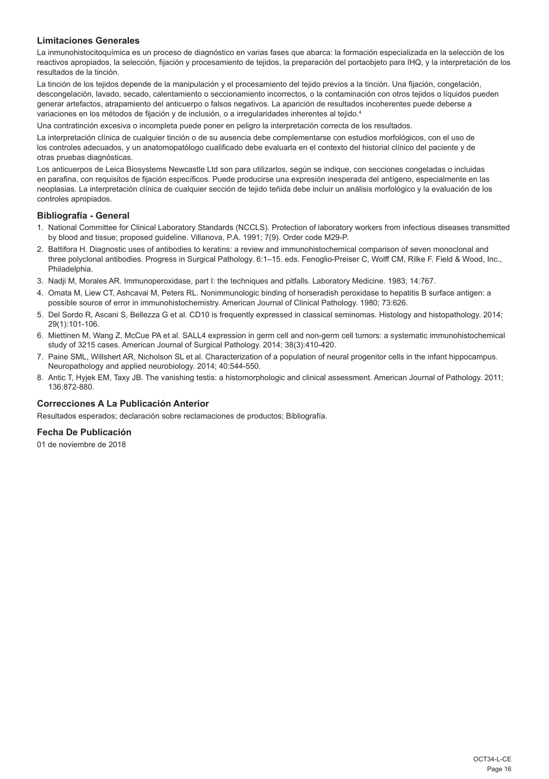## **Limitaciones Generales**

La inmunohistocitoquímica es un proceso de diagnóstico en varias fases que abarca: la formación especializada en la selección de los reactivos apropiados, la selección, fijación y procesamiento de tejidos, la preparación del portaobjeto para IHQ, y la interpretación de los resultados de la tinción.

La tinción de los tejidos depende de la manipulación y el procesamiento del tejido previos a la tinción. Una fijación, congelación, descongelación, lavado, secado, calentamiento o seccionamiento incorrectos, o la contaminación con otros tejidos o líquidos pueden generar artefactos, atrapamiento del anticuerpo o falsos negativos. La aparición de resultados incoherentes puede deberse a variaciones en los métodos de fijación y de inclusión, o a irregularidades inherentes al tejido.<sup>4</sup>

Una contratinción excesiva o incompleta puede poner en peligro la interpretación correcta de los resultados.

La interpretación clínica de cualquier tinción o de su ausencia debe complementarse con estudios morfológicos, con el uso de los controles adecuados, y un anatomopatólogo cualificado debe evaluarla en el contexto del historial clínico del paciente y de otras pruebas diagnósticas.

Los anticuerpos de Leica Biosystems Newcastle Ltd son para utilizarlos, según se indique, con secciones congeladas o incluidas en parafina, con requisitos de fijación específicos. Puede producirse una expresión inesperada del antígeno, especialmente en las neoplasias. La interpretación clínica de cualquier sección de tejido teñida debe incluir un análisis morfológico y la evaluación de los controles apropiados.

#### **Bibliografía - General**

- 1. National Committee for Clinical Laboratory Standards (NCCLS). Protection of laboratory workers from infectious diseases transmitted by blood and tissue; proposed guideline. Villanova, P.A. 1991; 7(9). Order code M29-P.
- 2. Battifora H. Diagnostic uses of antibodies to keratins: a review and immunohistochemical comparison of seven monoclonal and three polyclonal antibodies. Progress in Surgical Pathology. 6:1–15. eds. Fenoglio-Preiser C, Wolff CM, Rilke F. Field & Wood, Inc., Philadelphia.
- 3. Nadji M, Morales AR. Immunoperoxidase, part I: the techniques and pitfalls. Laboratory Medicine. 1983; 14:767.
- 4. Omata M, Liew CT, Ashcavai M, Peters RL. Nonimmunologic binding of horseradish peroxidase to hepatitis B surface antigen: a possible source of error in immunohistochemistry. American Journal of Clinical Pathology. 1980; 73:626.
- 5. Del Sordo R, Ascani S, Bellezza G et al. CD10 is frequently expressed in classical seminomas. Histology and histopathology. 2014; 29(1):101-106.
- 6. Miettinen M, Wang Z, McCue PA et al. SALL4 expression in germ cell and non-germ cell tumors: a systematic immunohistochemical study of 3215 cases. American Journal of Surgical Pathology. 2014; 38(3):410-420.
- 7. Paine SML, Willshert AR, Nicholson SL et al. Characterization of a population of neural progenitor cells in the infant hippocampus. Neuropathology and applied neurobiology. 2014; 40:544-550.
- 8. Antic T, Hyjek EM, Taxy JB. The vanishing testis: a histomorphologic and clinical assessment. American Journal of Pathology. 2011; 136:872-880.

## **Correcciones A La Publicación Anterior**

Resultados esperados; declaración sobre reclamaciones de productos; Bibliografía.

## **Fecha De Publicación**

01 de noviembre de 2018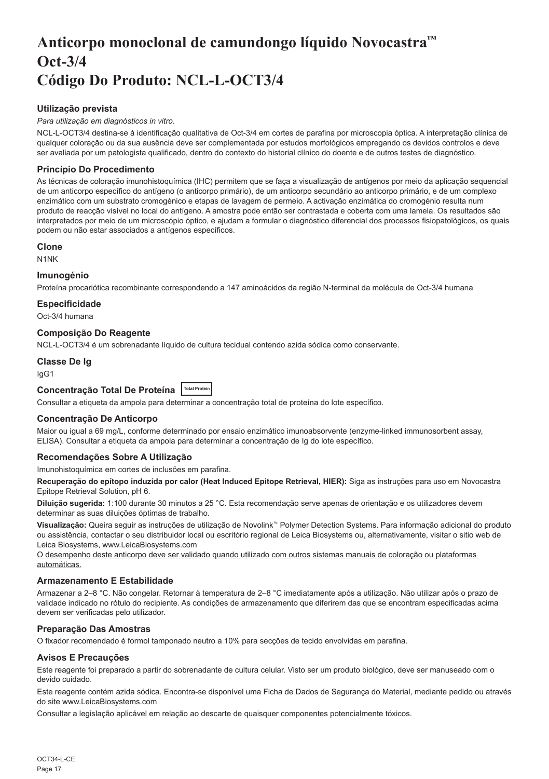# <span id="page-17-0"></span>**Anticorpo monoclonal de camundongo líquido Novocastra™ Oct-3/4 Código Do Produto: NCL-L-OCT3/4**

## **Utilização prevista**

#### *Para utilização em diagnósticos in vitro*.

NCL-L-OCT3/4 destina-se à identificação qualitativa de Oct-3/4 em cortes de parafina por microscopia óptica. A interpretação clínica de qualquer coloração ou da sua ausência deve ser complementada por estudos morfológicos empregando os devidos controlos e deve ser avaliada por um patologista qualificado, dentro do contexto do historial clínico do doente e de outros testes de diagnóstico.

#### **Princípio Do Procedimento**

As técnicas de coloração imunohistoquímica (IHC) permitem que se faça a visualização de antígenos por meio da aplicação sequencial de um anticorpo específico do antígeno (o anticorpo primário), de um anticorpo secundário ao anticorpo primário, e de um complexo enzimático com um substrato cromogénico e etapas de lavagem de permeio. A activação enzimática do cromogénio resulta num produto de reacção visível no local do antígeno. A amostra pode então ser contrastada e coberta com uma lamela. Os resultados são interpretados por meio de um microscópio óptico, e ajudam a formular o diagnóstico diferencial dos processos fisiopatológicos, os quais podem ou não estar associados a antígenos específicos.

#### **Clone**

N1NK

#### **Imunogénio**

Proteína procariótica recombinante correspondendo a 147 aminoácidos da região N-terminal da molécula de Oct-3/4 humana

#### **Especificidade**

Oct-3/4 humana

#### **Composição Do Reagente**

NCL-L-OCT3/4 é um sobrenadante líquido de cultura tecidual contendo azida sódica como conservante.

#### **Classe De Ig**

IgG1

## **Concentração Total De Proteína Total Protein**

Consultar a etiqueta da ampola para determinar a concentração total de proteína do lote específico.

#### **Concentração De Anticorpo**

Maior ou igual a 69 mg/L, conforme determinado por ensaio enzimático imunoabsorvente (enzyme-linked immunosorbent assay, ELISA). Consultar a etiqueta da ampola para determinar a concentração de Ig do lote específico.

## **Recomendações Sobre A Utilização**

Imunohistoquímica em cortes de inclusões em parafina.

**Recuperação do epítopo induzida por calor (Heat Induced Epitope Retrieval, HIER):** Siga as instruções para uso em Novocastra Epitope Retrieval Solution, pH 6.

**Diluição sugerida:** 1:100 durante 30 minutos a 25 °C. Esta recomendação serve apenas de orientação e os utilizadores devem determinar as suas diluições óptimas de trabalho.

**Visualização:** Queira seguir as instruções de utilização de Novolink™ Polymer Detection Systems. Para informação adicional do produto ou assistência, contactar o seu distribuidor local ou escritório regional de Leica Biosystems ou, alternativamente, visitar o sitio web de Leica Biosystems, www.LeicaBiosystems.com

O desempenho deste anticorpo deve ser validado quando utilizado com outros sistemas manuais de coloração ou plataformas automáticas.

#### **Armazenamento E Estabilidade**

Armazenar a 2–8 °C. Não congelar. Retornar à temperatura de 2–8 °C imediatamente após a utilização. Não utilizar após o prazo de validade indicado no rótulo do recipiente. As condições de armazenamento que diferirem das que se encontram especificadas acima devem ser verificadas pelo utilizador.

#### **Preparação Das Amostras**

O fixador recomendado é formol tamponado neutro a 10% para secções de tecido envolvidas em parafina.

#### **Avisos E Precauções**

Este reagente foi preparado a partir do sobrenadante de cultura celular. Visto ser um produto biológico, deve ser manuseado com o devido cuidado.

Este reagente contém azida sódica. Encontra-se disponível uma Ficha de Dados de Segurança do Material, mediante pedido ou através do site www.LeicaBiosystems.com

Consultar a legislação aplicável em relação ao descarte de quaisquer componentes potencialmente tóxicos.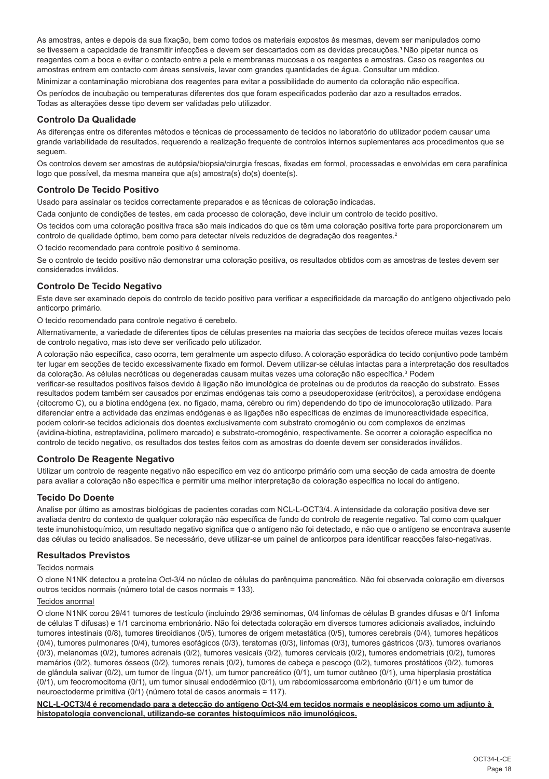As amostras, antes e depois da sua fixação, bem como todos os materiais expostos às mesmas, devem ser manipulados como se tivessem a capacidade de transmitir infecções e devem ser descartados com as devidas precauções.<sup>1</sup> Não pipetar nunca os reagentes com a boca e evitar o contacto entre a pele e membranas mucosas e os reagentes e amostras. Caso os reagentes ou amostras entrem em contacto com áreas sensíveis, lavar com grandes quantidades de água. Consultar um médico.

Minimizar a contaminação microbiana dos reagentes para evitar a possibilidade do aumento da coloração não específica. Os períodos de incubação ou temperaturas diferentes dos que foram especificados poderão dar azo a resultados errados. Todas as alterações desse tipo devem ser validadas pelo utilizador.

## **Controlo Da Qualidade**

As diferenças entre os diferentes métodos e técnicas de processamento de tecidos no laboratório do utilizador podem causar uma grande variabilidade de resultados, requerendo a realização frequente de controlos internos suplementares aos procedimentos que se seguem.

Os controlos devem ser amostras de autópsia/biopsia/cirurgia frescas, fixadas em formol, processadas e envolvidas em cera parafínica logo que possível, da mesma maneira que a(s) amostra(s) do(s) doente(s).

#### **Controlo De Tecido Positivo**

Usado para assinalar os tecidos correctamente preparados e as técnicas de coloração indicadas.

Cada conjunto de condições de testes, em cada processo de coloração, deve incluir um controlo de tecido positivo.

Os tecidos com uma coloração positiva fraca são mais indicados do que os têm uma coloração positiva forte para proporcionarem um controlo de qualidade óptimo, bem como para detectar níveis reduzidos de degradação dos reagentes.<sup>2</sup>

O tecido recomendado para controle positivo é seminoma.

Se o controlo de tecido positivo não demonstrar uma coloração positiva, os resultados obtidos com as amostras de testes devem ser considerados inválidos.

## **Controlo De Tecido Negativo**

Este deve ser examinado depois do controlo de tecido positivo para verificar a especificidade da marcação do antígeno objectivado pelo anticorpo primário.

O tecido recomendado para controle negativo é cerebelo.

Alternativamente, a variedade de diferentes tipos de células presentes na maioria das secções de tecidos oferece muitas vezes locais de controlo negativo, mas isto deve ser verificado pelo utilizador.

A coloração não específica, caso ocorra, tem geralmente um aspecto difuso. A coloração esporádica do tecido conjuntivo pode também ter lugar em secções de tecido excessivamente fixado em formol. Devem utilizar-se células intactas para a interpretação dos resultados da coloração. As células necróticas ou degeneradas causam muitas vezes uma coloração não específica.<sup>3</sup> Podem

verificar-se resultados positivos falsos devido à ligação não imunológica de proteínas ou de produtos da reacção do substrato. Esses resultados podem também ser causados por enzimas endógenas tais como a pseudoperoxidase (eritrócitos), a peroxidase endógena (citocromo C), ou a biotina endógena (ex. no fígado, mama, cérebro ou rim) dependendo do tipo de imunocoloração utilizado. Para diferenciar entre a actividade das enzimas endógenas e as ligações não específicas de enzimas de imunoreactividade específica, podem colorir-se tecidos adicionais dos doentes exclusivamente com substrato cromogénio ou com complexos de enzimas (avidina-biotina, estreptavidina, polímero marcado) e substrato-cromogénio, respectivamente. Se ocorrer a coloração específica no controlo de tecido negativo, os resultados dos testes feitos com as amostras do doente devem ser considerados inválidos.

#### **Controlo De Reagente Negativo**

Utilizar um controlo de reagente negativo não específico em vez do anticorpo primário com uma secção de cada amostra de doente para avaliar a coloração não específica e permitir uma melhor interpretação da coloração específica no local do antígeno.

#### **Tecido Do Doente**

Analise por último as amostras biológicas de pacientes coradas com NCL-L-OCT3/4. A intensidade da coloração positiva deve ser avaliada dentro do contexto de qualquer coloração não específica de fundo do controlo de reagente negativo. Tal como com qualquer teste imunohistoquímico, um resultado negativo significa que o antígeno não foi detectado, e não que o antígeno se encontrava ausente das células ou tecido analisados. Se necessário, deve utilizar-se um painel de anticorpos para identificar reacções falso-negativas.

#### **Resultados Previstos**

#### Tecidos normais

O clone N1NK detectou a proteína Oct-3/4 no núcleo de células do parênquima pancreático. Não foi observada coloração em diversos outros tecidos normais (número total de casos normais = 133).

#### Tecidos anormal

O clone N1NK corou 29/41 tumores de testículo (incluindo 29/36 seminomas, 0/4 linfomas de células B grandes difusas e 0/1 linfoma de células T difusas) e 1/1 carcinoma embrionário. Não foi detectada coloração em diversos tumores adicionais avaliados, incluindo tumores intestinais (0/8), tumores tireoidianos (0/5), tumores de origem metastática (0/5), tumores cerebrais (0/4), tumores hepáticos (0/4), tumores pulmonares (0/4), tumores esofágicos (0/3), teratomas (0/3), linfomas (0/3), tumores gástricos (0/3), tumores ovarianos (0/3), melanomas (0/2), tumores adrenais (0/2), tumores vesicais (0/2), tumores cervicais (0/2), tumores endometriais (0/2), tumores mamários (0/2), tumores ósseos (0/2), tumores renais (0/2), tumores de cabeça e pescoço (0/2), tumores prostáticos (0/2), tumores de glândula salivar (0/2), um tumor de língua (0/1), um tumor pancreático (0/1), um tumor cutâneo (0/1), uma hiperplasia prostática (0/1), um feocromocitoma (0/1), um tumor sinusal endodérmico (0/1), um rabdomiossarcoma embrionário (0/1) e um tumor de neuroectoderme primitiva (0/1) (número total de casos anormais = 117).

**NCL-L-OCT3/4 é recomendado para a detecção do antígeno Oct-3/4 em tecidos normais e neoplásicos como um adjunto à histopatologia convencional, utilizando-se corantes histoquímicos não imunológicos.**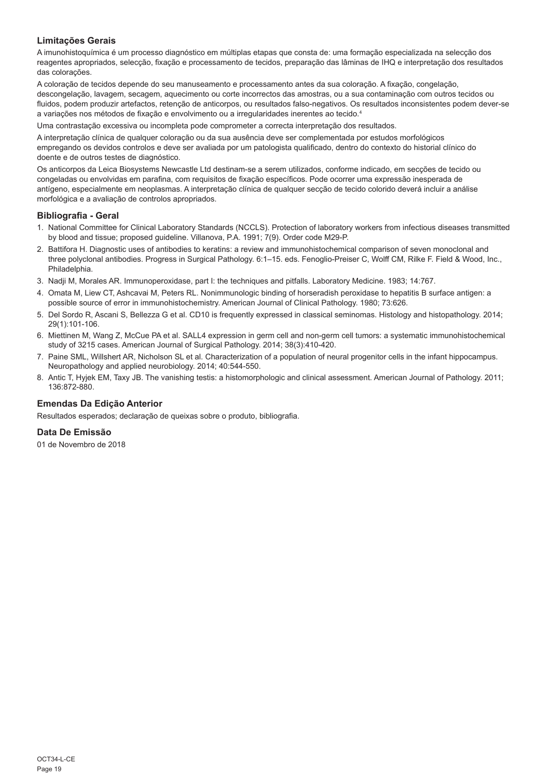## **Limitações Gerais**

A imunohistoquímica é um processo diagnóstico em múltiplas etapas que consta de: uma formação especializada na selecção dos reagentes apropriados, selecção, fixação e processamento de tecidos, preparação das lâminas de IHQ e interpretação dos resultados das colorações.

A coloração de tecidos depende do seu manuseamento e processamento antes da sua coloração. A fixação, congelação, descongelação, lavagem, secagem, aquecimento ou corte incorrectos das amostras, ou a sua contaminação com outros tecidos ou fluidos, podem produzir artefactos, retenção de anticorpos, ou resultados falso-negativos. Os resultados inconsistentes podem dever-se a variações nos métodos de fixação e envolvimento ou a irregularidades inerentes ao tecido.<sup>4</sup>

Uma contrastação excessiva ou incompleta pode comprometer a correcta interpretação dos resultados.

A interpretação clínica de qualquer coloração ou da sua ausência deve ser complementada por estudos morfológicos empregando os devidos controlos e deve ser avaliada por um patologista qualificado, dentro do contexto do historial clínico do doente e de outros testes de diagnóstico.

Os anticorpos da Leica Biosystems Newcastle Ltd destinam-se a serem utilizados, conforme indicado, em secções de tecido ou congeladas ou envolvidas em parafina, com requisitos de fixação específicos. Pode ocorrer uma expressão inesperada de antígeno, especialmente em neoplasmas. A interpretação clínica de qualquer secção de tecido colorido deverá incluir a análise morfológica e a avaliação de controlos apropriados.

#### **Bibliografia - Geral**

- 1. National Committee for Clinical Laboratory Standards (NCCLS). Protection of laboratory workers from infectious diseases transmitted by blood and tissue; proposed guideline. Villanova, P.A. 1991; 7(9). Order code M29-P.
- 2. Battifora H. Diagnostic uses of antibodies to keratins: a review and immunohistochemical comparison of seven monoclonal and three polyclonal antibodies. Progress in Surgical Pathology. 6:1–15. eds. Fenoglio-Preiser C, Wolff CM, Rilke F. Field & Wood, Inc., Philadelphia.
- 3. Nadji M, Morales AR. Immunoperoxidase, part I: the techniques and pitfalls. Laboratory Medicine. 1983; 14:767.
- 4. Omata M, Liew CT, Ashcavai M, Peters RL. Nonimmunologic binding of horseradish peroxidase to hepatitis B surface antigen: a possible source of error in immunohistochemistry. American Journal of Clinical Pathology. 1980; 73:626.
- 5. Del Sordo R, Ascani S, Bellezza G et al. CD10 is frequently expressed in classical seminomas. Histology and histopathology. 2014; 29(1):101-106.
- 6. Miettinen M, Wang Z, McCue PA et al. SALL4 expression in germ cell and non-germ cell tumors: a systematic immunohistochemical study of 3215 cases. American Journal of Surgical Pathology. 2014; 38(3):410-420.
- 7. Paine SML, Willshert AR, Nicholson SL et al. Characterization of a population of neural progenitor cells in the infant hippocampus. Neuropathology and applied neurobiology. 2014; 40:544-550.
- 8. Antic T, Hyjek EM, Taxy JB. The vanishing testis: a histomorphologic and clinical assessment. American Journal of Pathology. 2011; 136:872-880.

#### **Emendas Da Edição Anterior**

Resultados esperados; declaração de queixas sobre o produto, bibliografia.

#### **Data De Emissão**

01 de Novembro de 2018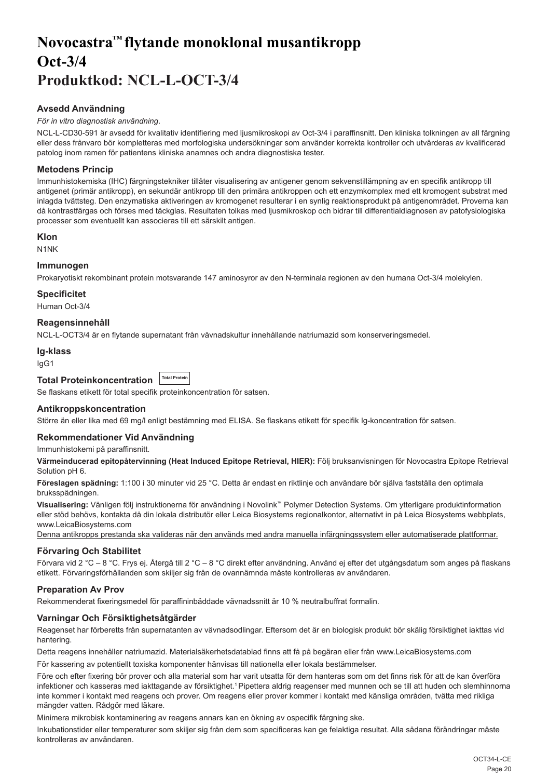# <span id="page-20-0"></span>**Novocastra™ flytande monoklonal musantikropp Oct-3/4 Produktkod: NCL-L-OCT-3/4**

## **Avsedd Användning**

#### *För in vitro diagnostisk användning*.

NCL-L-CD30-591 är avsedd för kvalitativ identifiering med ljusmikroskopi av Oct-3/4 i paraffinsnitt. Den kliniska tolkningen av all färgning eller dess frånvaro bör kompletteras med morfologiska undersökningar som använder korrekta kontroller och utvärderas av kvalificerad patolog inom ramen för patientens kliniska anamnes och andra diagnostiska tester.

## **Metodens Princip**

Immunhistokemiska (IHC) färgningstekniker tillåter visualisering av antigener genom sekvenstillämpning av en specifik antikropp till antigenet (primär antikropp), en sekundär antikropp till den primära antikroppen och ett enzymkomplex med ett kromogent substrat med inlagda tvättsteg. Den enzymatiska aktiveringen av kromogenet resulterar i en synlig reaktionsprodukt på antigenområdet. Proverna kan då kontrastfärgas och förses med täckglas. Resultaten tolkas med ljusmikroskop och bidrar till differentialdiagnosen av patofysiologiska processer som eventuellt kan associeras till ett särskilt antigen.

#### **Klon**

N1NK

#### **Immunogen**

Prokaryotiskt rekombinant protein motsvarande 147 aminosyror av den N-terminala regionen av den humana Oct-3/4 molekylen.

## **Specificitet**

Human Oct-3/4

## **Reagensinnehåll**

NCL-L-OCT3/4 är en flytande supernatant från vävnadskultur innehållande natriumazid som konserveringsmedel.

#### **Ig-klass**

IgG1

## **Total Proteinkoncentration Total Protein**

Se flaskans etikett för total specifik proteinkoncentration för satsen.

#### **Antikroppskoncentration**

Större än eller lika med 69 mg/l enligt bestämning med ELISA. Se flaskans etikett för specifik Ig-koncentration för satsen.

### **Rekommendationer Vid Användning**

Immunhistokemi på paraffinsnitt.

**Värmeinducerad epitopåtervinning (Heat Induced Epitope Retrieval, HIER):** Följ bruksanvisningen för Novocastra Epitope Retrieval Solution pH 6.

**Föreslagen spädning:** 1:100 i 30 minuter vid 25 °C. Detta är endast en riktlinje och användare bör själva fastställa den optimala bruksspädningen.

**Visualisering:** Vänligen följ instruktionerna för användning i Novolink™ Polymer Detection Systems. Om ytterligare produktinformation eller stöd behövs, kontakta då din lokala distributör eller Leica Biosystems regionalkontor, alternativt in på Leica Biosystems webbplats, www.LeicaBiosystems.com

Denna antikropps prestanda ska valideras när den används med andra manuella infärgningssystem eller automatiserade plattformar.

#### **Förvaring Och Stabilitet**

Förvara vid 2 °C – 8 °C. Frys ej. Återgå till 2 °C – 8 °C direkt efter användning. Använd ej efter det utgångsdatum som anges på flaskans etikett. Förvaringsförhållanden som skiljer sig från de ovannämnda måste kontrolleras av användaren.

#### **Preparation Av Prov**

Rekommenderat fixeringsmedel för paraffininbäddade vävnadssnitt är 10 % neutralbuffrat formalin.

## **Varningar Och Försiktighetsåtgärder**

Reagenset har förberetts från supernatanten av vävnadsodlingar. Eftersom det är en biologisk produkt bör skälig försiktighet iakttas vid hantering.

Detta reagens innehåller natriumazid. Materialsäkerhetsdatablad finns att få på begäran eller från www.LeicaBiosystems.com

För kassering av potentiellt toxiska komponenter hänvisas till nationella eller lokala bestämmelser.

Före och efter fixering bör prover och alla material som har varit utsatta för dem hanteras som om det finns risk för att de kan överföra infektioner och kasseras med iakttagande av försiktighet.<sup>1</sup> Pipettera aldrig reagenser med munnen och se till att huden och slemhinnorna inte kommer i kontakt med reagens och prover. Om reagens eller prover kommer i kontakt med känsliga områden, tvätta med rikliga mängder vatten. Rådgör med läkare.

Minimera mikrobisk kontaminering av reagens annars kan en ökning av ospecifik färgning ske.

Inkubationstider eller temperaturer som skiljer sig från dem som specificeras kan ge felaktiga resultat. Alla sådana förändringar måste kontrolleras av användaren.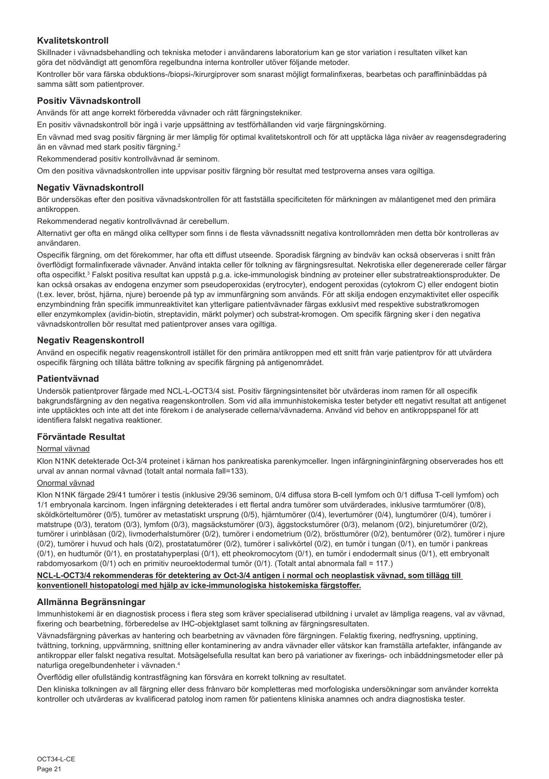## **Kvalitetskontroll**

Skillnader i vävnadsbehandling och tekniska metoder i användarens laboratorium kan ge stor variation i resultaten vilket kan göra det nödvändigt att genomföra regelbundna interna kontroller utöver följande metoder.

Kontroller bör vara färska obduktions-/biopsi-/kirurgiprover som snarast möjligt formalinfixeras, bearbetas och paraffininbäddas på samma sätt som patientprover.

#### **Positiv Vävnadskontroll**

Används för att ange korrekt förberedda vävnader och rätt färgningstekniker.

En positiv vävnadskontroll bör ingå i varje uppsättning av testförhållanden vid varje färgningskörning.

En vävnad med svag positiv färgning är mer lämplig för optimal kvalitetskontroll och för att upptäcka låga nivåer av reagensdegradering än en vävnad med stark positiv färgning.<sup>2</sup>

Rekommenderad positiv kontrollvävnad är seminom.

Om den positiva vävnadskontrollen inte uppvisar positiv färgning bör resultat med testproverna anses vara ogiltiga.

#### **Negativ Vävnadskontroll**

Bör undersökas efter den positiva vävnadskontrollen för att fastställa specificiteten för märkningen av målantigenet med den primära antikroppen.

Rekommenderad negativ kontrollvävnad är cerebellum.

Alternativt ger ofta en mängd olika celltyper som finns i de flesta vävnadssnitt negativa kontrollområden men detta bör kontrolleras av användaren.

Ospecifik färgning, om det förekommer, har ofta ett diffust utseende. Sporadisk färgning av bindväv kan också observeras i snitt från överflödigt formalinfixerade vävnader. Använd intakta celler för tolkning av färgningsresultat. Nekrotiska eller degenererade celler färgar ofta ospecifikt.<sup>3</sup> Falskt positiva resultat kan uppstå p.g.a. icke-immunologisk bindning av proteiner eller substratreaktionsprodukter. De kan också orsakas av endogena enzymer som pseudoperoxidas (erytrocyter), endogent peroxidas (cytokrom C) eller endogent biotin (t.ex. lever, bröst, hjärna, njure) beroende på typ av immunfärgning som används. För att skilja endogen enzymaktivitet eller ospecifik enzymbindning från specifik immunreaktivitet kan ytterligare patientvävnader färgas exklusivt med respektive substratkromogen eller enzymkomplex (avidin-biotin, streptavidin, märkt polymer) och substrat-kromogen. Om specifik färgning sker i den negativa vävnadskontrollen bör resultat med patientprover anses vara ogiltiga.

## **Negativ Reagenskontroll**

Använd en ospecifik negativ reagenskontroll istället för den primära antikroppen med ett snitt från varje patientprov för att utvärdera ospecifik färgning och tillåta bättre tolkning av specifik färgning på antigenområdet.

#### **Patientvävnad**

Undersök patientprover färgade med NCL-L-OCT3/4 sist. Positiv färgningsintensitet bör utvärderas inom ramen för all ospecifik bakgrundsfärgning av den negativa reagenskontrollen. Som vid alla immunhistokemiska tester betyder ett negativt resultat att antigenet inte upptäcktes och inte att det inte förekom i de analyserade cellerna/vävnaderna. Använd vid behov en antikroppspanel för att identifiera falskt negativa reaktioner.

#### **Förväntade Resultat**

#### Normal vävnad

Klon N1NK detekterade Oct-3/4 proteinet i kärnan hos pankreatiska parenkymceller. Ingen infärgningininfärgning observerades hos ett urval av annan normal vävnad (totalt antal normala fall=133).

## Onormal vävnad

Klon N1NK färgade 29/41 tumörer i testis (inklusive 29/36 seminom, 0/4 diffusa stora B-cell lymfom och 0/1 diffusa T-cell lymfom) och 1/1 embryonala karcinom. Ingen infärgning detekterades i ett flertal andra tumörer som utvärderades, inklusive tarmtumörer (0/8), sköldkörteltumörer (0/5), tumörer av metastatiskt ursprung (0/5), hjärntumörer (0/4), levertumörer (0/4), lungtumörer (0/4), tumörer i matstrupe (0/3), teratom (0/3), lymfom (0/3), magsäckstumörer (0/3), äggstockstumörer (0/3), melanom (0/2), binjuretumörer (0/2), tumörer i urinblåsan (0/2), livmoderhalstumörer (0/2), tumörer i endometrium (0/2), brösttumörer (0/2), bentumörer (0/2), tumörer i njure (0/2), tumörer i huvud och hals (0/2), prostatatumörer (0/2), tumörer i salivkörtel (0/2), en tumör i tungan (0/1), en tumör i pankreas  $(0/1)$ , en hudtumör  $(0/1)$ , en prostatahyperplasi  $(0/1)$ , ett pheokromocytom  $(0/1)$ , en tumör i endodermalt sinus  $(0/1)$ , ett embryonalt rabdomyosarkom (0/1) och en primitiv neuroektodermal tumör (0/1). (Totalt antal abnormala fall = 117.)

#### **NCL-L-OCT3/4 rekommenderas för detektering av Oct-3/4 antigen i normal och neoplastisk vävnad, som tillägg till konventionell histopatologi med hjälp av icke-immunologiska histokemiska färgstoffer.**

#### **Allmänna Begränsningar**

Immunhistokemi är en diagnostisk process i flera steg som kräver specialiserad utbildning i urvalet av lämpliga reagens, val av vävnad, fixering och bearbetning, förberedelse av IHC-objektglaset samt tolkning av färgningsresultaten.

Vävnadsfärgning påverkas av hantering och bearbetning av vävnaden före färgningen. Felaktig fixering, nedfrysning, upptining, tvättning, torkning, uppvärmning, snittning eller kontaminering av andra vävnader eller vätskor kan framställa artefakter, infångande av antikroppar eller falskt negativa resultat. Motsägelsefulla resultat kan bero på variationer av fixerings- och inbäddningsmetoder eller på naturliga oregelbundenheter i vävnaden.<sup>4</sup>

Överflödig eller ofullständig kontrastfägning kan försvåra en korrekt tolkning av resultatet.

Den kliniska tolkningen av all färgning eller dess frånvaro bör kompletteras med morfologiska undersökningar som använder korrekta kontroller och utvärderas av kvalificerad patolog inom ramen för patientens kliniska anamnes och andra diagnostiska tester.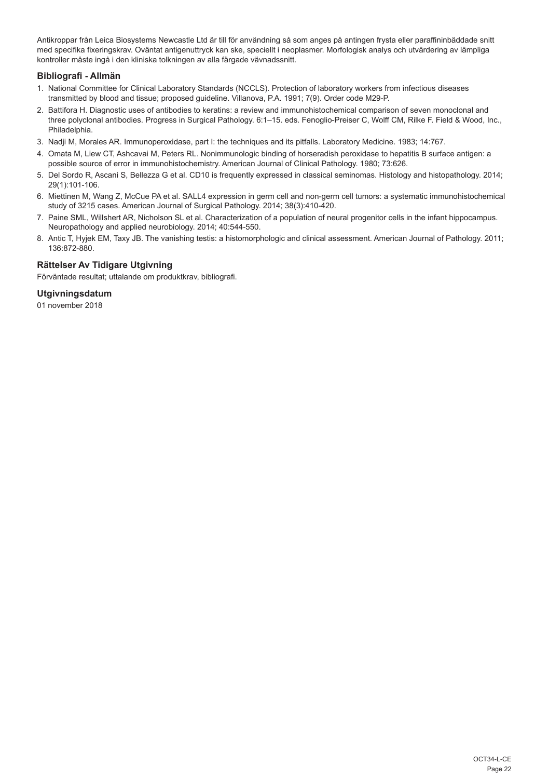Antikroppar från Leica Biosystems Newcastle Ltd är till för användning så som anges på antingen frysta eller paraffininbäddade snitt med specifika fixeringskrav. Oväntat antigenuttryck kan ske, speciellt i neoplasmer. Morfologisk analys och utvärdering av lämpliga kontroller måste ingå i den kliniska tolkningen av alla färgade vävnadssnitt.

### **Bibliografi - Allmän**

- 1. National Committee for Clinical Laboratory Standards (NCCLS). Protection of laboratory workers from infectious diseases transmitted by blood and tissue; proposed guideline. Villanova, P.A. 1991; 7(9). Order code M29-P.
- 2. Battifora H. Diagnostic uses of antibodies to keratins: a review and immunohistochemical comparison of seven monoclonal and three polyclonal antibodies. Progress in Surgical Pathology. 6:1–15. eds. Fenoglio-Preiser C, Wolff CM, Rilke F. Field & Wood, Inc., Philadelphia.
- 3. Nadji M, Morales AR. Immunoperoxidase, part I: the techniques and its pitfalls. Laboratory Medicine. 1983; 14:767.
- 4. Omata M, Liew CT, Ashcavai M, Peters RL. Nonimmunologic binding of horseradish peroxidase to hepatitis B surface antigen: a possible source of error in immunohistochemistry. American Journal of Clinical Pathology. 1980; 73:626.
- 5. Del Sordo R, Ascani S, Bellezza G et al. CD10 is frequently expressed in classical seminomas. Histology and histopathology. 2014; 29(1):101-106.
- 6. Miettinen M, Wang Z, McCue PA et al. SALL4 expression in germ cell and non-germ cell tumors: a systematic immunohistochemical study of 3215 cases. American Journal of Surgical Pathology. 2014; 38(3):410-420.
- 7. Paine SML, Willshert AR, Nicholson SL et al. Characterization of a population of neural progenitor cells in the infant hippocampus. Neuropathology and applied neurobiology. 2014; 40:544-550.
- 8. Antic T, Hyjek EM, Taxy JB. The vanishing testis: a histomorphologic and clinical assessment. American Journal of Pathology. 2011; 136:872-880.

## **Rättelser Av Tidigare Utgivning**

Förväntade resultat; uttalande om produktkrav, bibliografi.

#### **Utgivningsdatum**

01 november 2018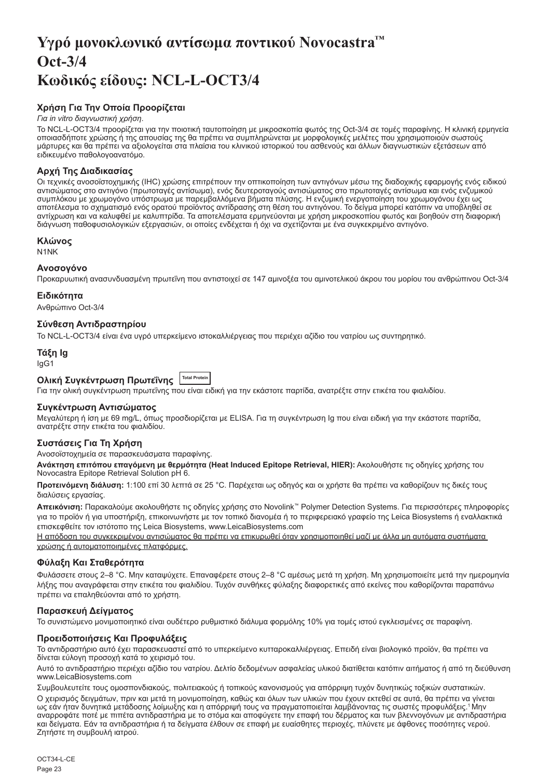# <span id="page-23-0"></span>**Υγρό μονοκλωνικό αντίσωμα ποντικού Novocastra™ Oct-3/4 Κωδικός είδους: NCL-L-OCT3/4**

## **Χρήση Για Την Οποία Προορίζεται**

#### *Για in vitro διαγνωστική χρήση*.

Το NCL-L-OCT3/4 προορίζεται για την ποιοτική ταυτοποίηση με μικροσκοπία φωτός της Oct-3/4 σε τομές παραφίνης. Η κλινική ερμηνεία οποιασδήποτε χρώσης ή της απουσίας της θα πρέπει να συμπληρώνεται με μορφολογικές μελέτες που χρησιμοποιούν σωστούς μάρτυρες και θα πρέπει να αξιολογείται στα πλαίσια του κλινικού ιστορικού του ασθενούς και άλλων διαγνωστικών εξετάσεων από ειδικευμένο παθολογοανατόμο.

## **Αρχή Της Διαδικασίας**

Οι τεχνικές ανοσοϊστοχημικής (IHC) χρώσης επιτρέπουν την οπτικοποίηση των αντιγόνων μέσω της διαδοχικής εφαρμογής ενός ειδικού αντισώματος στο αντιγόνο (πρωτοταγές αντίσωμα), ενός δευτεροταγούς αντισώματος στο πρωτοταγές αντίσωμα και ενός ενζυμικού συμπλόκου με χρωμογόνο υπόστρωμα με παρεμβαλλόμενα βήματα πλύσης. Η ενζυμική ενεργοποίηση του χρωμογόνου έχει ως αποτέλεσμα το σχηματισμό ενός ορατού προϊόντος αντίδρασης στη θέση του αντιγόνου. Το δείγμα μπορεί κατόπιν να υποβληθεί σε αντίχρωση και να καλυφθεί με καλυπτρίδα. Τα αποτελέσματα ερμηνεύονται με χρήση μικροσκοπίου φωτός και βοηθούν στη διαφορική διάγνωση παθοφυσιολογικών εξεργασιών, οι οποίες ενδέχεται ή όχι να σχετίζονται με ένα συγκεκριμένο αντιγόνο.

#### **Κλώνος**

N1NK

#### **Ανοσογόνο**

Προκαρυωτική ανασυνδυασμένη πρωτεΐνη που αντιστοιχεί σε 147 αμινοξέα του αμινοτελικού άκρου του μορίου του ανθρώπινου Oct-3/4

#### **Ειδικότητα**

Ανθρώπινο Oct-3/4

#### **Σύνθεση Αντιδραστηρίου**

Το NCL-L-OCT3/4 είναι ένα υγρό υπερκείμενο ιστοκαλλιέργειας που περιέχει αζίδιο του νατρίου ως συντηρητικό.

**Τάξη Ig** IgG1

## **Ολική Συγκέντρωση Πρωτεΐνης Total Protein**

Για την ολική συγκέντρωση πρωτεΐνης που είναι ειδική για την εκάστοτε παρτίδα, ανατρέξτε στην ετικέτα του φιαλιδίου.

#### **Συγκέντρωση Αντισώματος**

Μεγαλύτερη ή ίση με 69 mg/L, όπως προσδιορίζεται με ELISA. Για τη συγκέντρωση Ig που είναι ειδική για την εκάστοτε παρτίδα, ανατρέξτε στην ετικέτα του φιαλιδίου.

#### **Συστάσεις Για Τη Χρήση**

Ανοσοϊστοχημεία σε παρασκευάσματα παραφίνης.

**Ανάκτηση επιτόπου επαγόμενη με θερμότητα (Heat Induced Epitope Retrieval, HIER):** Ακολουθήστε τις οδηγίες χρήσης του Novocastra Epitope Retrieval Solution pH 6.

**Προτεινόμενη διάλυση:** 1:100 επί 30 λεπτά σε 25 °C. Παρέχεται ως οδηγός και οι χρήστε θα πρέπει να καθορίζουν τις δικές τους διαλύσεις εργασίας.

**Απεικόνιση:** Παρακαλούμε ακολουθήστε τις οδηγίες χρήσης στο Novolink™ Polymer Detection Systems. Για περισσότερες πληροφορίες για το προϊόν ή για υποστήριξη, επικοινωνήστε με τον τοπικό διανομέα ή το περιφερειακό γραφείο της Leica Biosystems ή εναλλακτικά επισκεφθείτε τον ιστότοπο της Leica Biosystems, www.LeicaBiosystems.com

Η απόδοση του συγκεκριμένου αντισώματος θα πρέπει να επικυρωθεί όταν χρησιμοποιηθεί μαζί με άλλα μη αυτόματα συστήματα χρώσης ή αυτοματοποιημένες πλατφόρμες.

#### **Φύλαξη Και Σταθερότητα**

Φυλάσσετε στους 2–8 °C. Μην καταψύχετε. Επαναφέρετε στους 2–8 °C αμέσως μετά τη χρήση. Μη χρησιμοποιείτε μετά την ημερομηνία λήξης που αναγράφεται στην ετικέτα του φιαλιδίου. Τυχόν συνθήκες φύλαξης διαφορετικές από εκείνες που καθορίζονται παραπάνω πρέπει να επαληθεύονται από το χρήστη.

#### **Παρασκευή Δείγματος**

Το συνιστώμενο μονιμοποιητικό είναι ουδέτερο ρυθμιστικό διάλυμα φορμόλης 10% για τομές ιστού εγκλεισμένες σε παραφίνη.

#### **Προειδοποιήσεις Και Προφυλάξεις**

Το αντιδραστήριο αυτό έχει παρασκευαστεί από το υπερκείμενο κυτταροκαλλιέργειας. Επειδή είναι βιολογικό προϊόν, θα πρέπει να δίνεται εύλογη προσοχή κατά το χειρισμό του.

Αυτό το αντιδραστήριο περιέχει αζίδιο του νατρίου. Δελτίο δεδομένων ασφαλείας υλικού διατίθεται κατόπιν αιτήματος ή από τη διεύθυνση www.LeicaBiosystems.com

Συμβουλευτείτε τους ομοσπονδιακούς, πολιτειακούς ή τοπικούς κανονισμούς για απόρριψη τυχόν δυνητικώς τοξικών συστατικών. Ο χειρισμός δειγμάτων, πριν και μετά τη μονιμοποίηση, καθώς και όλων των υλικών που έχουν εκτεθεί σε αυτά, θα πρέπει να γίνεται ως εάν ήταν δυνητικά μετάδοσης λοίμωξης και η απόρριψή τους να πραγματοποιείται λαμβάνοντας τις σωστές προφυλάξεις.<sup>1</sup>Μην αναρροφάτε ποτέ με πιπέτα αντιδραστήρια με το στόμα και αποφύγετε την επαφή του δέρματος και των βλεννογόνων με αντιδραστήρια και δείγματα. Εάν τα αντιδραστήρια ή τα δείγματα έλθουν σε επαφή με ευαίσθητες περιοχές, πλύνετε με άφθονες ποσότητες νερού. Ζητήστε τη συμβουλή ιατρού.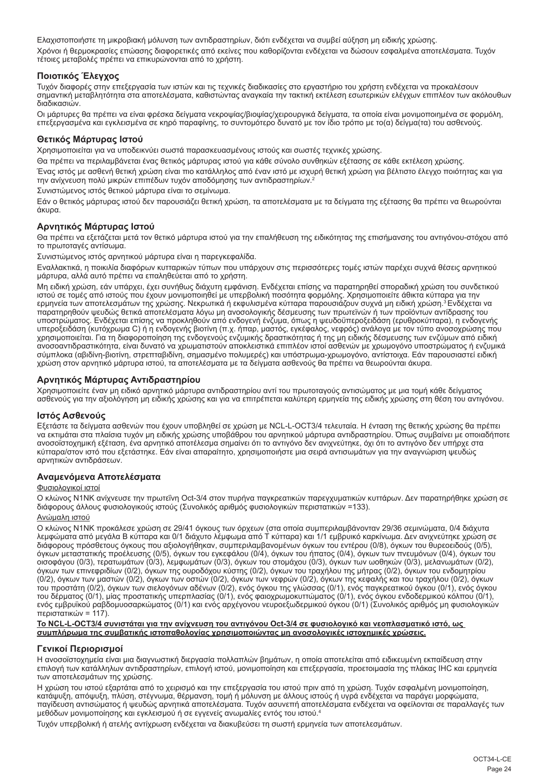Ελαχιστοποιήστε τη μικροβιακή μόλυνση των αντιδραστηρίων, διότι ενδέχεται να συμβεί αύξηση μη ειδικής χρώσης. Χρόνοι ή θερμοκρασίες επώασης διαφορετικές από εκείνες που καθορίζονται ενδέχεται να δώσουν εσφαλμένα αποτελέσματα. Τυχόν τέτοιες μεταβολές πρέπει να επικυρώνονται από το χρήστη.

## **Ποιοτικός Έλεγχος**

Τυχόν διαφορές στην επεξεργασία των ιστών και τις τεχνικές διαδικασίες στο εργαστήριο του χρήστη ενδέχεται να προκαλέσουν σημαντική μεταβλητότητα στα αποτελέσματα, καθιστώντας αναγκαία την τακτική εκτέλεση εσωτερικών ελέγχων επιπλέον των ακόλουθων διαδικασιών.

Οι μάρτυρες θα πρέπει να είναι φρέσκα δείγματα νεκροψίας/βιοψίας/χειρουργικά δείγματα, τα οποία είναι μονιμοποιημένα σε φορμόλη, επεξεργασμένα και εγκλεισμένα σε κηρό παραφίνης, το συντομότερο δυνατό με τον ίδιο τρόπο με το(α) δείγμα(τα) του ασθενούς.

## **Θετικός Μάρτυρας Ιστού**

Χρησιμοποιείται για να υποδεικνύει σωστά παρασκευασμένους ιστούς και σωστές τεχνικές χρώσης.

Θα πρέπει να περιλαμβάνεται ένας θετικός μάρτυρας ιστού για κάθε σύνολο συνθηκών εξέτασης σε κάθε εκτέλεση χρώσης.

Ένας ιστός με ασθενή θετική χρώση είναι πιο κατάλληλος από έναν ιστό με ισχυρή θετική χρώση για βέλτιστο έλεγχο ποιότητας και για την ανίχνευση πολύ μικρών επιπέδων τυχόν αποδόμησης των αντιδραστηρίων.<sup>2</sup>

Συνιστώμενος ιστός θετικού μάρτυρα είναι το σεμίνωμα.

Εάν ο θετικός μάρτυρας ιστού δεν παρουσιάζει θετική χρώση, τα αποτελέσματα με τα δείγματα της εξέτασης θα πρέπει να θεωρούνται άκυρα.

## **Αρνητικός Μάρτυρας Ιστού**

Θα πρέπει να εξετάζεται μετά τον θετικό μάρτυρα ιστού για την επαλήθευση της ειδικότητας της επισήμανσης του αντιγόνου-στόχου από το πρωτοταγές αντίσωμα.

Συνιστώμενος ιστός αρνητικού μάρτυρα είναι η παρεγκεφαλίδα.

Εναλλακτικά, η ποικιλία διαφόρων κυτταρικών τύπων που υπάρχουν στις περισσότερες τομές ιστών παρέχει συχνά θέσεις αρνητικού μάρτυρα, αλλά αυτό πρέπει να επαληθεύεται από το χρήστη.

Μη ειδική χρώση, εάν υπάρχει, έχει συνήθως διάχυτη εμφάνιση. Ενδέχεται επίσης να παρατηρηθεί σποραδική χρώση του συνδετικού ιστού σε τομές από ιστούς που έχουν μονιμοποιηθεί με υπερβολική ποσότητα φορμόλης. Χρησιμοποιείτε άθικτα κύτταρα για την<br>ερμηνεία των αποτελεσμάτων της χρώσης. Νεκρωτικά ή εκφυλισμένα κύτταρα παρουσιάζουν συχνά μη ειδική παρατηρηθούν ψευδώς θετικά αποτελέσματα λόγω μη ανοσολογικής δέσμευσης των πρωτεϊνών ή των προϊόντων αντίδρασης του υποστρώματος. Ενδέχεται επίσης να προκληθούν από ενδογενή ένζυμα, όπως η ψευδοϋπεροξειδάση (ερυθροκύτταρα), η ενδογενής<br>υπεροξειδάση (κυτόχρωμα C) ή η ενδογενής βιοτίνη (π.χ. ήπαρ, μαστός, εγκέφαλος, νεφρός) ανάλογα με το χρησιμοποιείται. Για τη διαφοροποίηση της ενδογενούς ενζυμικής δραστικότητας ή της μη ειδικής δέσμευσης των ενζύμων από ειδική ανοσοαντιδραστικότητα, είναι δυνατό να χρωματιστούν αποκλειστικά επιπλέον ιστοί ασθενών με χρωμογόνο υποστρώματος ή ενζυμικά σύμπλοκα (αβιδίνη-βιοτίνη, στρεπταβιδίνη, σημασμένο πολυμερές) και υπόστρωμα-χρωμογόνο, αντίστοιχα. Εάν παρουσιαστεί ειδική χρώση στον αρνητικό μάρτυρα ιστού, τα αποτελέσματα με τα δείγματα ασθενούς θα πρέπει να θεωρούνται άκυρα.

## **Αρνητικός Μάρτυρας Αντιδραστηρίου**

Χρησιμοποιείτε έναν μη ειδικό αρνητικό μάρτυρα αντιδραστηρίου αντί του πρωτοταγούς αντισώματος με μια τομή κάθε δείγματος<br>ασθενούς για την αξιολόγηση μη ειδικής χρώσης και για να επιτρέπεται καλύτερη ερμηνεία της ειδικής

#### **Ιστός Ασθενούς**

Εξετάστε τα δείγματα ασθενών που έχουν υποβληθεί σε χρώση με NCL-L-OCT3/4 τελευταία. Η ένταση της θετικής χρώσης θα πρέπει να εκτιμάται στα πλαίσια τυχόν μη ειδικής χρώσης υποβάθρου του αρνητικού μάρτυρα αντιδραστηρίου. Όπως συμβαίνει με οποιαδήποτε ανοσοϊστοχημική εξέταση, ένα αρνητικό αποτέλεσμα σημαίνει ότι το αντιγόνο δεν ανιχνεύτηκε, όχι ότι το αντιγόνο δεν υπήρχε στα κύτταρα/στον ιστό που εξετάστηκε. Εάν είναι απαραίτητο, χρησιμοποιήστε μια σειρά αντισωμάτων για την αναγνώριση ψευδώς αρνητικών αντιδράσεων.

#### **Αναμενόμενα Αποτελέσματα**

#### Φυσιολογικοί ιστοί

Ο κλώνος N1NK ανίχνευσε την πρωτεΐνη Oct-3/4 στον πυρήνα παγκρεατικών παρεγχυματικών κυττάρων. Δεν παρατηρήθηκε χρώση σε διάφορους άλλους φυσιολογικούς ιστούς (Συνολικός αριθμός φυσιολογικών περιστατικών =133).

## Ανώμαλη ιστού

Ο κλώνος N1NK προκάλεσε χρώση σε 29/41 όγκους των όρχεων (στα οποία συμπεριλαμβάνονταν 29/36 σεμινώματα, 0/4 διάχυτα λεμφώματα από μεγάλα B κύτταρα και 0/1 διάχυτο λέμφωμα από T κύτταρα) και 1/1 εμβρυικό καρκίνωμα. Δεν ανιχνεύτηκε χρώση σε διάφορους πρόσθετους όγκους που αξιολογήθηκαν, συμπεριλαμβανομένων όγκων του εντέρου (0/8), όγκων του θυρεοειδούς (0/5), όγκων μεταστατικής προέλευσης (0/5), όγκων του εγκεφάλου (0/4), όγκων του ήπατος (0/4), όγκων των πνευμόνων (0/4), όγκων του οισοφάγου (0/3), τερατωμάτων (0/3), λεμφωμάτων (0/3), όγκων του στομάχου (0/3), όγκων των ωοθηκών (0/3), μελανωμάτων (0/2), όγκων των επινεφριδίων (0/2), όγκων της ουροδόχου κύστης (0/2), όγκων του τραχήλου της μήτρας (0/2), όγκων του ενδομητρίου<br>(0/2), όγκων των μαστών (0/2), όγκων των οστών (0/2), όγκων των νεφρών (0/2), όγκων της κεφαλής κα του προστάτη (0/2), όγκων των σιελογόνων αδένων (0/2), ενός όγκου της γλώσσας (0/1), ενός παγκρεατικού όγκου (0/1), ενός όγκου του δέρματος (0/1), μίας προστατικής υπερπλασίας (0/1), ενός φαιοχρωμοκυπώματος (0/1), ενός όγκου ενδοδερμικού κόλπου (0/1),<br>ενός εμβρυϊκού ραβδομυοσαρκώματος (0/1) και ενός αρχέγονου νευροεξωδερμικού όγκου (0/1) (Συνολικ περιστατικών = 117).

# **Το NCL-L-OCT3/4 συνιστάται για την ανίχνευση του αντιγόνου Oct-3/4 σε φυσιολογικό και νεοπλασματικό ιστό, ως συμπλήρωμα της συμβατικής ιστοπαθολογίας χρησιμοποιώντας μη ανοσολογικές ιστοχημικές χρώσεις.**

#### **Γενικοί Περιορισμοί**

Η ανοσοϊστοχημεία είναι μια διαγνωστική διεργασία πολλαπλών βημάτων, η οποία αποτελείται από ειδικευμένη εκπαίδευση στην επιλογή των κατάλληλων αντιδραστηρίων, επιλογή ιστού, μονιμοποίηση και επεξεργασία, προετοιμασία της πλάκας IHC και ερμηνεία των αποτελεσμάτων της χρώσης.

Η χρώση του ιστού εξαρτάται από το χειρισμό και την επεξεργασία του ιστού πριν από τη χρώση. Τυχόν εσφαλμένη μονιμοποίηση, κατάψυξη, απόψυξη, πλύση, στέγνωμα, θέρμανση, τομή ή μόλυνση με άλλους ιστούς ή υγρά ενδέχεται να παράγει μορφώματα, παγίδευση αντισώματος ή ψευδώς αρνητικά αποτελέσματα. Τυχόν ασυνεπή αποτελέσματα ενδέχεται να οφείλονται σε παραλλαγές των μεθόδων μονιμοποίησης και εγκλεισμού ή σε εγγενείς ανωμαλίες εντός του ιστού.<sup>4</sup>

Τυχόν υπερβολική ή ατελής αντίχρωση ενδέχεται να διακυβεύσει τη σωστή ερμηνεία των αποτελεσμάτων.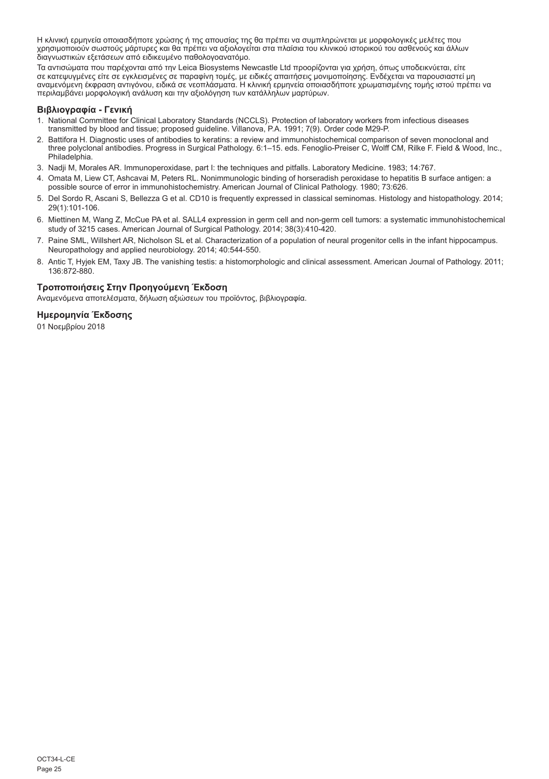Η κλινική ερμηνεία οποιασδήποτε χρώσης ή της απουσίας της θα πρέπει να συμπληρώνεται με μορφολογικές μελέτες που χρησιμοποιούν σωστούς μάρτυρες και θα πρέπει να αξιολογείται στα πλαίσια του κλινικού ιστορικού του ασθενούς και άλλων διαγνωστικών εξετάσεων από ειδικευμένο παθολογοανατόμο.

Τα αντισώματα που παρέχονται από την Leica Biosystems Newcastle Ltd προορίζονται για χρήση, όπως υποδεικνύεται, είτε σε κατεψυγμένες είτε σε εγκλεισμένες σε παραφίνη τομές, με ειδικές απαιτήσεις μονιμοποίησης. Ενδέχεται να παρουσιαστεί μη<br>αναμενόμενη έκφραση αντιγόνου, ειδικά σε νεοπλάσματα. Η κλινική ερμηνεία οποιασδήποτε χρωματισμένης περιλαμβάνει μορφολογική ανάλυση και την αξιολόγηση των κατάλληλων μαρτύρων.

#### **Βιβλιογραφία - Γενική**

- 1. National Committee for Clinical Laboratory Standards (NCCLS). Protection of laboratory workers from infectious diseases transmitted by blood and tissue; proposed guideline. Villanova, P.A. 1991; 7(9). Order code M29-P.
- 2. Battifora H. Diagnostic uses of antibodies to keratins: a review and immunohistochemical comparison of seven monoclonal and three polyclonal antibodies. Progress in Surgical Pathology. 6:1–15. eds. Fenoglio-Preiser C, Wolff CM, Rilke F. Field & Wood, Inc., Philadelphia.
- 3. Nadji M, Morales AR. Immunoperoxidase, part I: the techniques and pitfalls. Laboratory Medicine. 1983; 14:767.
- 4. Omata M, Liew CT, Ashcavai M, Peters RL. Nonimmunologic binding of horseradish peroxidase to hepatitis B surface antigen: a possible source of error in immunohistochemistry. American Journal of Clinical Pathology. 1980; 73:626.
- 5. Del Sordo R, Ascani S, Bellezza G et al. CD10 is frequently expressed in classical seminomas. Histology and histopathology. 2014; 29(1):101-106.
- 6. Miettinen M, Wang Z, McCue PA et al. SALL4 expression in germ cell and non-germ cell tumors: a systematic immunohistochemical study of 3215 cases. American Journal of Surgical Pathology. 2014; 38(3):410-420.
- 7. Paine SML, Willshert AR, Nicholson SL et al. Characterization of a population of neural progenitor cells in the infant hippocampus. Neuropathology and applied neurobiology. 2014; 40:544-550.
- 8. Antic T, Hyjek EM, Taxy JB. The vanishing testis: a histomorphologic and clinical assessment. American Journal of Pathology. 2011; 136:872-880.

#### **Τροποποιήσεις Στην Προηγούμενη Έκδοση**

Αναμενόμενα αποτελέσματα, δήλωση αξιώσεων του προϊόντος, βιβλιογραφία.

## **Ημερομηνία Έκδοσης**

01 Νοεμβρίου 2018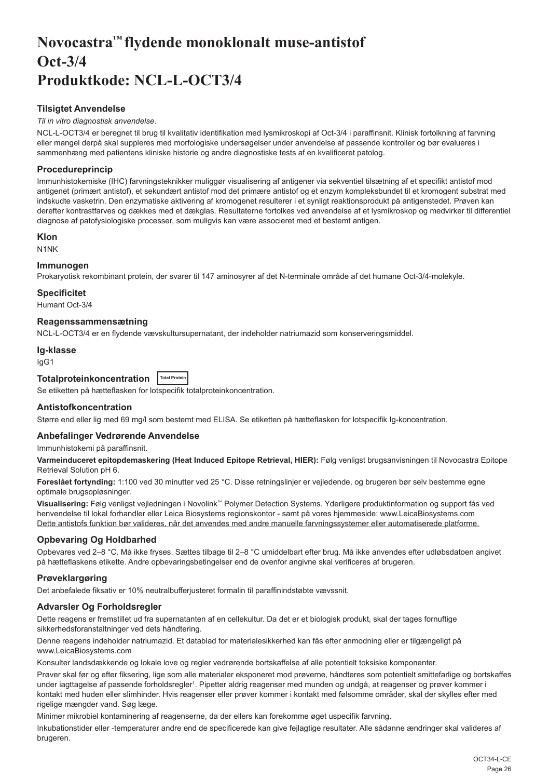# <span id="page-26-0"></span>**Novocastra™ flydende monoklonalt muse-antistof Oct-3/4 Produktkode: NCL-L-OCT3/4**

## **Tilsigtet Anvendelse**

## *Til in vitro diagnostisk anvendelse*.

NCL-L-OCT3/4 er beregnet til brug til kvalitativ identifikation med lysmikroskopi af Oct-3/4 i paraffinsnit. Klinisk fortolkning af farvning eller mangel derpå skal suppleres med morfologiske undersøgelser under anvendelse af passende kontroller og bør evalueres i sammenhæng med patientens kliniske historie og andre diagnostiske tests af en kvalificeret patolog.

## **Procedureprincip**

Immunhistokemiske (IHC) farvningsteknikker muliggør visualisering af antigener via sekventiel tilsætning af et specifikt antistof mod antigenet (primært antistof), et sekundært antistof mod det primære antistof og et enzym kompleksbundet til et kromogent substrat med indskudte vasketrin. Den enzymatiske aktivering af kromogenet resulterer i et synligt reaktionsprodukt på antigenstedet. Prøven kan derefter kontrastfarves og dækkes med et dækglas. Resultaterne fortolkes ved anvendelse af et lysmikroskop og medvirker til differentiel diagnose af patofysiologiske processer, som muligvis kan være associeret med et bestemt antigen.

## **Klon**

N1NK

#### **Immunogen**

Prokaryotisk rekombinant protein, der svarer til 147 aminosyrer af det N-terminale område af det humane Oct-3/4-molekyle.

#### **Specificitet**

Humant Oct-3/4

#### **Reagenssammensætning**

NCL-L-OCT3/4 er en flydende vævskultursupernatant, der indeholder natriumazid som konserveringsmiddel.

#### **Ig-klasse**

IgG1

## **Totalproteinkoncentration Total Protein**

Se etiketten på hætteflasken for lotspecifik totalproteinkoncentration.

#### **Antistofkoncentration**

Større end eller lig med 69 mg/l som bestemt med ELISA. Se etiketten på hætteflasken for lotspecifik Ig-koncentration.

## **Anbefalinger Vedrørende Anvendelse**

Immunhistokemi på paraffinsnit.

**Varmeinduceret epitopdemaskering (Heat Induced Epitope Retrieval, HIER):** Følg venligst brugsanvisningen til Novocastra Epitope Retrieval Solution pH 6.

**Foreslået fortynding:** 1:100 ved 30 minutter ved 25 °C. Disse retningslinjer er vejledende, og brugeren bør selv bestemme egne optimale brugsopløsninger.

**Visualisering:** Følg venligst vejledningen i Novolink™ Polymer Detection Systems. Yderligere produktinformation og support fås ved henvendelse til lokal forhandler eller Leica Biosystems regionskontor - samt på vores hjemmeside: www.LeicaBiosystems.com Dette antistofs funktion bør valideres, når det anvendes med andre manuelle farvningssystemer eller automatiserede platforme.

#### **Opbevaring Og Holdbarhed**

Opbevares ved 2–8 °C. Må ikke fryses. Sættes tilbage til 2–8 °C umiddelbart efter brug. Må ikke anvendes efter udløbsdatoen angivet på hætteflaskens etikette. Andre opbevaringsbetingelser end de ovenfor angivne skal verificeres af brugeren.

#### **Prøveklargøring**

Det anbefalede fiksativ er 10% neutralbufferjusteret formalin til paraffinindstøbte vævssnit.

#### **Advarsler Og Forholdsregler**

Dette reagens er fremstillet ud fra supernatanten af en cellekultur. Da det er et biologisk produkt, skal der tages fornuftige sikkerhedsforanstaltninger ved dets håndtering.

Denne reagens indeholder natriumazid. Et datablad for materialesikkerhed kan fås efter anmodning eller er tilgængeligt på www.LeicaBiosystems.com

Konsulter landsdækkende og lokale love og regler vedrørende bortskaffelse af alle potentielt toksiske komponenter.

Prøver skal før og efter fiksering, lige som alle materialer eksponeret mod prøverne, håndteres som potentielt smittefarlige og bortskaffes under iagttagelse af passende forholdsregler<sup>ı</sup>. Pipetter aldrig reagenser med munden og undgå, at reagenser og prøver kommer i kontakt med huden eller slimhinder. Hvis reagenser eller prøver kommer i kontakt med følsomme områder, skal der skylles efter med rigelige mængder vand. Søg læge.

Minimer mikrobiel kontaminering af reagenserne, da der ellers kan forekomme øget uspecifik farvning.

Inkubationstider eller -temperaturer andre end de specificerede kan give fejlagtige resultater. Alle sådanne ændringer skal valideres af brugeren.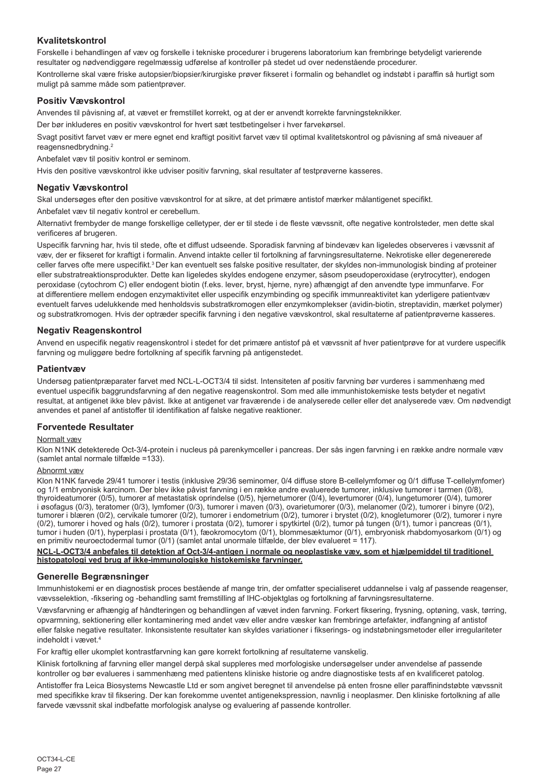## **Kvalitetskontrol**

Forskelle i behandlingen af væv og forskelle i tekniske procedurer i brugerens laboratorium kan frembringe betydeligt varierende resultater og nødvendiggøre regelmæssig udførelse af kontroller på stedet ud over nedenstående procedurer. Kontrollerne skal være friske autopsier/biopsier/kirurgiske prøver fikseret i formalin og behandlet og indstøbt i paraffin så hurtigt som muligt på samme måde som patientprøver.

#### **Positiv Vævskontrol**

Anvendes til påvisning af, at vævet er fremstillet korrekt, og at der er anvendt korrekte farvningsteknikker.

Der bør inkluderes en positiv vævskontrol for hvert sæt testbetingelser i hver farvekørsel.

Svagt positivt farvet væv er mere egnet end kraftigt positivt farvet væv til optimal kvalitetskontrol og påvisning af små niveauer af reagensnedbrydning.<sup>2</sup>

Anbefalet væv til positiv kontrol er seminom.

Hvis den positive vævskontrol ikke udviser positiv farvning, skal resultater af testprøverne kasseres.

## **Negativ Vævskontrol**

Skal undersøges efter den positive vævskontrol for at sikre, at det primære antistof mærker målantigenet specifikt.

Anbefalet væv til negativ kontrol er cerebellum.

Alternativt frembyder de mange forskellige celletyper, der er til stede i de fleste vævssnit, ofte negative kontrolsteder, men dette skal verificeres af brugeren.

Uspecifik farvning har, hvis til stede, ofte et diffust udseende. Sporadisk farvning af bindevæv kan ligeledes observeres i vævssnit af væv, der er fikseret for kraftigt i formalin. Anvend intakte celler til fortolkning af farvningsresultaterne. Nekrotiske eller degenererede celler farves ofte mere uspecifikt.<sup>3</sup>Der kan eventuelt ses falske positive resultater, der skyldes non-immunologisk binding af proteiner eller substratreaktionsprodukter. Dette kan ligeledes skyldes endogene enzymer, såsom pseudoperoxidase (erytrocytter), endogen peroxidase (cytochrom C) eller endogent biotin (f.eks. lever, bryst, hjerne, nyre) afhængigt af den anvendte type immunfarve. For at differentiere mellem endogen enzymaktivitet eller uspecifik enzymbinding og specifik immunreaktivitet kan yderligere patientvæv eventuelt farves udelukkende med henholdsvis substratkromogen eller enzymkomplekser (avidin-biotin, streptavidin, mærket polymer) og substratkromogen. Hvis der optræder specifik farvning i den negative vævskontrol, skal resultaterne af patientprøverne kasseres.

## **Negativ Reagenskontrol**

Anvend en uspecifik negativ reagenskontrol i stedet for det primære antistof på et vævssnit af hver patientprøve for at vurdere uspecifik farvning og muliggøre bedre fortolkning af specifik farvning på antigenstedet.

#### **Patientvæv**

Undersøg patientpræparater farvet med NCL-L-OCT3/4 til sidst. Intensiteten af positiv farvning bør vurderes i sammenhæng med eventuel uspecifik baggrundsfarvning af den negative reagenskontrol. Som med alle immunhistokemiske tests betyder et negativt resultat, at antigenet ikke blev påvist. Ikke at antigenet var fraværende i de analyserede celler eller det analyserede væv. Om nødvendigt anvendes et panel af antistoffer til identifikation af falske negative reaktioner.

#### **Forventede Resultater**

#### Normalt væv

Klon N1NK detekterede Oct-3/4-protein i nucleus på parenkymceller i pancreas. Der sås ingen farvning i en række andre normale væv (samlet antal normale tilfælde =133).

## Abnormt væv

Klon N1NK farvede 29/41 tumorer i testis (inklusive 29/36 seminomer, 0/4 diffuse store B-cellelymfomer og 0/1 diffuse T-cellelymfomer) og 1/1 embryonisk karcinom. Der blev ikke påvist farvning i en række andre evaluerede tumorer, inklusive tumorer i tarmen (0/8), thyroideatumorer (0/5), tumorer af metastatisk oprindelse (0/5), hjernetumorer (0/4), levertumorer (0/4), lungetumorer (0/4), tumorer i øsofagus (0/3), teratomer (0/3), lymfomer (0/3), tumorer i maven (0/3), ovarietumorer (0/3), melanomer (0/2), tumorer i binyre (0/2), tumorer i blæren (0/2), cervikale tumorer (0/2), tumorer i endometrium (0/2), tumorer i brystet (0/2), knogletumorer (0/2), tumorer i nyre (0/2), tumorer i hoved og hals (0/2), tumorer i prostata (0/2), tumorer i spytkirtel (0/2), tumor på tungen (0/1), tumor i pancreas (0/1), tumor i huden (0/1), hyperplasi i prostata (0/1), fæokromocytom (0/1), blommesæktumor (0/1), embryonisk rhabdomyosarkom (0/1) og en primitiv neuroectodermal tumor (0/1) (samlet antal unormale tilfælde, der blev evalueret = 117).

**NCL-L-OCT3/4 anbefales til detektion af Oct-3/4-antigen i normale og neoplastiske væv, som et hjælpemiddel til traditionel histopatologi ved brug af ikke-immunologiske histokemiske farvninger.**

#### **Generelle Begrænsninger**

Immunhistokemi er en diagnostisk proces bestående af mange trin, der omfatter specialiseret uddannelse i valg af passende reagenser, vævsselektion, -fiksering og -behandling samt fremstilling af IHC-objektglas og fortolkning af farvningsresultaterne.

Vævsfarvning er afhængig af håndteringen og behandlingen af vævet inden farvning. Forkert fiksering, frysning, optøning, vask, tørring, opvarmning, sektionering eller kontaminering med andet væv eller andre væsker kan frembringe artefakter, indfangning af antistof eller falske negative resultater. Inkonsistente resultater kan skyldes variationer i fikserings- og indstøbningsmetoder eller irregulariteter indeholdt i vævet.<sup>4</sup>

For kraftig eller ukomplet kontrastfarvning kan gøre korrekt fortolkning af resultaterne vanskelig.

Klinisk fortolkning af farvning eller mangel derpå skal suppleres med morfologiske undersøgelser under anvendelse af passende kontroller og bør evalueres i sammenhæng med patientens kliniske historie og andre diagnostiske tests af en kvalificeret patolog.

Antistoffer fra Leica Biosystems Newcastle Ltd er som angivet beregnet til anvendelse på enten frosne eller paraffinindstøbte vævssnit med specifikke krav til fiksering. Der kan forekomme uventet antigenekspression, navnlig i neoplasmer. Den kliniske fortolkning af alle farvede vævssnit skal indbefatte morfologisk analyse og evaluering af passende kontroller.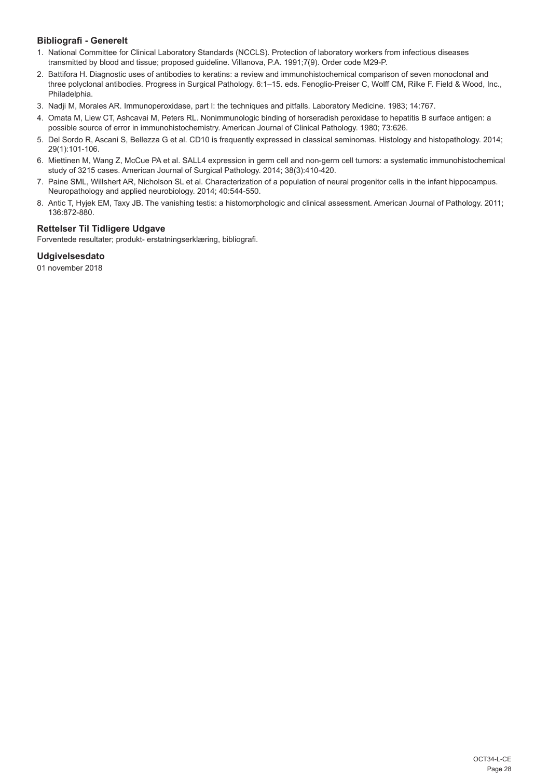## **Bibliografi - Generelt**

- 1. National Committee for Clinical Laboratory Standards (NCCLS). Protection of laboratory workers from infectious diseases transmitted by blood and tissue; proposed guideline. Villanova, P.A. 1991;7(9). Order code M29-P.
- 2. Battifora H. Diagnostic uses of antibodies to keratins: a review and immunohistochemical comparison of seven monoclonal and three polyclonal antibodies. Progress in Surgical Pathology. 6:1–15. eds. Fenoglio-Preiser C, Wolff CM, Rilke F. Field & Wood, Inc., Philadelphia.
- 3. Nadji M, Morales AR. Immunoperoxidase, part I: the techniques and pitfalls. Laboratory Medicine. 1983; 14:767.
- 4. Omata M, Liew CT, Ashcavai M, Peters RL. Nonimmunologic binding of horseradish peroxidase to hepatitis B surface antigen: a possible source of error in immunohistochemistry. American Journal of Clinical Pathology. 1980; 73:626.
- 5. Del Sordo R, Ascani S, Bellezza G et al. CD10 is frequently expressed in classical seminomas. Histology and histopathology. 2014; 29(1):101-106.
- 6. Miettinen M, Wang Z, McCue PA et al. SALL4 expression in germ cell and non-germ cell tumors: a systematic immunohistochemical study of 3215 cases. American Journal of Surgical Pathology. 2014; 38(3):410-420.
- 7. Paine SML, Willshert AR, Nicholson SL et al. Characterization of a population of neural progenitor cells in the infant hippocampus. Neuropathology and applied neurobiology. 2014; 40:544-550.
- 8. Antic T, Hyjek EM, Taxy JB. The vanishing testis: a histomorphologic and clinical assessment. American Journal of Pathology. 2011; 136:872-880.

## **Rettelser Til Tidligere Udgave**

Forventede resultater; produkt- erstatningserklæring, bibliografi.

## **Udgivelsesdato**

01 november 2018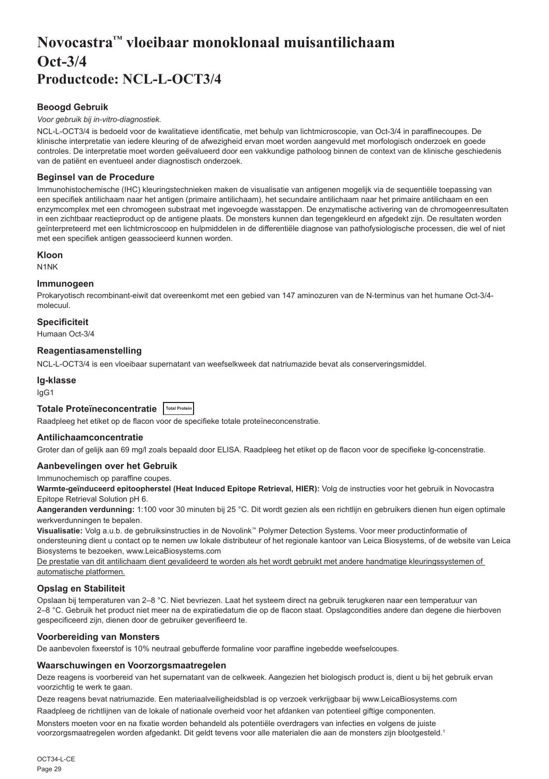# <span id="page-29-0"></span>**Novocastra™ vloeibaar monoklonaal muisantilichaam Oct-3/4 Productcode: NCL-L-OCT3/4**

## **Beoogd Gebruik**

#### *Voor gebruik bij in-vitro-diagnostiek.*

NCL-L-OCT3/4 is bedoeld voor de kwalitatieve identificatie, met behulp van lichtmicroscopie, van Oct-3/4 in paraffinecoupes. De klinische interpretatie van iedere kleuring of de afwezigheid ervan moet worden aangevuld met morfologisch onderzoek en goede controles. De interpretatie moet worden geëvalueerd door een vakkundige patholoog binnen de context van de klinische geschiedenis van de patiënt en eventueel ander diagnostisch onderzoek.

## **Beginsel van de Procedure**

Immunohistochemische (IHC) kleuringstechnieken maken de visualisatie van antigenen mogelijk via de sequentiële toepassing van een specifiek antilichaam naar het antigen (primaire antilichaam), het secundaire antilichaam naar het primaire antilichaam en een enzymcomplex met een chromogeen substraat met ingevoegde wasstappen. De enzymatische activering van de chromogeenresultaten in een zichtbaar reactieproduct op de antigene plaats. De monsters kunnen dan tegengekleurd en afgedekt zijn. De resultaten worden geïnterpreteerd met een lichtmicroscoop en hulpmiddelen in de differentiële diagnose van pathofysiologische processen, die wel of niet met een specifiek antigen geassocieerd kunnen worden.

#### **Kloon**

N1NK

#### **Immunogeen**

Prokaryotisch recombinant-eiwit dat overeenkomt met een gebied van 147 aminozuren van de N-terminus van het humane Oct-3/4 molecuul.

## **Specificiteit**

Humaan Oct-3/4

#### **Reagentiasamenstelling**

NCL-L-OCT3/4 is een vloeibaar supernatant van weefselkweek dat natriumazide bevat als conserveringsmiddel.

#### **Ig-klasse**

IgG1

## **Totale Proteïneconcentratie Total Protein**

Raadpleeg het etiket op de flacon voor de specifieke totale proteïneconcenstratie.

## **Antilichaamconcentratie**

Groter dan of gelijk aan 69 mg/l zoals bepaald door ELISA. Raadpleeg het etiket op de flacon voor de specifieke lg-concenstratie.

#### **Aanbevelingen over het Gebruik**

Immunochemisch op paraffine coupes.

**Warmte-geïnduceerd epitoopherstel (Heat Induced Epitope Retrieval, HIER):** Volg de instructies voor het gebruik in Novocastra Epitope Retrieval Solution pH 6.

Aangeranden verdunning: 1:100 voor 30 minuten bij 25 °C. Dit wordt gezien als een richtlijn en gebruikers dienen hun eigen optimale werkverdunningen te bepalen.

**Visualisatie:** Volg a.u.b. de gebruiksinstructies in de Novolink™ Polymer Detection Systems. Voor meer productinformatie of ondersteuning dient u contact op te nemen uw lokale distributeur of het regionale kantoor van Leica Biosystems, of de website van Leica Biosystems te bezoeken, www.LeicaBiosystems.com

De prestatie van dit antilichaam dient gevalideerd te worden als het wordt gebruikt met andere handmatige kleuringssystemen of automatische platformen.

#### **Opslag en Stabiliteit**

Opslaan bij temperaturen van 2–8 °C. Niet bevriezen. Laat het systeem direct na gebruik terugkeren naar een temperatuur van 2–8 °C. Gebruik het product niet meer na de expiratiedatum die op de flacon staat. Opslagcondities andere dan degene die hierboven gespecificeerd zijn, dienen door de gebruiker geverifieerd te.

#### **Voorbereiding van Monsters**

De aanbevolen fixeerstof is 10% neutraal gebufferde formaline voor paraffine ingebedde weefselcoupes.

#### **Waarschuwingen en Voorzorgsmaatregelen**

Deze reagens is voorbereid van het supernatant van de celkweek. Aangezien het biologisch product is, dient u bij het gebruik ervan voorzichtig te werk te gaan.

Deze reagens bevat natriumazide. Een materiaalveiligheidsblad is op verzoek verkrijgbaar bij www.LeicaBiosystems.com

Raadpleeg de richtlijnen van de lokale of nationale overheid voor het afdanken van potentieel giftige componenten. Monsters moeten voor en na fixatie worden behandeld als potentiële overdragers van infecties en volgens de juiste voorzorgsmaatregelen worden afgedankt. Dit geldt tevens voor alle materialen die aan de monsters zijn blootgesteld.<sup>1</sup>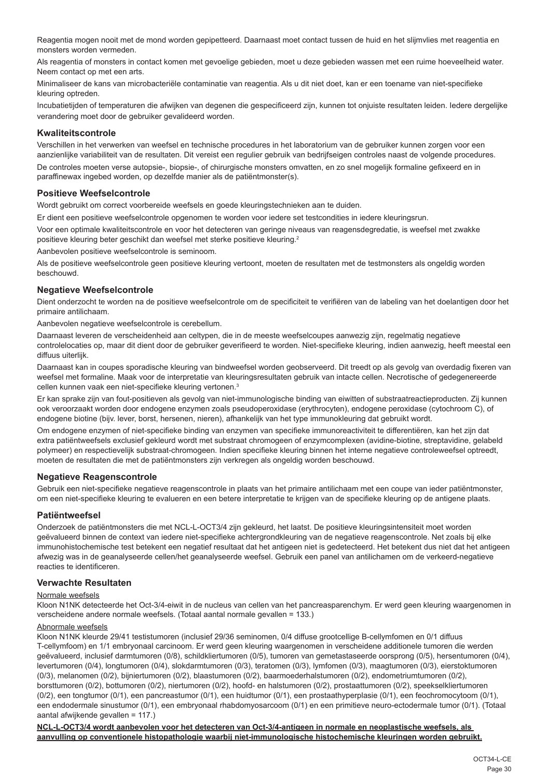Reagentia mogen nooit met de mond worden gepipetteerd. Daarnaast moet contact tussen de huid en het slijmvlies met reagentia en monsters worden vermeden.

Als reagentia of monsters in contact komen met gevoelige gebieden, moet u deze gebieden wassen met een ruime hoeveelheid water. Neem contact op met een arts.

Minimaliseer de kans van microbacteriële contaminatie van reagentia. Als u dit niet doet, kan er een toename van niet-specifieke kleuring optreden.

Incubatietijden of temperaturen die afwijken van degenen die gespecificeerd zijn, kunnen tot onjuiste resultaten leiden. Iedere dergelijke verandering moet door de gebruiker gevalideerd worden.

## **Kwaliteitscontrole**

Verschillen in het verwerken van weefsel en technische procedures in het laboratorium van de gebruiker kunnen zorgen voor een aanzienlijke variabiliteit van de resultaten. Dit vereist een regulier gebruik van bedrijfseigen controles naast de volgende procedures. De controles moeten verse autopsie-, biopsie-, of chirurgische monsters omvatten, en zo snel mogelijk formaline gefixeerd en in paraffinewax ingebed worden, op dezelfde manier als de patiëntmonster(s).

#### **Positieve Weefselcontrole**

Wordt gebruikt om correct voorbereide weefsels en goede kleuringstechnieken aan te duiden.

Er dient een positieve weefselcontrole opgenomen te worden voor iedere set testcondities in iedere kleuringsrun.

Voor een optimale kwaliteitscontrole en voor het detecteren van geringe niveaus van reagensdegredatie, is weefsel met zwakke positieve kleuring beter geschikt dan weefsel met sterke positieve kleuring.<sup>2</sup>

Aanbevolen positieve weefselcontrole is seminoom.

Als de positieve weefselcontrole geen positieve kleuring vertoont, moeten de resultaten met de testmonsters als ongeldig worden beschouwd.

#### **Negatieve Weefselcontrole**

Dient onderzocht te worden na de positieve weefselcontrole om de specificiteit te verifiëren van de labeling van het doelantigen door het primaire antilichaam.

Aanbevolen negatieve weefselcontrole is cerebellum.

Daarnaast leveren de verscheidenheid aan celtypen, die in de meeste weefselcoupes aanwezig zijn, regelmatig negatieve controlelocaties op, maar dit dient door de gebruiker geverifieerd te worden. Niet-specifieke kleuring, indien aanwezig, heeft meestal een diffuus uiterlijk.

Daarnaast kan in coupes sporadische kleuring van bindweefsel worden geobserveerd. Dit treedt op als gevolg van overdadig fixeren van weefsel met formaline. Maak voor de interpretatie van kleuringsresultaten gebruik van intacte cellen. Necrotische of gedegenereerde cellen kunnen vaak een niet-specifieke kleuring vertonen.<sup>3</sup>

Er kan sprake zijn van fout-positieven als gevolg van niet-immunologische binding van eiwitten of substraatreactieproducten. Zij kunnen ook veroorzaakt worden door endogene enzymen zoals pseudoperoxidase (erythrocyten), endogene peroxidase (cytochroom C), of endogene biotine (bijv. lever, borst, hersenen, nieren), afhankelijk van het type immunokleuring dat gebruikt wordt.

Om endogene enzymen of niet-specifieke binding van enzymen van specifieke immunoreactiviteit te differentiëren, kan het zijn dat extra patiëntweefsels exclusief gekleurd wordt met substraat chromogeen of enzymcomplexen (avidine-biotine, streptavidine, gelabeld polymeer) en respectievelijk substraat-chromogeen. Indien specifieke kleuring binnen het interne negatieve controleweefsel optreedt, moeten de resultaten die met de patiëntmonsters zijn verkregen als ongeldig worden beschouwd.

#### **Negatieve Reagenscontrole**

Gebruik een niet-specifieke negatieve reagenscontrole in plaats van het primaire antilichaam met een coupe van ieder patiëntmonster, om een niet-specifieke kleuring te evalueren en een betere interpretatie te krijgen van de specifieke kleuring op de antigene plaats.

#### **Patiëntweefsel**

Onderzoek de patiëntmonsters die met NCL-L-OCT3/4 zijn gekleurd, het laatst. De positieve kleuringsintensiteit moet worden geëvalueerd binnen de context van iedere niet-specifieke achtergrondkleuring van de negatieve reagenscontrole. Net zoals bij elke immunohistochemische test betekent een negatief resultaat dat het antigeen niet is gedetecteerd. Het betekent dus niet dat het antigeen afwezig was in de geanalyseerde cellen/het geanalyseerde weefsel. Gebruik een panel van antilichamen om de verkeerd-negatieve reacties te identificeren.

## **Verwachte Resultaten**

#### Normale weefsels

Kloon N1NK detecteerde het Oct-3/4-eiwit in de nucleus van cellen van het pancreasparenchym. Er werd geen kleuring waargenomen in verscheidene andere normale weefsels. (Totaal aantal normale gevallen = 133.)

#### Abnormale weefsels

Kloon N1NK kleurde 29/41 testistumoren (inclusief 29/36 seminomen, 0/4 diffuse grootcellige B-cellymfomen en 0/1 diffuus T-cellymfoom) en 1/1 embryonaal carcinoom. Er werd geen kleuring waargenomen in verscheidene additionele tumoren die werden geëvalueerd, inclusief darmtumoren (0/8), schildkliertumoren (0/5), tumoren van gemetastaseerde oorsprong (0/5), hersentumoren (0/4), levertumoren (0/4), longtumoren (0/4), slokdarmtumoren (0/3), teratomen (0/3), lymfomen (0/3), maagtumoren (0/3), eierstoktumoren (0/3), melanomen (0/2), bijniertumoren (0/2), blaastumoren (0/2), baarmoederhalstumoren (0/2), endometriumtumoren (0/2), borsttumoren (0/2), bottumoren (0/2), niertumoren (0/2), hoofd- en halstumoren (0/2), prostaattumoren (0/2), speekselkliertumoren (0/2), een tongtumor (0/1), een pancreastumor (0/1), een huidtumor (0/1), een prostaathyperplasie (0/1), een feochromocytoom (0/1), een endodermale sinustumor (0/1), een embryonaal rhabdomyosarcoom (0/1) en een primitieve neuro-ectodermale tumor (0/1). (Totaal aantal afwijkende gevallen = 117.)

**NCL-L-OCT3/4 wordt aanbevolen voor het detecteren van Oct-3/4-antigeen in normale en neoplastische weefsels, als aanvulling op conventionele histopathologie waarbij niet-immunologische histochemische kleuringen worden gebruikt.**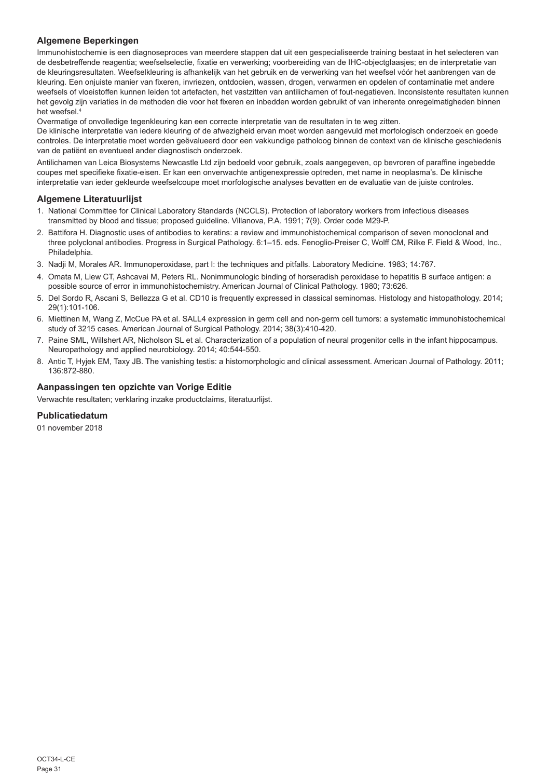## **Algemene Beperkingen**

Immunohistochemie is een diagnoseproces van meerdere stappen dat uit een gespecialiseerde training bestaat in het selecteren van de desbetreffende reagentia; weefselselectie, fixatie en verwerking; voorbereiding van de IHC-objectglaasjes; en de interpretatie van de kleuringsresultaten. Weefselkleuring is afhankelijk van het gebruik en de verwerking van het weefsel vóór het aanbrengen van de kleuring. Een onjuiste manier van fixeren, invriezen, ontdooien, wassen, drogen, verwarmen en opdelen of contaminatie met andere weefsels of vloeistoffen kunnen leiden tot artefacten, het vastzitten van antilichamen of fout-negatieven. Inconsistente resultaten kunnen het gevolg zijn variaties in de methoden die voor het fixeren en inbedden worden gebruikt of van inherente onregelmatigheden binnen het weefsel.<sup>4</sup>

Overmatige of onvolledige tegenkleuring kan een correcte interpretatie van de resultaten in te weg zitten.

De klinische interpretatie van iedere kleuring of de afwezigheid ervan moet worden aangevuld met morfologisch onderzoek en goede controles. De interpretatie moet worden geëvalueerd door een vakkundige patholoog binnen de context van de klinische geschiedenis van de patiënt en eventueel ander diagnostisch onderzoek.

Antilichamen van Leica Biosystems Newcastle Ltd zijn bedoeld voor gebruik, zoals aangegeven, op bevroren of paraffine ingebedde coupes met specifieke fixatie-eisen. Er kan een onverwachte antigenexpressie optreden, met name in neoplasma's. De klinische interpretatie van ieder gekleurde weefselcoupe moet morfologische analyses bevatten en de evaluatie van de juiste controles.

#### **Algemene Literatuurlijst**

- 1. National Committee for Clinical Laboratory Standards (NCCLS). Protection of laboratory workers from infectious diseases transmitted by blood and tissue; proposed guideline. Villanova, P.A. 1991; 7(9). Order code M29-P.
- 2. Battifora H. Diagnostic uses of antibodies to keratins: a review and immunohistochemical comparison of seven monoclonal and three polyclonal antibodies. Progress in Surgical Pathology. 6:1–15. eds. Fenoglio-Preiser C, Wolff CM, Rilke F. Field & Wood, Inc., **Philadelphia**
- 3. Nadji M, Morales AR. Immunoperoxidase, part I: the techniques and pitfalls. Laboratory Medicine. 1983; 14:767.
- 4. Omata M, Liew CT, Ashcavai M, Peters RL. Nonimmunologic binding of horseradish peroxidase to hepatitis B surface antigen: a possible source of error in immunohistochemistry. American Journal of Clinical Pathology. 1980; 73:626.
- 5. Del Sordo R, Ascani S, Bellezza G et al. CD10 is frequently expressed in classical seminomas. Histology and histopathology. 2014; 29(1):101-106.
- 6. Miettinen M, Wang Z, McCue PA et al. SALL4 expression in germ cell and non-germ cell tumors: a systematic immunohistochemical study of 3215 cases. American Journal of Surgical Pathology. 2014; 38(3):410-420.
- 7. Paine SML, Willshert AR, Nicholson SL et al. Characterization of a population of neural progenitor cells in the infant hippocampus. Neuropathology and applied neurobiology. 2014; 40:544-550.
- 8. Antic T, Hyjek EM, Taxy JB. The vanishing testis: a histomorphologic and clinical assessment. American Journal of Pathology, 2011; 136:872-880.

## **Aanpassingen ten opzichte van Vorige Editie**

Verwachte resultaten; verklaring inzake productclaims, literatuurlijst.

## **Publicatiedatum**

01 november 2018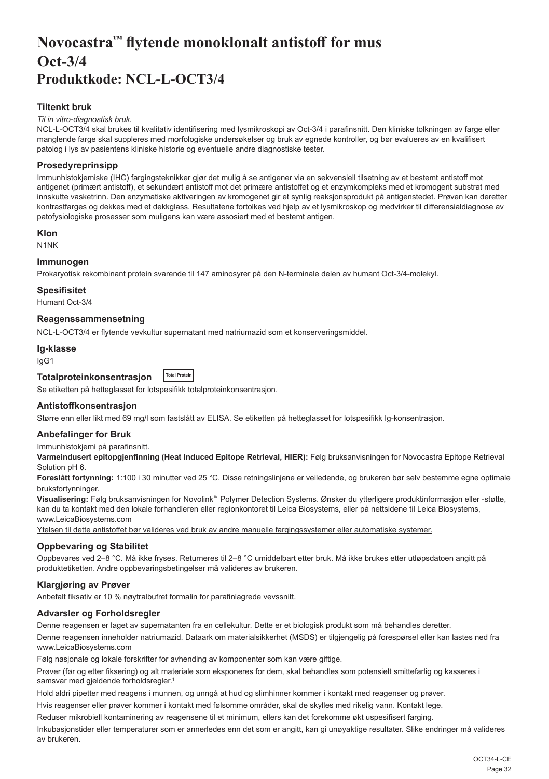## <span id="page-32-0"></span>**Novocastra™ flytende monoklonalt antistoff for mus Oct-3/4 Produktkode: NCL-L-OCT3/4**

## **Tiltenkt bruk**

#### *Til in vitro-diagnostisk bruk.*

NCL-L-OCT3/4 skal brukes til kvalitativ identifisering med lysmikroskopi av Oct-3/4 i parafinsnitt. Den kliniske tolkningen av farge eller manglende farge skal suppleres med morfologiske undersøkelser og bruk av egnede kontroller, og bør evalueres av en kvalifisert patolog i lys av pasientens kliniske historie og eventuelle andre diagnostiske tester.

#### **Prosedyreprinsipp**

Immunhistokjemiske (IHC) fargingsteknikker gjør det mulig å se antigener via en sekvensiell tilsetning av et bestemt antistoff mot antigenet (primært antistoff), et sekundært antistoff mot det primære antistoffet og et enzymkompleks med et kromogent substrat med innskutte vasketrinn. Den enzymatiske aktiveringen av kromogenet gir et synlig reaksjonsprodukt på antigenstedet. Prøven kan deretter kontrastfarges og dekkes med et dekkglass. Resultatene fortolkes ved hjelp av et lysmikroskop og medvirker til differensialdiagnose av patofysiologiske prosesser som muligens kan være assosiert med et bestemt antigen.

#### **Klon**

N1NK

## **Immunogen**

Prokaryotisk rekombinant protein svarende til 147 aminosyrer på den N-terminale delen av humant Oct-3/4-molekyl.

#### **Spesifisitet**

Humant Oct-3/4

#### **Reagenssammensetning**

NCL-L-OCT3/4 er flytende vevkultur supernatant med natriumazid som et konserveringsmiddel.

#### **Ig-klasse**

IgG1

#### **Totalproteinkonsentrasjon Total Protei**

Se etiketten på hetteglasset for lotspesifikk totalproteinkonsentrasjon.

#### **Antistoffkonsentrasjon**

Større enn eller likt med 69 mg/l som fastslått av ELISA. Se etiketten på hetteglasset for lotspesifikk Ig-konsentrasjon.

#### **Anbefalinger for Bruk**

Immunhistokjemi på parafinsnitt.

**Varmeindusert epitopgjenfinning (Heat Induced Epitope Retrieval, HIER):** Følg bruksanvisningen for Novocastra Epitope Retrieval Solution pH 6.

**Foreslått fortynning:** 1:100 i 30 minutter ved 25 °C. Disse retningslinjene er veiledende, og brukeren bør selv bestemme egne optimale bruksfortynninger.

**Visualisering:** Følg bruksanvisningen for Novolink™ Polymer Detection Systems. Ønsker du ytterligere produktinformasjon eller -støtte, kan du ta kontakt med den lokale forhandleren eller regionkontoret til Leica Biosystems, eller på nettsidene til Leica Biosystems, www.LeicaBiosystems.com

Ytelsen til dette antistoffet bør valideres ved bruk av andre manuelle fargingssystemer eller automatiske systemer.

## **Oppbevaring og Stabilitet**

Oppbevares ved 2–8 °C. Må ikke fryses. Returneres til 2–8 °C umiddelbart etter bruk. Må ikke brukes etter utløpsdatoen angitt på produktetiketten. Andre oppbevaringsbetingelser må valideres av brukeren.

#### **Klargjøring av Prøver**

Anbefalt fiksativ er 10 % nøytralbufret formalin for parafinlagrede vevssnitt.

#### **Advarsler og Forholdsregler**

Denne reagensen er laget av supernatanten fra en cellekultur. Dette er et biologisk produkt som må behandles deretter.

Denne reagensen inneholder natriumazid. Dataark om materialsikkerhet (MSDS) er tilgjengelig på forespørsel eller kan lastes ned fra www.LeicaBiosystems.com

Følg nasjonale og lokale forskrifter for avhending av komponenter som kan være giftige.

Prøver (før og etter fiksering) og alt materiale som eksponeres for dem, skal behandles som potensielt smittefarlig og kasseres i samsvar med gjeldende forholdsregler.<sup>1</sup>

Hold aldri pipetter med reagens i munnen, og unngå at hud og slimhinner kommer i kontakt med reagenser og prøver.

Hvis reagenser eller prøver kommer i kontakt med følsomme områder, skal de skylles med rikelig vann. Kontakt lege.

Reduser mikrobiell kontaminering av reagensene til et minimum, ellers kan det forekomme økt uspesifisert farging.

Inkubasjonstider eller temperaturer som er annerledes enn det som er angitt, kan gi unøyaktige resultater. Slike endringer må valideres av brukeren.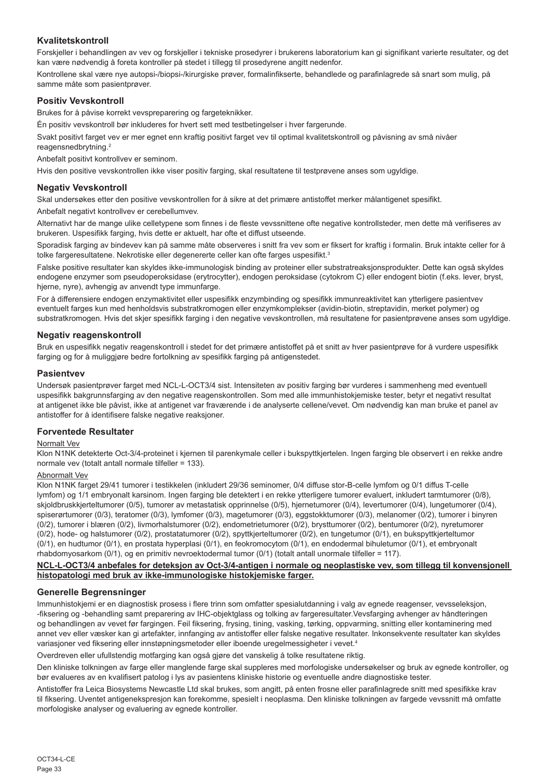## **Kvalitetskontroll**

Forskjeller i behandlingen av vev og forskjeller i tekniske prosedyrer i brukerens laboratorium kan gi signifikant varierte resultater, og det kan være nødvendig å foreta kontroller på stedet i tillegg til prosedyrene angitt nedenfor.

Kontrollene skal være nye autopsi-/biopsi-/kirurgiske prøver, formalinfikserte, behandlede og parafinlagrede så snart som mulig, på samme måte som pasientprøver.

#### **Positiv Vevskontroll**

Brukes for å påvise korrekt vevspreparering og fargeteknikker.

Én positiv vevskontroll bør inkluderes for hvert sett med testbetingelser i hver fargerunde.

Svakt positivt farget vev er mer egnet enn kraftig positivt farget vev til optimal kvalitetskontroll og påvisning av små nivåer reagensnedbrytning.<sup>2</sup>

Anbefalt positivt kontrollvev er seminom.

Hvis den positive vevskontrollen ikke viser positiv farging, skal resultatene til testprøvene anses som ugyldige.

#### **Negativ Vevskontroll**

Skal undersøkes etter den positive vevskontrollen for å sikre at det primære antistoffet merker målantigenet spesifikt.

Anbefalt negativt kontrollvev er cerebellumvev.

Alternativt har de mange ulike celletypene som finnes i de fleste vevssnittene ofte negative kontrollsteder, men dette må verifiseres av brukeren. Uspesifikk farging, hvis dette er aktuelt, har ofte et diffust utseende.

Sporadisk farging av bindevev kan på samme måte observeres i snitt fra vev som er fiksert for kraftig i formalin. Bruk intakte celler for å tolke fargeresultatene. Nekrotiske eller degenererte celler kan ofte farges uspesifikt.<sup>3</sup>

Falske positive resultater kan skyldes ikke-immunologisk binding av proteiner eller substratreaksjonsprodukter. Dette kan også skyldes endogene enzymer som pseudoperoksidase (erytrocytter), endogen peroksidase (cytokrom C) eller endogent biotin (f.eks. lever, bryst, hjerne, nyre), avhengig av anvendt type immunfarge.

For å differensiere endogen enzymaktivitet eller uspesifikk enzymbinding og spesifikk immunreaktivitet kan ytterligere pasientvev eventuelt farges kun med henholdsvis substratkromogen eller enzymkomplekser (avidin-biotin, streptavidin, merket polymer) og substratkromogen. Hvis det skjer spesifikk farging i den negative vevskontrollen, må resultatene for pasientprøvene anses som ugyldige.

#### **Negativ reagenskontroll**

Bruk en uspesifikk negativ reagenskontroll i stedet for det primære antistoffet på et snitt av hver pasientprøve for å vurdere uspesifikk farging og for å muliggjøre bedre fortolkning av spesifikk farging på antigenstedet.

#### **Pasientvev**

Undersøk pasientprøver farget med NCL-L-OCT3/4 sist. Intensiteten av positiv farging bør vurderes i sammenheng med eventuell uspesifikk bakgrunnsfarging av den negative reagenskontrollen. Som med alle immunhistokjemiske tester, betyr et negativt resultat at antigenet ikke ble påvist, ikke at antigenet var fraværende i de analyserte cellene/vevet. Om nødvendig kan man bruke et panel av antistoffer for å identifisere falske negative reaksjoner.

#### **Forventede Resultater**

#### Normalt Vev

Klon N1NK detekterte Oct-3/4-proteinet i kjernen til parenkymale celler i bukspyttkjertelen. Ingen farging ble observert i en rekke andre normale vev (totalt antall normale tilfeller = 133).

#### Abnormalt Vev

Klon N1NK farget 29/41 tumorer i testikkelen (inkludert 29/36 seminomer, 0/4 diffuse stor-B-celle lymfom og 0/1 diffus T-celle lymfom) og 1/1 embryonalt karsinom. Ingen farging ble detektert i en rekke ytterligere tumorer evaluert, inkludert tarmtumorer (0/8), skjoldbruskkjerteltumorer (0/5), tumorer av metastatisk opprinnelse (0/5), hjernetumorer (0/4), levertumorer (0/4), lungetumorer (0/4), spiserørtumorer (0/3), teratomer (0/3), lymfomer (0/3), magetumorer (0/3), eggstokktumorer (0/3), melanomer (0/2), tumorer i binyren (0/2), tumorer i blæren (0/2), livmorhalstumorer (0/2), endometrietumorer (0/2), brysttumorer (0/2), bentumorer (0/2), nyretumorer (0/2), hode- og halstumorer (0/2), prostatatumorer (0/2), spyttkjerteltumorer (0/2), en tungetumor (0/1), en bukspyttkjerteltumor (0/1), en hudtumor (0/1), en prostata hyperplasi (0/1), en feokromocytom (0/1), en endodermal bihuletumor (0/1), et embryonalt rhabdomyosarkom (0/1), og en primitiv nevroektodermal tumor (0/1) (totalt antall unormale tilfeller = 117).

#### **NCL-L-OCT3/4 anbefales for deteksjon av Oct-3/4-antigen i normale og neoplastiske vev, som tillegg til konvensjonell histopatologi med bruk av ikke-immunologiske histokjemiske farger.**

#### **Generelle Begrensninger**

Immunhistokjemi er en diagnostisk prosess i flere trinn som omfatter spesialutdanning i valg av egnede reagenser, vevsseleksjon, -fiksering og -behandling samt preparering av IHC-objektglass og tolking av fargeresultater.Vevsfarging avhenger av håndteringen og behandlingen av vevet før fargingen. Feil fiksering, frysing, tining, vasking, tørking, oppvarming, snitting eller kontaminering med annet vev eller væsker kan gi artefakter, innfanging av antistoffer eller falske negative resultater. Inkonsekvente resultater kan skyldes variasjoner ved fiksering eller innstøpningsmetoder eller iboende uregelmessigheter i vevet.<sup>4</sup>

Overdreven eller ufullstendig motfarging kan også gjøre det vanskelig å tolke resultatene riktig.

Den kliniske tolkningen av farge eller manglende farge skal suppleres med morfologiske undersøkelser og bruk av egnede kontroller, og bør evalueres av en kvalifisert patolog i lys av pasientens kliniske historie og eventuelle andre diagnostiske tester.

Antistoffer fra Leica Biosystems Newcastle Ltd skal brukes, som angitt, på enten frosne eller parafinlagrede snitt med spesifikke krav til fiksering. Uventet antigenekspresjon kan forekomme, spesielt i neoplasma. Den kliniske tolkningen av fargede vevssnitt må omfatte morfologiske analyser og evaluering av egnede kontroller.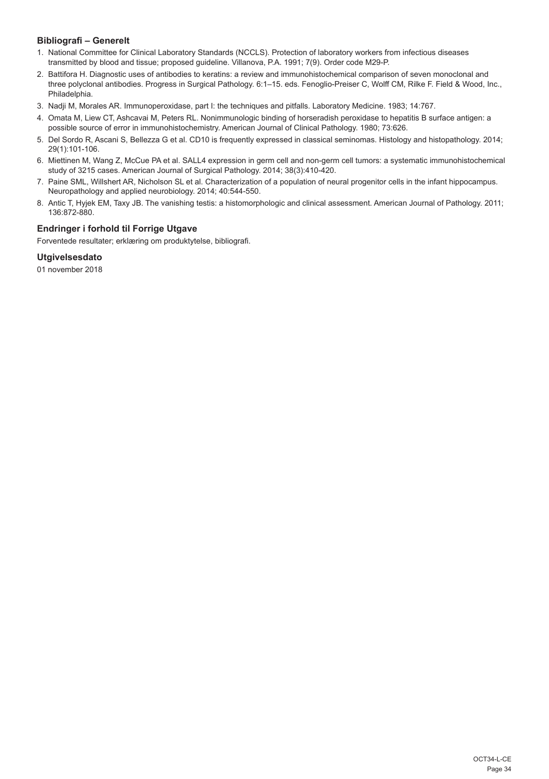## **Bibliografi – Generelt**

- 1. National Committee for Clinical Laboratory Standards (NCCLS). Protection of laboratory workers from infectious diseases transmitted by blood and tissue; proposed guideline. Villanova, P.A. 1991; 7(9). Order code M29-P.
- 2. Battifora H. Diagnostic uses of antibodies to keratins: a review and immunohistochemical comparison of seven monoclonal and three polyclonal antibodies. Progress in Surgical Pathology. 6:1–15. eds. Fenoglio-Preiser C, Wolff CM, Rilke F. Field & Wood, Inc., Philadelphia.
- 3. Nadji M, Morales AR. Immunoperoxidase, part I: the techniques and pitfalls. Laboratory Medicine. 1983; 14:767.
- 4. Omata M, Liew CT, Ashcavai M, Peters RL. Nonimmunologic binding of horseradish peroxidase to hepatitis B surface antigen: a possible source of error in immunohistochemistry. American Journal of Clinical Pathology. 1980; 73:626.
- 5. Del Sordo R, Ascani S, Bellezza G et al. CD10 is frequently expressed in classical seminomas. Histology and histopathology. 2014; 29(1):101-106.
- 6. Miettinen M, Wang Z, McCue PA et al. SALL4 expression in germ cell and non-germ cell tumors: a systematic immunohistochemical study of 3215 cases. American Journal of Surgical Pathology. 2014; 38(3):410-420.
- 7. Paine SML, Willshert AR, Nicholson SL et al. Characterization of a population of neural progenitor cells in the infant hippocampus. Neuropathology and applied neurobiology. 2014; 40:544-550.
- 8. Antic T, Hyjek EM, Taxy JB. The vanishing testis: a histomorphologic and clinical assessment. American Journal of Pathology. 2011; 136:872-880.

## **Endringer i forhold til Forrige Utgave**

Forventede resultater; erklæring om produktytelse, bibliografi.

## **Utgivelsesdato**

01 november 2018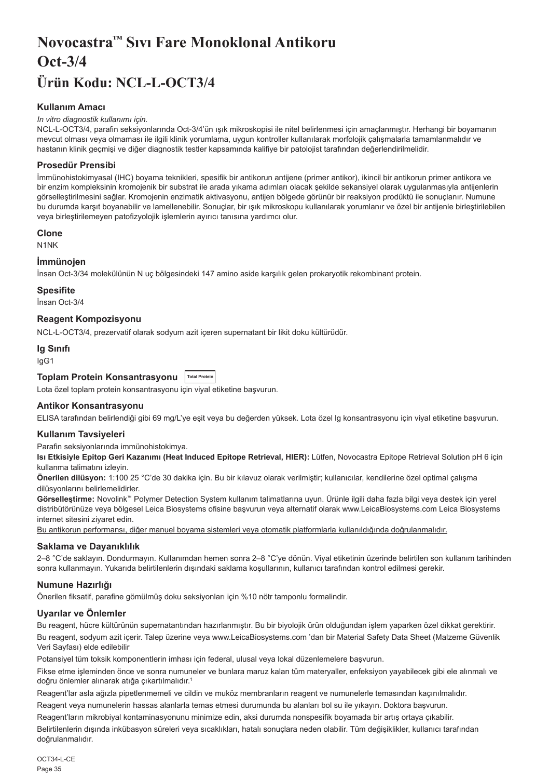# <span id="page-35-0"></span>**Novocastra™ Sıvı Fare Monoklonal Antikoru Oct-3/4 Ürün Kodu: NCL-L-OCT3/4**

## **Kullanım Amacı**

#### *In vitro diagnostik kullanımı için.*

NCL-L-OCT3/4, parafin seksiyonlarında Oct-3/4'ün ışık mikroskopisi ile nitel belirlenmesi için amaçlanmıştır. Herhangi bir boyamanın mevcut olması veya olmaması ile ilgili klinik yorumlama, uygun kontroller kullanılarak morfolojik çalışmalarla tamamlanmalıdır ve hastanın klinik geçmişi ve diğer diagnostik testler kapsamında kalifiye bir patolojist tarafından değerlendirilmelidir.

#### **Prosedür Prensibi**

İmmünohistokimyasal (IHC) boyama teknikleri, spesifik bir antikorun antijene (primer antikor), ikincil bir antikorun primer antikora ve bir enzim kompleksinin kromojenik bir substrat ile arada yıkama adımları olacak şekilde sekansiyel olarak uygulanmasıyla antijenlerin görselleştirilmesini sağlar. Kromojenin enzimatik aktivasyonu, antijen bölgede görünür bir reaksiyon prodüktü ile sonuçlanır. Numune bu durumda karşıt boyanabilir ve lamellenebilir. Sonuçlar, bir ışık mikroskopu kullanılarak yorumlanır ve özel bir antijenle birleştirilebilen veya birleştirilemeyen patofizyolojik işlemlerin ayırıcı tanısına yardımcı olur.

#### **Clone**

N1NK

#### **İmmünojen**

İnsan Oct-3/34 molekülünün N uç bölgesindeki 147 amino aside karşılık gelen prokaryotik rekombinant protein.

#### **Spesifite**

İnsan Oct-3/4

## **Reagent Kompozisyonu**

NCL-L-OCT3/4, prezervatif olarak sodyum azit içeren supernatant bir likit doku kültürüdür.

#### **Ig Sınıfı**

IgG1

## **Toplam Protein Konsantrasyonu Total Protein**

Lota özel toplam protein konsantrasyonu için viyal etiketine başvurun.

#### **Antikor Konsantrasyonu**

ELISA tarafından belirlendiği gibi 69 mg/L'ye eşit veya bu değerden yüksek. Lota özel lg konsantrasyonu için viyal etiketine başvurun.

#### **Kullanım Tavsiyeleri**

Parafin seksiyonlarında immünohistokimya.

**Isı Etkisiyle Epitop Geri Kazanımı (Heat Induced Epitope Retrieval, HIER):** Lütfen, Novocastra Epitope Retrieval Solution pH 6 için kullanma talimatını izleyin.

**Önerilen dilüsyon:** 1:100 25 °C'de 30 dakika için. Bu bir kılavuz olarak verilmiştir; kullanıcılar, kendilerine özel optimal çalışma dilüsyonlarını belirlemelidirler.

**Görselleştirme:** Novolink™ Polymer Detection System kullanım talimatlarına uyun. Ürünle ilgili daha fazla bilgi veya destek için yerel distribütörünüze veya bölgesel Leica Biosystems ofisine başvurun veya alternatif olarak www.LeicaBiosystems.com Leica Biosystems internet sitesini ziyaret edin.

Bu antikorun performansı, diğer manuel boyama sistemleri veya otomatik platformlarla kullanıldığında doğrulanmalıdır.

#### **Saklama ve Dayanıklılık**

2–8 °C'de saklayın. Dondurmayın. Kullanımdan hemen sonra 2–8 °C'ye dönün. Viyal etiketinin üzerinde belirtilen son kullanım tarihinden sonra kullanmayın. Yukarıda belirtilenlerin dışındaki saklama koşullarının, kullanıcı tarafından kontrol edilmesi gerekir.

#### **Numune Hazırlığı**

Önerilen fiksatif, parafine gömülmüş doku seksiyonları için %10 nötr tamponlu formalindir.

## **Uyarılar ve Önlemler**

Bu reagent, hücre kültürünün supernatantından hazırlanmıştır. Bu bir biyolojik ürün olduğundan işlem yaparken özel dikkat gerektirir.

Bu reagent, sodyum azit içerir. Talep üzerine veya www.LeicaBiosystems.com 'dan bir Material Safety Data Sheet (Malzeme Güvenlik Veri Sayfası) elde edilebilir

Potansiyel tüm toksik komponentlerin imhası için federal, ulusal veya lokal düzenlemelere başvurun.

Fikse etme işleminden önce ve sonra numuneler ve bunlara maruz kalan tüm materyaller, enfeksiyon yayabilecek gibi ele alınmalı ve doğru önlemler alınarak atığa çıkartılmalıdır.<sup>1</sup>

Reagent'lar asla ağızla pipetlenmemeli ve cildin ve muköz membranların reagent ve numunelerle temasından kaçınılmalıdır.

Reagent veya numunelerin hassas alanlarla temas etmesi durumunda bu alanları bol su ile yıkayın. Doktora başvurun.

Reagent'ların mikrobiyal kontaminasyonunu minimize edin, aksi durumda nonspesifik boyamada bir artış ortaya çıkabilir.

Belirtilenlerin dışında inkübasyon süreleri veya sıcaklıkları, hatalı sonuçlara neden olabilir. Tüm değişiklikler, kullanıcı tarafından doğrulanmalıdır.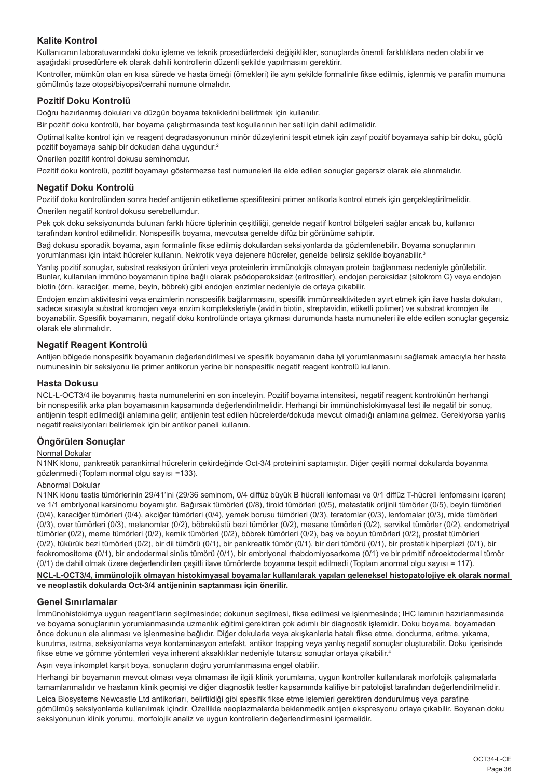## **Kalite Kontrol**

Kullanıcının laboratuvarındaki doku işleme ve teknik prosedürlerdeki değişiklikler, sonuçlarda önemli farklılıklara neden olabilir ve aşağıdaki prosedürlere ek olarak dahili kontrollerin düzenli şekilde yapılmasını gerektirir.

Kontroller, mümkün olan en kısa sürede ve hasta örneği (örnekleri) ile aynı şekilde formalinle fikse edilmiş, işlenmiş ve parafin mumuna gömülmüş taze otopsi/biyopsi/cerrahi numune olmalıdır.

#### **Pozitif Doku Kontrolü**

Doğru hazırlanmış dokuları ve düzgün boyama tekniklerini belirtmek için kullanılır.

Bir pozitif doku kontrolü, her boyama çalıştırmasında test koşullarının her seti için dahil edilmelidir.

Optimal kalite kontrol için ve reagent degradasyonunun minör düzeylerini tespit etmek için zayıf pozitif boyamaya sahip bir doku, güçlü pozitif boyamaya sahip bir dokudan daha uygundur.<sup>2</sup>

Önerilen pozitif kontrol dokusu seminomdur.

Pozitif doku kontrolü, pozitif boyamayı göstermezse test numuneleri ile elde edilen sonuçlar geçersiz olarak ele alınmalıdır.

#### **Negatif Doku Kontrolü**

Pozitif doku kontrolünden sonra hedef antijenin etiketleme spesifitesini primer antikorla kontrol etmek için gerçekleştirilmelidir. Önerilen negatif kontrol dokusu serebellumdur.

Pek çok doku seksiyonunda bulunan farklı hücre tiplerinin çeşitliliği, genelde negatif kontrol bölgeleri sağlar ancak bu, kullanıcı tarafından kontrol edilmelidir. Nonspesifik boyama, mevcutsa genelde difüz bir görünüme sahiptir.

Bağ dokusu sporadik boyama, aşırı formalinle fikse edilmiş dokulardan seksiyonlarda da gözlemlenebilir. Boyama sonuçlarının yorumlanması için intakt hücreler kullanın. Nekrotik veya dejenere hücreler, genelde belirsiz şekilde boyanabilir.<sup>3</sup>

Yanlış pozitif sonuçlar, substrat reaksiyon ürünleri veya proteinlerin immünolojik olmayan protein bağlanması nedeniyle görülebilir. Bunlar, kullanılan immüno boyamanın tipine bağlı olarak psödoperoksidaz (eritrositler), endojen peroksidaz (sitokrom C) veya endojen biotin (örn. karaciğer, meme, beyin, böbrek) gibi endojen enzimler nedeniyle de ortaya çıkabilir.

Endojen enzim aktivitesini veya enzimlerin nonspesifik bağlanmasını, spesifik immünreaktiviteden ayırt etmek için ilave hasta dokuları, sadece sırasıyla substrat kromojen veya enzim kompleksleriyle (avidin biotin, streptavidin, etiketli polimer) ve substrat kromojen ile boyanabilir. Spesifik boyamanın, negatif doku kontrolünde ortaya çıkması durumunda hasta numuneleri ile elde edilen sonuçlar geçersiz olarak ele alınmalıdır.

#### **Negatif Reagent Kontrolü**

Antijen bölgede nonspesifik boyamanın değerlendirilmesi ve spesifik boyamanın daha iyi yorumlanmasını sağlamak amacıyla her hasta numunesinin bir seksiyonu ile primer antikorun yerine bir nonspesifik negatif reagent kontrolü kullanın.

#### **Hasta Dokusu**

NCL-L-OCT3/4 ile boyanmış hasta numunelerini en son inceleyin. Pozitif boyama intensitesi, negatif reagent kontrolünün herhangi bir nonspesifik arka plan boyamasının kapsamında değerlendirilmelidir. Herhangi bir immünohistokimyasal test ile negatif bir sonuç, antijenin tespit edilmediği anlamına gelir; antijenin test edilen hücrelerde/dokuda mevcut olmadığı anlamına gelmez. Gerekiyorsa yanlış negatif reaksiyonları belirlemek için bir antikor paneli kullanın.

#### **Öngörülen Sonuçlar**

#### Normal Dokular

N1NK klonu, pankreatik parankimal hücrelerin çekirdeğinde Oct-3/4 proteinini saptamıştır. Diğer çeşitli normal dokularda boyanma gözlenmedi (Toplam normal olgu sayısı =133).

#### Abnormal Dokular

N1NK klonu testis tümörlerinin 29/41'ini (29/36 seminom, 0/4 diffüz büyük B hücreli lenfoması ve 0/1 diffüz T-hücreli lenfomasını içeren) ve 1/1 embriyonal karsinomu boyamıştır. Bağırsak tümörleri (0/8), tiroid tümörleri (0/5), metastatik orijinli tümörler (0/5), beyin tümörleri (0/4), karaciğer tümörleri (0/4), akciğer tümörleri (0/4), yemek borusu tümörleri (0/3), teratomlar (0/3), lenfomalar (0/3), mide tümörleri (0/3), over tümörleri (0/3), melanomlar (0/2), böbreküstü bezi tümörler (0/2), mesane tümörleri (0/2), servikal tümörler (0/2), endometriyal tümörler (0/2), meme tümörleri (0/2), kemik tümörleri (0/2), böbrek tümörleri (0/2), baş ve boyun tümörleri (0/2), prostat tümörleri (0/2), tükürük bezi tümörleri (0/2), bir dil tümörü (0/1), bir pankreatik tümör (0/1), bir deri tümörü (0/1), bir prostatik hiperplazi (0/1), bir feokromositoma (0/1), bir endodermal sinüs tümörü (0/1), bir embriyonal rhabdomiyosarkoma (0/1) ve bir primitif nöroektodermal tümör (0/1) de dahil olmak üzere değerlendirilen çeşitli ilave tümörlerde boyanma tespit edilmedi (Toplam anormal olgu sayısı = 117).

#### **NCL-L-OCT3/4, immünolojik olmayan histokimyasal boyamalar kullanılarak yapılan geleneksel histopatolojiye ek olarak normal ve neoplastik dokularda Oct-3/4 antijeninin saptanması için önerilir.**

#### **Genel Sınırlamalar**

İmmünohistokimya uygun reagent'ların seçilmesinde; dokunun seçilmesi, fikse edilmesi ve işlenmesinde; IHC lamının hazırlanmasında ve boyama sonuçlarının yorumlanmasında uzmanlık eğitimi gerektiren çok adımlı bir diagnostik işlemidir. Doku boyama, boyamadan önce dokunun ele alınması ve işlenmesine bağlıdır. Diğer dokularla veya akışkanlarla hatalı fikse etme, dondurma, eritme, yıkama, kurutma, ısıtma, seksiyonlama veya kontaminasyon artefakt, antikor trapping veya yanlış negatif sonuçlar oluşturabilir. Doku içerisinde fikse etme ve gömme yöntemleri veya inherent aksaklıklar nedeniyle tutarsız sonuçlar ortaya çıkabilir. 4

Aşırı veya inkomplet karşıt boya, sonuçların doğru yorumlanmasına engel olabilir.

Herhangi bir boyamanın mevcut olması veya olmaması ile ilgili klinik yorumlama, uygun kontroller kullanılarak morfolojik çalışmalarla tamamlanmalıdır ve hastanın klinik geçmişi ve diğer diagnostik testler kapsamında kalifiye bir patolojist tarafından değerlendirilmelidir.

Leica Biosystems Newcastle Ltd antikorları, belirtildiği gibi spesifik fikse etme işlemleri gerektiren dondurulmuş veya parafine gömülmüş seksiyonlarda kullanılmak içindir. Özellikle neoplazmalarda beklenmedik antijen ekspresyonu ortaya çıkabilir. Boyanan doku seksiyonunun klinik yorumu, morfolojik analiz ve uygun kontrollerin değerlendirmesini içermelidir.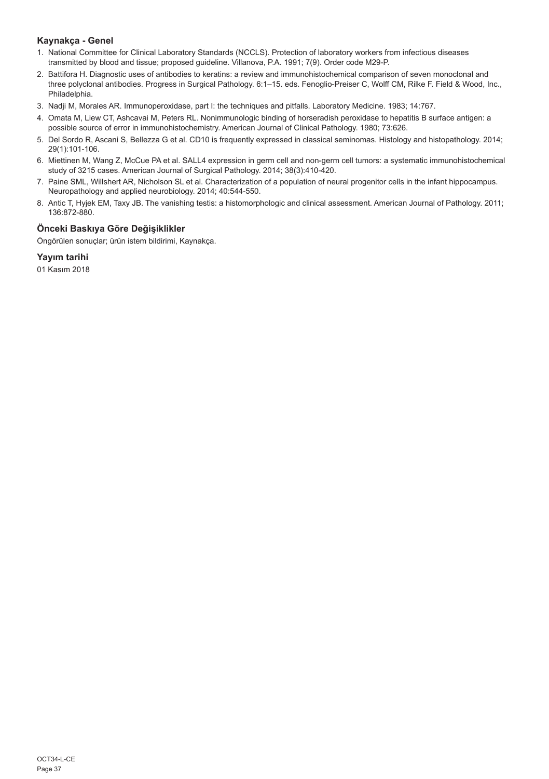## **Kaynakça - Genel**

- 1. National Committee for Clinical Laboratory Standards (NCCLS). Protection of laboratory workers from infectious diseases transmitted by blood and tissue; proposed guideline. Villanova, P.A. 1991; 7(9). Order code M29-P.
- 2. Battifora H. Diagnostic uses of antibodies to keratins: a review and immunohistochemical comparison of seven monoclonal and three polyclonal antibodies. Progress in Surgical Pathology. 6:1–15. eds. Fenoglio-Preiser C, Wolff CM, Rilke F. Field & Wood, Inc., Philadelphia.
- 3. Nadji M, Morales AR. Immunoperoxidase, part I: the techniques and pitfalls. Laboratory Medicine. 1983; 14:767.
- 4. Omata M, Liew CT, Ashcavai M, Peters RL. Nonimmunologic binding of horseradish peroxidase to hepatitis B surface antigen: a possible source of error in immunohistochemistry. American Journal of Clinical Pathology. 1980; 73:626.
- 5. Del Sordo R, Ascani S, Bellezza G et al. CD10 is frequently expressed in classical seminomas. Histology and histopathology. 2014; 29(1):101-106.
- 6. Miettinen M, Wang Z, McCue PA et al. SALL4 expression in germ cell and non-germ cell tumors: a systematic immunohistochemical study of 3215 cases. American Journal of Surgical Pathology. 2014; 38(3):410-420.
- 7. Paine SML, Willshert AR, Nicholson SL et al. Characterization of a population of neural progenitor cells in the infant hippocampus. Neuropathology and applied neurobiology. 2014; 40:544-550.
- 8. Antic T, Hyjek EM, Taxy JB. The vanishing testis: a histomorphologic and clinical assessment. American Journal of Pathology. 2011; 136:872-880.

## **Önceki Baskıya Göre Değişiklikler**

Öngörülen sonuçlar; ürün istem bildirimi, Kaynakça.

## **Yayım tarihi**

01 Kasım 2018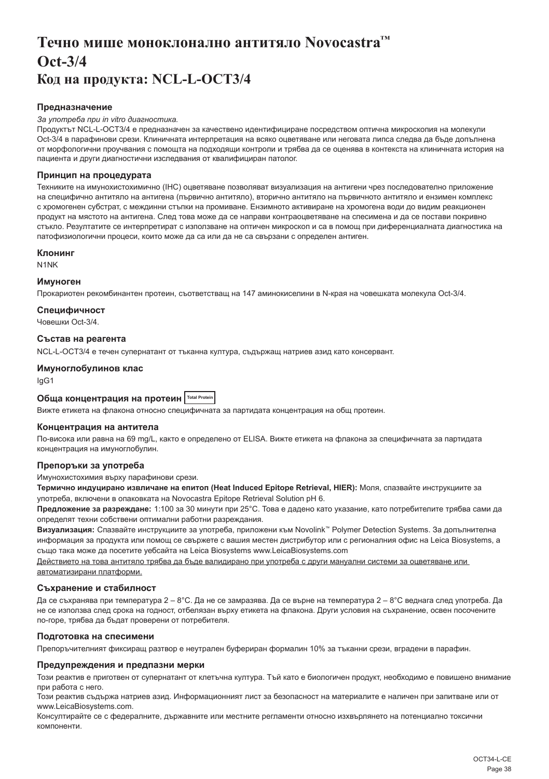# <span id="page-38-0"></span>**Течно мише моноклонално антитяло Novocastra™ Oct-3/4 Код на продукта: NCL-L-OCT3/4**

#### **Предназначение**

#### *За употреба при in vitro диагностика.*

Продуктът NCL-L-OCT3/4 е предназначен за качествено идентифициране посредством оптична микроскопия на молекули Oct-3/4 в парафинови срези. Клиничната интерпретация на всяко оцветяване или неговата липса следва да бъде допълнена от морфологични проучвания с помощта на подходящи контроли и трябва да се оценява в контекста на клиничната история на пациента и други диагностични изследвания от квалифициран патолог.

#### **Принцип на процедурата**

Техниките на имунохистохимично (IHC) оцветяване позволяват визуализация на антигени чрез последователно приложение на специфично антитяло на антигена (първично антитяло), вторично антитяло на първичното антитяло и ензимен комплекс с хромогенен субстрат, с междинни стъпки на промиване. Ензимното активиране на хромогена води до видим реакционен продукт на мястото на антигена. След това може да се направи контраоцветяване на спесимена и да се постави покривно стъкло. Резултатите се интерпретират с използване на оптичен микроскоп и са в помощ при диференциалната диагностика на патофизиологични процеси, които може да са или да не са свързани с определен антиген.

#### **Клонинг**

N1NK

#### **Имуноген**

Прокариотен рекомбинантен протеин, съответстващ на 147 аминокиселини в N-края на човешката молекула Oct-3/4.

## **Специфичност**

Човешки Oct-3/4.

#### **Състав на реагента**

NCL-L-OCT3/4 е течен супернатант от тъканна култура, съдържащ натриев азид като консервант.

#### **Имуноглобулинов клас**

IgG1

## **Обща концентрация на протеин Total Protein**

Вижте етикета на флакона относно специфичната за партидата концентрация на общ протеин.

#### **Концентрация на антитела**

По-висока или равна на 69 mg/L, както е определено от ELISA. Вижте етикета на флакона за специфичната за партидата концентрация на имуноглобулин.

#### **Препоръки за употреба**

Имунохистохимия върху парафинови срези.

**Термично индуцирано извличане на епитоп (Heat Induced Epitope Retrieval, HIER):** Моля, спазвайте инструкциите за употреба, включени в опаковката на Novocastra Epitope Retrieval Solution pH 6.

**Предложение за разреждане:** 1:100 за 30 минути при 25°C. Това е дадено като указание, като потребителите трябва сами да определят техни собствени оптимални работни разреждания.

**Визуализация:** Спазвайте инструкциите за употреба, приложени към Novolink™ Polymer Detection Systems. За допълнителна информация за продукта или помощ се свържете с вашия местен дистрибутор или с регионалния офис на Leica Biosystems, а също така може да посетите уебсайта на Leica Biosystems www.LeicaBiosystems.com

Действието на това антитяло трябва да бъде валидирано при употреба с други мануални системи за оцветяване или автоматизирани платформи.

#### **Съхранение и стабилност**

Да се съхранява при температура 2 – 8°C. Да не се замразява. Да се върне на температура 2 – 8°C веднага след употреба. Да не се използва след срока на годност, отбелязан върху етикета на флакона. Други условия на съхранение, освен посочените по-горе, трябва да бъдат проверени от потребителя.

#### **Подготовка на спесимени**

Препоръчителният фиксиращ разтвор е неутрален буфериран формалин 10% за тъканни срези, вградени в парафин.

#### **Предупреждения и предпазни мерки**

Този реактив е приготвен от супернатант от клетъчна култура. Тъй като е биологичен продукт, необходимо е повишено внимание при работа с него.

Този реактив съдържа натриев азид. Информационният лист за безопасност на материалите е наличен при запитване или от www.LeicaBiosystems.com.

Консултирайте се с федералните, държавните или местните регламенти относно изхвърлянето на потенциално токсични компоненти.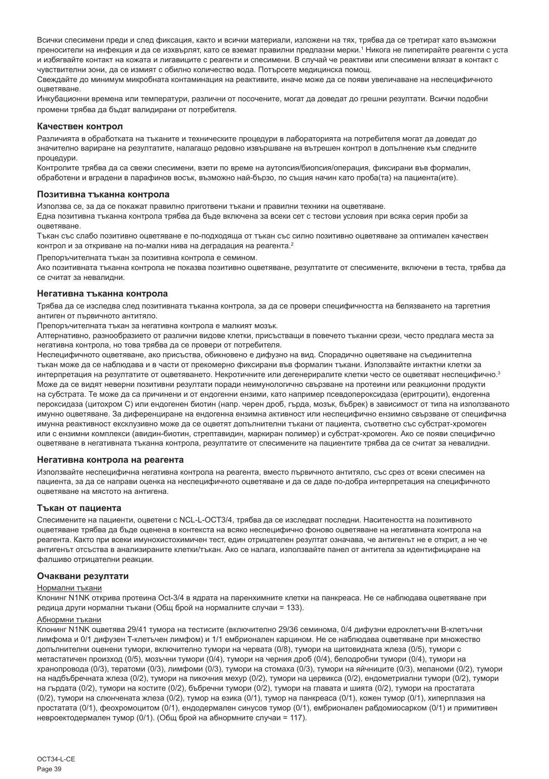Всички спесимени преди и след фиксация, както и всички материали, изложени на тях, трябва да се третират като възможни преносители на инфекция и да се изхвърлят, като се вземат правилни предпазни мерки.' Никога не пипетирайте реагенти с уста и избягвайте контакт на кожата и лигавиците с реагенти и спесимени. В случай че реактиви или спесимени влязат в контакт с чувствителни зони, да се измият с обилно количество вода. Потърсете медицинска помощ.

Свеждайте до минимум микробната контаминация на реактивите, иначе може да се появи увеличаване на неспецифичното оцветяване.

Инкубационни времена или температури, различни от посочените, могат да доведат до грешни резултати. Всички подобни промени трябва да бъдат валидирани от потребителя.

#### **Качествен контрол**

Различията в обработката на тъканите и техническите процедури в лабораторията на потребителя могат да доведат до значително вариране на резултатите, налагащо редовно извършване на вътрешен контрол в допълнение към следните процедури.

Контролите трябва да са свежи спесимени, взети по време на аутопсия/биопсия/операция, фиксирани във формалин, обработени и вградени в парафинов восък, възможно най-бързо, по същия начин като проба(та) на пациента(ите).

#### **Позитивна тъканна контрола**

Използва се, за да се покажат правилно приготвени тъкани и правилни техники на оцветяване.

Една позитивна тъканна контрола трябва да бъде включена за всеки сет с тестови условия при всяка серия проби за оцветяване.

Тъкан със слабо позитивно оцветяване е по-подходяща от тъкан със силно позитивно оцветяване за оптимален качествен контрол и за откриване на по-малки нива на деградация на реагента.<sup>2</sup>

Препоръчителната тъкан за позитивна контрола е семином.

Ако позитивната тъканна контрола не показва позитивно оцветяване, резултатите от спесимените, включени в теста, трябва да се считат за невалидни.

#### **Негативна тъканна контрола**

Трябва да се изследва след позитивната тъканна контрола, за да се провери специфичността на белязването на таргетния антиген от първичното антитяло.

Препоръчителната тъкан за негативна контрола е малкият мозък.

Алтернативно, разнообразието от различни видове клетки, присъстващи в повечето тъканни срези, често предлага места за негативна контрола, но това трябва да се провери от потребителя.

Неспецифичното оцветяване, ако присъства, обикновено е дифузно на вид. Спорадично оцветяване на съединителна тъкан може да се наблюдава и в части от прекомерно фиксирани във формалин тъкани. Използвайте интактни клетки за интерпретация на резултатите от оцветяването. Некротичните или дегенериралите клетки често се оцветяват неспецифично.<sup>3</sup> Може да се видят неверни позитивни резултати поради неимунологично свързване на протеини или реакционни продукти на субстрата. Те може да са причинени и от ендогенни ензими, като например псевдопероксидаза (еритроцити), ендогенна пероксидаза (цитохром C) или ендогенен биотин (напр. черен дроб, гърда, мозък, бъбрек) в зависимост от типа на използваното имунно оцветяване. За диференциране на ендогенна ензимна активност или неспецифично ензимно свързване от специфична имунна реактивност ексклузивно може да се оцветят допълнителни тъкани от пациента, съответно със субстрат-хромоген или с ензимни комплекси (авидин-биотин, стрептавидин, маркиран полимер) и субстрат-хромоген. Ако се появи специфично оцветяване в негативната тъканна контрола, резултатите от спесимените на пациентите трябва да се считат за невалидни.

#### **Негативна контрола на реагента**

Използвайте неспецифична негативна контрола на реагента, вместо първичното антитяло, със срез от всеки спесимен на пациента, за да се направи оценка на неспецифичното оцветяване и да се даде по-добра интерпретация на специфичното оцветяване на мястото на антигена.

#### **Тъкан от пациента**

Спесимените на пациенти, оцветени с NCL-L-OCT3/4, трябва да се изследват последни. Наситеността на позитивното оцветяване трябва да бъде оценена в контекста на всяко неспецифично фоново оцветяване на негативната контрола на реагента. Както при всеки имунохистохимичен тест, един отрицателен резултат означава, че антигенът не е открит, а не че антигенът отсъства в анализираните клетки/тъкан. Ако се налага, използвайте панел от антитела за идентифициране на фалшиво отрицателни реакции.

#### **Очаквани резултати**

#### Нормални тъкани

Клонинг N1NK открива протеина Oct-3/4 в ядрата на паренхимните клетки на панкреаса. Не се наблюдава оцветяване при редица други нормални тъкани (Общ брой на нормалните случаи = 133).

#### Абнормни тъкани

Клонинг N1NK оцветява 29/41 тумора на тестисите (включително 29/36 семинома, 0/4 дифузни едроклетъчни B-клетъчни лимфома и 0/1 дифузен T-клетъчен лимфом) и 1/1 ембрионален карцином. Не се наблюдава оцветяване при множество допълнителни оценени тумори, включително тумори на червата (0/8), тумори на щитовидната жлеза (0/5), тумори с метастатичен произход (0/5), мозъчни тумори (0/4), тумори на черния дроб (0/4), белодробни тумори (0/4), тумори на хранопровода (0/3), тератоми (0/3), лимфоми (0/3), тумори на стомаха (0/3), тумори на яйчниците (0/3), меланоми (0/2), тумори на надбъбречната жлеза (0/2), тумори на пикочния мехур (0/2), тумори на цервикса (0/2), ендометриални тумори (0/2), тумори на гърдата (0/2), тумори на костите (0/2), бъбречни тумори (0/2), тумори на главата и шията (0/2), тумори на простатата (0/2), тумори на слюнчената жлеза (0/2), тумор на езика (0/1), тумор на панкреаса (0/1), кожен тумор (0/1), хиперплазия на простатата (0/1), феохромоцитом (0/1), ендодермален синусов тумор (0/1), ембрионален рабдомиосарком (0/1) и примитивен невроектодермален тумор (0/1). (Общ брой на абнормните случаи = 117).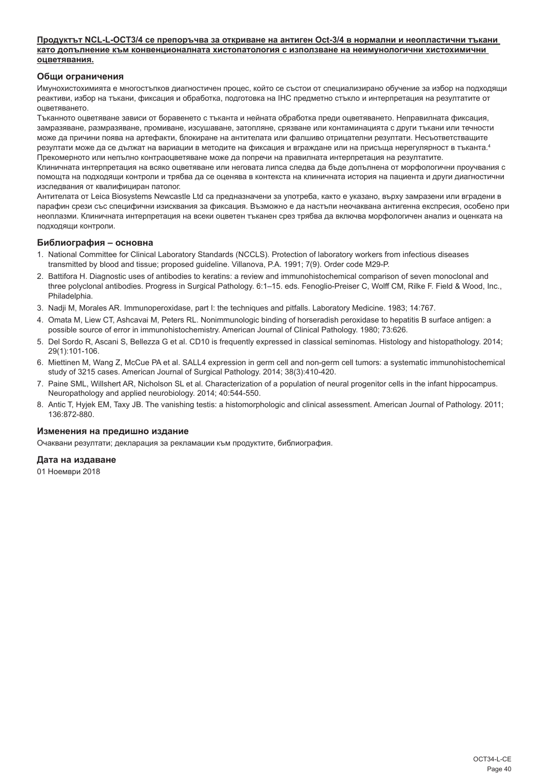#### **Продуктът NCL-L-OCT3/4 се препоръчва за откриване на антиген Oct-3/4 в нормални и неопластични тъкани като допълнение към конвенционалната хистопатология с използване на неимунологични хистохимични оцветявания.**

#### **Общи ограничения**

Имунохистохимията е многостъпков диагностичен процес, който се състои от специализирано обучение за избор на подходящи реактиви, избор на тъкани, фиксация и обработка, подготовка на IHC предметно стъкло и интерпретация на резултатите от оцветяването.

Тъканното оцветяване зависи от боравенето с тъканта и нейната обработка преди оцветяването. Неправилната фиксация, замразяване, размразяване, промиване, изсушаване, затопляне, срязване или контаминацията с други тъкани или течности може да причини поява на артефакти, блокиране на антителата или фалшиво отрицателни резултати. Несъответстващите резултати може да се дължат на вариации в методите на фиксация и вграждане или на присъща нерегулярност в тъканта.<sup>4</sup> Прекомерното или непълно контраоцветяване може да попречи на правилната интерпретация на резултатите.

Клиничната интерпретация на всяко оцветяване или неговата липса следва да бъде допълнена от морфологични проучвания с помощта на подходящи контроли и трябва да се оценява в контекста на клиничната история на пациента и други диагностични изследвания от квалифициран патолог.

Антителата от Leica Biosystems Newcastle Ltd са предназначени за употреба, както е указано, върху замразени или вградени в парафин срези със специфични изисквания за фиксация. Възможно е да настъпи неочаквана антигенна експресия, особено при неоплазми. Клиничната интерпретация на всеки оцветен тъканен срез трябва да включва морфологичен анализ и оценката на подходящи контроли.

#### **Библиография – основна**

- 1. National Committee for Clinical Laboratory Standards (NCCLS). Protection of laboratory workers from infectious diseases transmitted by blood and tissue; proposed guideline. Villanova, P.A. 1991; 7(9). Order code M29-P.
- 2. Battifora H. Diagnostic uses of antibodies to keratins: a review and immunohistochemical comparison of seven monoclonal and three polyclonal antibodies. Progress in Surgical Pathology. 6:1–15. eds. Fenoglio-Preiser C, Wolff CM, Rilke F. Field & Wood, Inc., Philadelphia.
- 3. Nadji M, Morales AR. Immunoperoxidase, part I: the techniques and pitfalls. Laboratory Medicine. 1983; 14:767.
- 4. Omata M, Liew CT, Ashcavai M, Peters RL. Nonimmunologic binding of horseradish peroxidase to hepatitis B surface antigen: a possible source of error in immunohistochemistry. American Journal of Clinical Pathology. 1980; 73:626.
- 5. Del Sordo R, Ascani S, Bellezza G et al. CD10 is frequently expressed in classical seminomas. Histology and histopathology. 2014; 29(1):101-106.
- 6. Miettinen M, Wang Z, McCue PA et al. SALL4 expression in germ cell and non-germ cell tumors: a systematic immunohistochemical study of 3215 cases. American Journal of Surgical Pathology. 2014; 38(3):410-420.
- 7. Paine SML, Willshert AR, Nicholson SL et al. Characterization of a population of neural progenitor cells in the infant hippocampus. Neuropathology and applied neurobiology. 2014; 40:544-550.
- 8. Antic T, Hyjek EM, Taxy JB. The vanishing testis: a histomorphologic and clinical assessment. American Journal of Pathology. 2011; 136:872-880.

#### **Изменения на предишно издание**

Очаквани резултати; декларация за рекламации към продуктите, библиография.

### **Дата на издаване**

01 Ноември 2018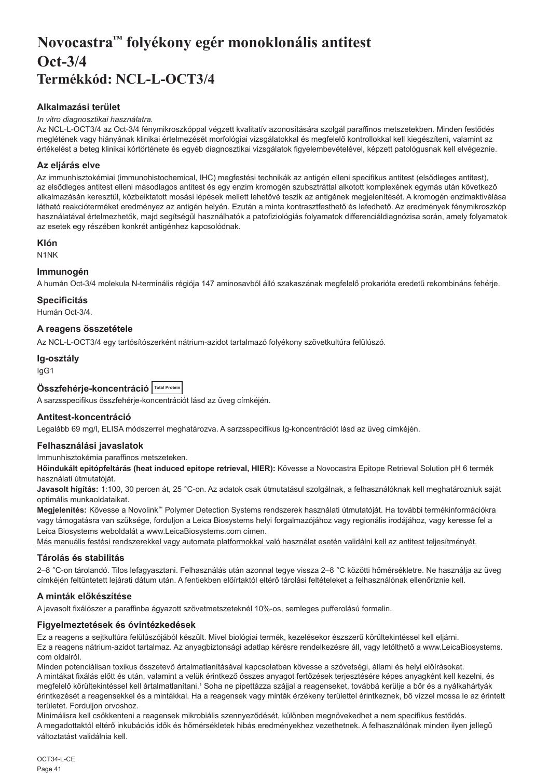# <span id="page-41-0"></span>**Novocastra™ folyékony egér monoklonális antitest Oct-3/4 Termékkód: NCL-L-OCT3/4**

## **Alkalmazási terület**

#### *In vitro diagnosztikai használatra.*

Az NCL-L-OCT3/4 az Oct-3/4 fénymikroszkóppal végzett kvalitatív azonosítására szolgál paraffinos metszetekben. Minden festődés meglétének vagy hiányának klinikai értelmezését morfológiai vizsgálatokkal és megfelelő kontrollokkal kell kiegészíteni, valamint az értékelést a beteg klinikai kórtörténete és egyéb diagnosztikai vizsgálatok figyelembevételével, képzett patológusnak kell elvégeznie.

## **Az eljárás elve**

Az immunhisztokémiai (immunohistochemical, IHC) megfestési technikák az antigén elleni specifikus antitest (elsődleges antitest), az elsődleges antitest elleni másodlagos antitest és egy enzim kromogén szubsztráttal alkotott komplexének egymás után következő alkalmazásán keresztül, közbeiktatott mosási lépések mellett lehetővé teszik az antigének megjelenítését. A kromogén enzimaktiválása látható reakcióterméket eredményez az antigén helyén. Ezután a minta kontrasztfesthető és lefedhető. Az eredmények fénymikroszkóp használatával értelmezhetők, majd segítségül használhatók a patofiziológiás folyamatok differenciáldiagnózisa során, amely folyamatok az esetek egy részében konkrét antigénhez kapcsolódnak.

#### **Klón**

N1NK

#### **Immunogén**

A humán Oct-3/4 molekula N-terminális régiója 147 aminosavból álló szakaszának megfelelő prokarióta eredetű rekombináns fehérje.

#### **Specificitás**

Humán Oct-3/4.

## **A reagens összetétele**

Az NCL-L-OCT3/4 egy tartósítószerként nátrium-azidot tartalmazó folyékony szövetkultúra felülúszó.

## **Ig-osztály**

IgG1

## **Összfehérje-koncentráció Total Protein**

A sarzsspecifikus összfehérje-koncentrációt lásd az üveg címkéjén.

### **Antitest-koncentráció**

Legalább 69 mg/l, ELISA módszerrel meghatározva. A sarzsspecifikus Ig-koncentrációt lásd az üveg címkéjén.

#### **Felhasználási javaslatok**

Immunhisztokémia paraffinos metszeteken.

**Hőindukált epitópfeltárás (heat induced epitope retrieval, HIER):** Kövesse a Novocastra Epitope Retrieval Solution pH 6 termék használati útmutatóját.

**Javasolt hígítás:** 1:100, 30 percen át, 25 °C-on. Az adatok csak útmutatásul szolgálnak, a felhasználóknak kell meghatározniuk saját optimális munkaoldataikat.

**Megjelenítés:** Kövesse a Novolink™ Polymer Detection Systems rendszerek használati útmutatóját. Ha további termékinformációkra vagy támogatásra van szüksége, forduljon a Leica Biosystems helyi forgalmazójához vagy regionális irodájához, vagy keresse fel a Leica Biosystems weboldalát a www.LeicaBiosystems.com címen.

Más manuális festési rendszerekkel vagy automata platformokkal való használat esetén validálni kell az antitest teljesítményét.

#### **Tárolás és stabilitás**

2–8 °C-on tárolandó. Tilos lefagyasztani. Felhasználás után azonnal tegye vissza 2–8 °C közötti hőmérsékletre. Ne használja az üveg címkéjén feltüntetett lejárati dátum után. A fentiekben előírtaktól eltérő tárolási feltételeket a felhasználónak ellenőriznie kell.

#### **A minták előkészítése**

A javasolt fixálószer a paraffinba ágyazott szövetmetszeteknél 10%-os, semleges pufferolású formalin.

#### **Figyelmeztetések és óvintézkedések**

Ez a reagens a sejtkultúra felülúszójából készült. Mivel biológiai termék, kezelésekor észszerű körültekintéssel kell eljárni. Ez a reagens nátrium-azidot tartalmaz. Az anyagbiztonsági adatlap kérésre rendelkezésre áll, vagy letölthető a www.LeicaBiosystems. com oldalról.

Minden potenciálisan toxikus összetevő ártalmatlanításával kapcsolatban kövesse a szövetségi, állami és helyi előírásokat. A mintákat fixálás előtt és után, valamint a velük érintkező összes anyagot fertőzések terjesztésére képes anyagként kell kezelni, és megfelelő körültekintéssel kell ártalmatlanítani.<sup>1</sup> Soha ne pipettázza szájjal a reagenseket, továbbá kerülje a bőr és a nyálkahártyák érintkezését a reagensekkel és a mintákkal. Ha a reagensek vagy minták érzékeny területtel érintkeznek, bő vízzel mossa le az érintett területet. Fordulion orvoshoz.

Minimálisra kell csökkenteni a reagensek mikrobiális szennyeződését, különben megnövekedhet a nem specifikus festődés. A megadottaktól eltérő inkubációs idők és hőmérsékletek hibás eredményekhez vezethetnek. A felhasználónak minden ilyen jellegű változtatást validálnia kell.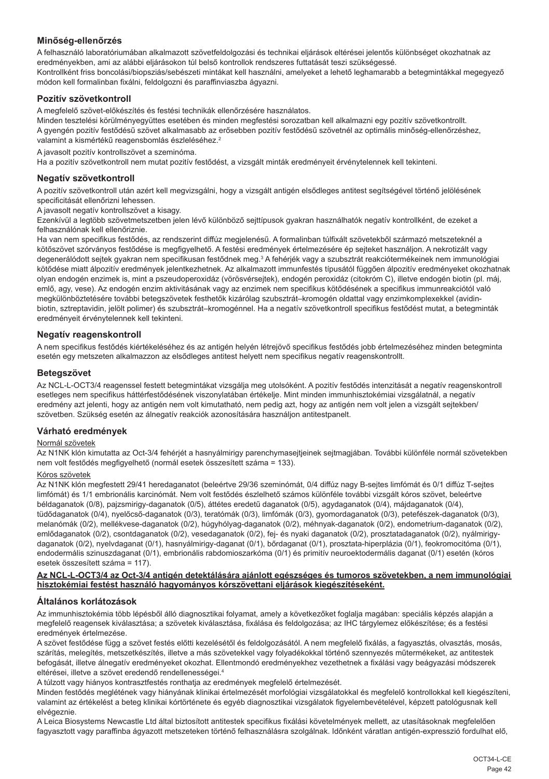## **Minőség-ellenőrzés**

A felhasználó laboratóriumában alkalmazott szövetfeldolgozási és technikai eljárások eltérései jelentős különbséget okozhatnak az eredményekben, ami az alábbi eljárásokon túl belső kontrollok rendszeres futtatását teszi szükségessé. Kontrollként friss boncolási/biopsziás/sebészeti mintákat kell használni, amelyeket a lehető leghamarabb a betegmintákkal megegyező módon kell formalinban fixálni, feldolgozni és paraffinviaszba ágyazni.

#### **Pozitív szövetkontroll**

A megfelelő szövet-előkészítés és festési technikák ellenőrzésére használatos.

Minden tesztelési körülményegyüttes esetében és minden megfestési sorozatban kell alkalmazni egy pozitív szövetkontrollt. A gyengén pozitív festődésű szövet alkalmasabb az erősebben pozitív festődésű szövetnél az optimális minőség-ellenőrzéshez, valamint a kismértékű reagensbomlás észleléséhez.<sup>2</sup>

A javasolt pozitív kontrollszövet a szeminóma.

Ha a pozitív szövetkontroll nem mutat pozitív festődést, a vizsgált minták eredményeit érvénytelennek kell tekinteni.

#### **Negatív szövetkontroll**

A pozitív szövetkontroll után azért kell megvizsgálni, hogy a vizsgált antigén elsődleges antitest segítségével történő jelölésének specificitását ellenőrizni lehessen.

A javasolt negatív kontrollszövet a kisagy.

Ezenkívül a legtöbb szövetmetszetben jelen lévő különböző sejttípusok gyakran használhatók negatív kontrollként, de ezeket a felhasználónak kell ellenőriznie.

Ha van nem specifikus festődés, az rendszerint diffúz megjelenésű. A formalinban túlfixált szövetekből származó metszeteknél a kötőszövet szórványos festődése is megfigyelhető. A festési eredmények értelmezésére ép sejteket használjon. A nekrotizált vagy degenerálódott sejtek gyakran nem specifikusan festődnek meg.<sup>3</sup> A fehérjék vagy a szubsztrát reakciótermékeinek nem immunológiai kötődése miatt álpozitív eredmények jelentkezhetnek. Az alkalmazott immunfestés típusától függően álpozitív eredményeket okozhatnak olyan endogén enzimek is, mint a pszeudoperoxidáz (vörösvérsejtek), endogén peroxidáz (citokróm C), illetve endogén biotin (pl. máj, emlő, agy, vese). Az endogén enzim aktivitásának vagy az enzimek nem specifikus kötődésének a specifikus immunreakciótól való megkülönböztetésére további betegszövetek festhetők kizárólag szubsztrát–kromogén oldattal vagy enzimkomplexekkel (avidinbiotin, sztreptavidin, jelölt polimer) és szubsztrát–kromogénnel. Ha a negatív szövetkontroll specifikus festődést mutat, a betegminták eredményeit érvénytelennek kell tekinteni.

#### **Negatív reagenskontroll**

A nem specifikus festődés kiértékeléséhez és az antigén helyén létrejövő specifikus festődés jobb értelmezéséhez minden betegminta esetén egy metszeten alkalmazzon az elsődleges antitest helyett nem specifikus negatív reagenskontrollt.

#### **Betegszövet**

Az NCL-L-OCT3/4 reagenssel festett betegmintákat vizsgálja meg utolsóként. A pozitív festődés intenzitását a negatív reagenskontroll esetleges nem specifikus háttérfestődésének viszonylatában értékelje. Mint minden immunhisztokémiai vizsgálatnál, a negatív eredmény azt jelenti, hogy az antigén nem volt kimutatható, nem pedig azt, hogy az antigén nem volt jelen a vizsgált sejtekben/ szövetben. Szükség esetén az álnegatív reakciók azonosítására használjon antitestpanelt.

#### **Várható eredmények**

#### Normál szövetek

Az N1NK klón kimutatta az Oct-3/4 fehérjét a hasnyálmirigy parenchymasejtjeinek sejtmagjában. További különféle normál szövetekben nem volt festődés megfigyelhető (normál esetek összesített száma = 133).

#### Kóros szövetek

Az N1NK klón megfestett 29/41 heredaganatot (beleértve 29/36 szeminómát, 0/4 diffúz nagy B-sejtes limfómát és 0/1 diffúz T-sejtes limfómát) és 1/1 embrionális karcinómát. Nem volt festődés észlelhető számos különféle további vizsgált kóros szövet, beleértve béldaganatok (0/8), pajzsmirigy-daganatok (0/5), áttétes eredetű daganatok (0/5), agydaganatok (0/4), májdaganatok (0/4), tüdődaganatok (0/4), nyelőcső-daganatok (0/3), teratómák (0/3), limfómák (0/3), gyomordaganatok (0/3), petefészek-daganatok (0/3), melanómák (0/2), mellékvese-daganatok (0/2), húgyhólyag-daganatok (0/2), méhnyak-daganatok (0/2), endometrium-daganatok (0/2), emlődaganatok (0/2), csontdaganatok (0/2), vesedaganatok (0/2), fej- és nyaki daganatok (0/2), prosztatadaganatok (0/2), nyálmirigydaganatok (0/2), nyelvdaganat (0/1), hasnyálmirigy-daganat (0/1), bőrdaganat (0/1), prosztata-hiperplázia (0/1), feokromocitóma (0/1), endodermális szinuszdaganat (0/1), embrionális rabdomioszarkóma (0/1) és primitív neuroektodermális daganat (0/1) esetén (kóros esetek összesített száma = 117).

#### **Az NCL-L-OCT3/4 az Oct-3/4 antigén detektálására ajánlott egészséges és tumoros szövetekben, a nem immunológiai hisztokémiai festést használó hagyományos kórszövettani eljárások kiegészítéseként.**

#### **Általános korlátozások**

Az immunhisztokémia több lépésből álló diagnosztikai folyamat, amely a következőket foglalja magában: speciális képzés alapján a megfelelő reagensek kiválasztása; a szövetek kiválasztása, fixálása és feldolgozása; az IHC tárgylemez előkészítése; és a festési eredmények értelmezése.

A szövet festődése függ a szövet festés előtti kezelésétől és feldolgozásától. A nem megfelelő fixálás, a fagyasztás, olvasztás, mosás, szárítás, melegítés, metszetkészítés, illetve a más szövetekkel vagy folyadékokkal történő szennyezés műtermékeket, az antitestek befogását, illetve álnegatív eredményeket okozhat. Ellentmondó eredményekhez vezethetnek a fixálási vagy beágyazási módszerek eltérései, illetve a szövet eredendő rendellenességei.<sup>4</sup>

A túlzott vagy hiányos kontrasztfestés ronthatja az eredmények megfelelő értelmezését.

Minden festődés meglétének vagy hiányának klinikai értelmezését morfológiai vizsgálatokkal és megfelelő kontrollokkal kell kiegészíteni, valamint az értékelést a beteg klinikai kórtörténete és egyéb diagnosztikai vizsgálatok figyelembevételével, képzett patológusnak kell elvégeznie.

A Leica Biosystems Newcastle Ltd által biztosított antitestek specifikus fixálási követelmények mellett, az utasításoknak megfelelően fagyasztott vagy paraffinba ágyazott metszeteken történő felhasználásra szolgálnak. Időnként váratlan antigén-expresszió fordulhat elő,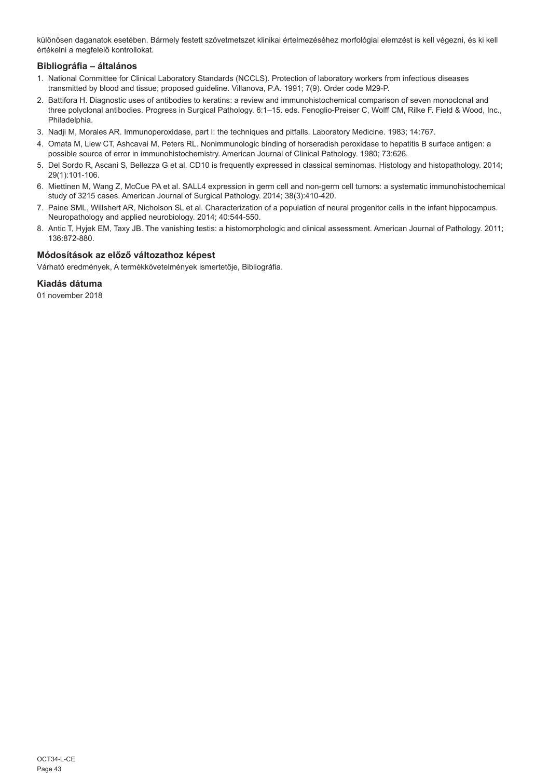különösen daganatok esetében. Bármely festett szövetmetszet klinikai értelmezéséhez morfológiai elemzést is kell végezni, és ki kell értékelni a megfelelő kontrollokat.

#### **Bibliográfia – általános**

- 1. National Committee for Clinical Laboratory Standards (NCCLS). Protection of laboratory workers from infectious diseases transmitted by blood and tissue; proposed guideline. Villanova, P.A. 1991; 7(9). Order code M29-P.
- 2. Battifora H. Diagnostic uses of antibodies to keratins: a review and immunohistochemical comparison of seven monoclonal and three polyclonal antibodies. Progress in Surgical Pathology. 6:1–15. eds. Fenoglio-Preiser C, Wolff CM, Rilke F. Field & Wood, Inc., Philadelphia.
- 3. Nadji M, Morales AR. Immunoperoxidase, part I: the techniques and pitfalls. Laboratory Medicine. 1983; 14:767.
- 4. Omata M, Liew CT, Ashcavai M, Peters RL. Nonimmunologic binding of horseradish peroxidase to hepatitis B surface antigen: a possible source of error in immunohistochemistry. American Journal of Clinical Pathology. 1980; 73:626.
- 5. Del Sordo R, Ascani S, Bellezza G et al. CD10 is frequently expressed in classical seminomas. Histology and histopathology. 2014; 29(1):101-106.
- 6. Miettinen M, Wang Z, McCue PA et al. SALL4 expression in germ cell and non-germ cell tumors: a systematic immunohistochemical study of 3215 cases. American Journal of Surgical Pathology. 2014; 38(3):410-420.
- 7. Paine SML, Willshert AR, Nicholson SL et al. Characterization of a population of neural progenitor cells in the infant hippocampus. Neuropathology and applied neurobiology. 2014; 40:544-550.
- 8. Antic T, Hyjek EM, Taxy JB. The vanishing testis: a histomorphologic and clinical assessment. American Journal of Pathology. 2011; 136:872-880.

#### **Módosítások az előző változathoz képest**

Várható eredmények, A termékkövetelmények ismertetője, Bibliográfia.

#### **Kiadás dátuma**

01 november 2018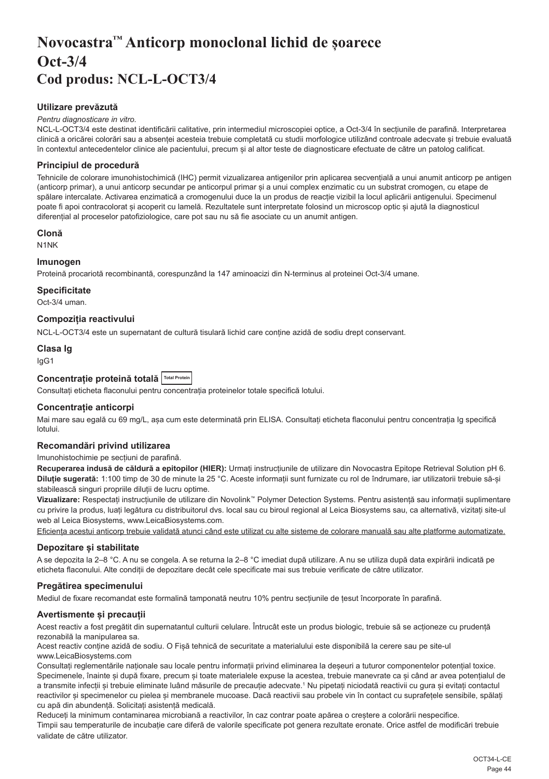# <span id="page-44-0"></span>**Novocastra™ Anticorp monoclonal lichid de șoarece Oct-3/4 Cod produs: NCL-L-OCT3/4**

## **Utilizare prevăzută**

#### *Pentru diagnosticare in vitro.*

NCL-L-OCT3/4 este destinat identificării calitative, prin intermediul microscopiei optice, a Oct-3/4 în secțiunile de parafină. Interpretarea clinică a oricărei colorări sau a absenței acesteia trebuie completată cu studii morfologice utilizând controale adecvate și trebuie evaluată în contextul antecedentelor clinice ale pacientului, precum și al altor teste de diagnosticare efectuate de către un patolog calificat.

#### **Principiul de procedură**

Tehnicile de colorare imunohistochimică (IHC) permit vizualizarea antigenilor prin aplicarea secvențială a unui anumit anticorp pe antigen (anticorp primar), a unui anticorp secundar pe anticorpul primar și a unui complex enzimatic cu un substrat cromogen, cu etape de spălare intercalate. Activarea enzimatică a cromogenului duce la un produs de reacție vizibil la locul aplicării antigenului. Specimenul poate fi apoi contracolorat și acoperit cu lamelă. Rezultatele sunt interpretate folosind un microscop optic și ajută la diagnosticul diferențial al proceselor patofiziologice, care pot sau nu să fie asociate cu un anumit antigen.

#### **Clonă**

N1NK

#### **Imunogen**

Proteină procariotă recombinantă, corespunzând la 147 aminoacizi din N-terminus al proteinei Oct-3/4 umane.

#### **Specificitate**

Oct-3/4 uman.

#### **Compoziția reactivului**

NCL-L-OCT3/4 este un supernatant de cultură tisulară lichid care conține azidă de sodiu drept conservant.

#### **Clasa Ig**

IgG1

## **Concentrație proteină totală Total Protein**

Consultați eticheta flaconului pentru concentrația proteinelor totale specifică lotului.

#### **Concentrație anticorpi**

Mai mare sau egală cu 69 mg/L, așa cum este determinată prin ELISA. Consultați eticheta flaconului pentru concentrația lg specifică lotului.

#### **Recomandări privind utilizarea**

Imunohistochimie pe secțiuni de parafină.

**Recuperarea indusă de căldură a epitopilor (HIER):** Urmați instrucțiunile de utilizare din Novocastra Epitope Retrieval Solution pH 6. **Diluție sugerată:** 1:100 timp de 30 de minute la 25 °C. Aceste informații sunt furnizate cu rol de îndrumare, iar utilizatorii trebuie să-și stabilească singuri propriile diluții de lucru optime.

**Vizualizare:** Respectați instrucțiunile de utilizare din Novolink™ Polymer Detection Systems. Pentru asistență sau informații suplimentare cu privire la produs, luați legătura cu distribuitorul dvs. local sau cu biroul regional al Leica Biosystems sau, ca alternativă, vizitați site-ul web al Leica Biosystems, www.LeicaBiosystems.com.

Eficiența acestui anticorp trebuie validată atunci când este utilizat cu alte sisteme de colorare manuală sau alte platforme automatizate.

#### **Depozitare și stabilitate**

A se depozita la 2–8 °C. A nu se congela. A se returna la 2–8 °C imediat după utilizare. A nu se utiliza după data expirării indicată pe eticheta flaconului. Alte condiții de depozitare decât cele specificate mai sus trebuie verificate de către utilizator.

#### **Pregătirea specimenului**

Mediul de fixare recomandat este formalină tamponată neutru 10% pentru secțiunile de țesut încorporate în parafină.

#### **Avertismente și precauții**

Acest reactiv a fost pregătit din supernatantul culturii celulare. Întrucât este un produs biologic, trebuie să se acționeze cu prudență rezonabilă la manipularea sa.

Acest reactiv conține azidă de sodiu. O Fișă tehnică de securitate a materialului este disponibilă la cerere sau pe site-ul www.LeicaBiosystems.com

Consultați reglementările naționale sau locale pentru informații privind eliminarea la deșeuri a tuturor componentelor potențial toxice. Specimenele, înainte și după fixare, precum și toate materialele expuse la acestea, trebuie manevrate ca și când ar avea potențialul de a transmite infecții și trebuie eliminate luând măsurile de precauție adecvate.1 Nu pipetați niciodată reactivii cu gura și evitați contactul reactivilor și specimenelor cu pielea și membranele mucoase. Dacă reactivii sau probele vin în contact cu suprafețele sensibile, spălați cu apă din abundență. Solicitați asistență medicală.

Reduceți la minimum contaminarea microbiană a reactivilor, în caz contrar poate apărea o creștere a colorării nespecifice. Timpii sau temperaturile de incubație care diferă de valorile specificate pot genera rezultate eronate. Orice astfel de modificări trebuie validate de către utilizator.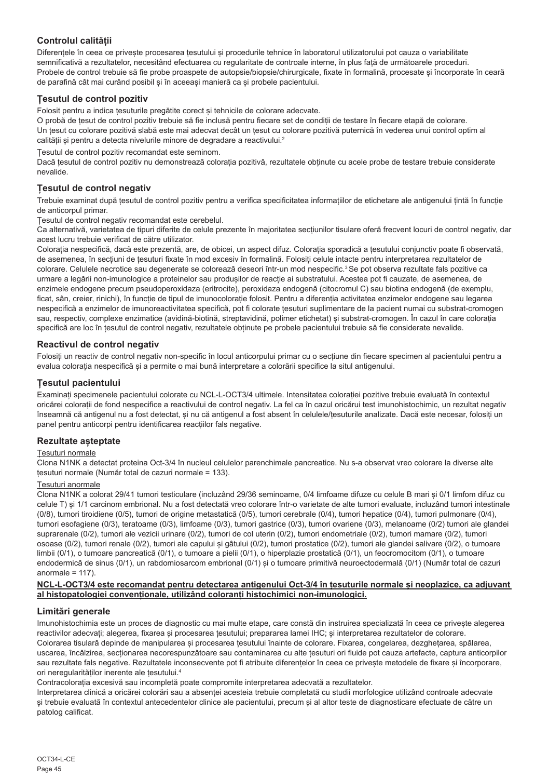## **Controlul calității**

Diferențele în ceea ce privește procesarea țesutului și procedurile tehnice în laboratorul utilizatorului pot cauza o variabilitate semnificativă a rezultatelor, necesitând efectuarea cu regularitate de controale interne, în plus față de următoarele proceduri. Probele de control trebuie să fie probe proaspete de autopsie/biopsie/chirurgicale, fixate în formalină, procesate și încorporate în ceară de parafină cât mai curând posibil și în aceeași manieră ca și probele pacientului.

## **Țesutul de control pozitiv**

Folosit pentru a indica țesuturile pregătite corect și tehnicile de colorare adecvate.

O probă de țesut de control pozitiv trebuie să fie inclusă pentru fiecare set de condiții de testare în fiecare etapă de colorare. Un țesut cu colorare pozitivă slabă este mai adecvat decât un țesut cu colorare pozitivă puternică în vederea unui control optim al calității și pentru a detecta nivelurile minore de degradare a reactivului.<sup>2</sup>

Țesutul de control pozitiv recomandat este seminom.

Dacă țesutul de control pozitiv nu demonstrează colorația pozitivă, rezultatele obținute cu acele probe de testare trebuie considerate nevalide.

## **Țesutul de control negativ**

Trebuie examinat după țesutul de control pozitiv pentru a verifica specificitatea informațiilor de etichetare ale antigenului țintă în funcție de anticorpul primar.

Țesutul de control negativ recomandat este cerebelul.

Ca alternativă, varietatea de tipuri diferite de celule prezente în majoritatea secțiunilor tisulare oferă frecvent locuri de control negativ, dar acest lucru trebuie verificat de către utilizator.

Colorația nespecifică, dacă este prezentă, are, de obicei, un aspect difuz. Colorația sporadică a țesutului conjunctiv poate fi observată, de asemenea, în secțiuni de țesuturi fixate în mod excesiv în formalină. Folosiți celule intacte pentru interpretarea rezultatelor de colorare. Celulele necrotice sau degenerate se colorează deseori într-un mod nespecific.<sup>3</sup> Se pot observa rezultate fals pozitive ca urmare a legării non-imunologice a proteinelor sau produșilor de reacție ai substratului. Acestea pot fi cauzate, de asemenea, de enzimele endogene precum pseudoperoxidaza (eritrocite), peroxidaza endogenă (citocromul C) sau biotina endogenă (de exemplu, ficat, sân, creier, rinichi), în funcție de tipul de imunocolorație folosit. Pentru a diferenția activitatea enzimelor endogene sau legarea nespecifică a enzimelor de imunoreactivitatea specifică, pot fi colorate tesuturi suplimentare de la pacient numai cu substrat-cromogen sau, respectiv, complexe enzimatice (avidină-biotină, streptavidină, polimer etichetat) și substrat-cromogen. În cazul în care colorația specifică are loc în țesutul de control negativ, rezultatele obținute pe probele pacientului trebuie să fie considerate nevalide.

#### **Reactivul de control negativ**

Folosiți un reactiv de control negativ non-specific în locul anticorpului primar cu o secțiune din fiecare specimen al pacientului pentru a evalua colorația nespecifică și a permite o mai bună interpretare a colorării specifice la situl antigenului.

## **Țesutul pacientului**

Examinați specimenele pacientului colorate cu NCL-L-OCT3/4 ultimele. Intensitatea colorației pozitive trebuie evaluată în contextul oricărei colorații de fond nespecifice a reactivului de control negativ. La fel ca în cazul oricărui test imunohistochimic, un rezultat negativ înseamnă că antigenul nu a fost detectat, și nu că antigenul a fost absent în celulele/țesuturile analizate. Dacă este necesar, folosiți un panel pentru anticorpi pentru identificarea reacțiilor fals negative.

#### **Rezultate așteptate**

#### Țesuturi normale

Clona N1NK a detectat proteina Oct-3/4 în nucleul celulelor parenchimale pancreatice. Nu s-a observat vreo colorare la diverse alte țesuturi normale (Număr total de cazuri normale = 133).

#### Țesuturi anormale

Clona N1NK a colorat 29/41 tumori testiculare (incluzând 29/36 seminoame, 0/4 limfoame difuze cu celule B mari și 0/1 limfom difuz cu celule T) și 1/1 carcinom embrional. Nu a fost detectată vreo colorare într-o varietate de alte tumori evaluate, incluzând tumori intestinale (0/8), tumori tiroidiene (0/5), tumori de origine metastatică (0/5), tumori cerebrale (0/4), tumori hepatice (0/4), tumori pulmonare (0/4), tumori esofagiene (0/3), teratoame (0/3), limfoame (0/3), tumori gastrice (0/3), tumori ovariene (0/3), melanoame (0/2) tumori ale glandei suprarenale (0/2), tumori ale vezicii urinare (0/2), tumori de col uterin (0/2), tumori endometriale (0/2), tumori mamare (0/2), tumori osoase (0/2), tumori renale (0/2), tumori ale capului și gâtului (0/2), tumori prostatice (0/2), tumori ale glandei salivare (0/2), o tumoare limbii (0/1), o tumoare pancreatică (0/1), o tumoare a pielii (0/1), o hiperplazie prostatică (0/1), un feocromocitom (0/1), o tumoare endodermică de sinus (0/1), un rabdomiosarcom embrional (0/1) și o tumoare primitivă neuroectodermală (0/1) (Număr total de cazuri anormale =  $117$ ).

#### **NCL-L-OCT3/4 este recomandat pentru detectarea antigenului Oct-3/4 în țesuturile normale și neoplazice, ca adjuvant al histopatologiei convenționale, utilizând coloranți histochimici non-imunologici.**

## **Limitări generale**

Imunohistochimia este un proces de diagnostic cu mai multe etape, care constă din instruirea specializată în ceea ce privește alegerea reactivilor adecvati; alegerea, fixarea și procesarea tesutului; prepararea lamei IHC; și interpretarea rezultatelor de colorare. Colorarea tisulară depinde de manipularea și procesarea țesutului înainte de colorare. Fixarea, congelarea, dezghețarea, spălarea, uscarea, încălzirea, secționarea necorespunzătoare sau contaminarea cu alte țesuturi ori fluide pot cauza artefacte, captura anticorpilor sau rezultate fals negative. Rezultatele inconsecvente pot fi atribuite diferențelor în ceea ce privește metodele de fixare și încorporare. ori neregularităților inerente ale țesutului.<sup>4</sup>

Contracolorația excesivă sau incompletă poate compromite interpretarea adecvată a rezultatelor.

Interpretarea clinică a oricărei colorări sau a absenței acesteia trebuie completată cu studii morfologice utilizând controale adecvate și trebuie evaluată în contextul antecedentelor clinice ale pacientului, precum și al altor teste de diagnosticare efectuate de către un patolog calificat.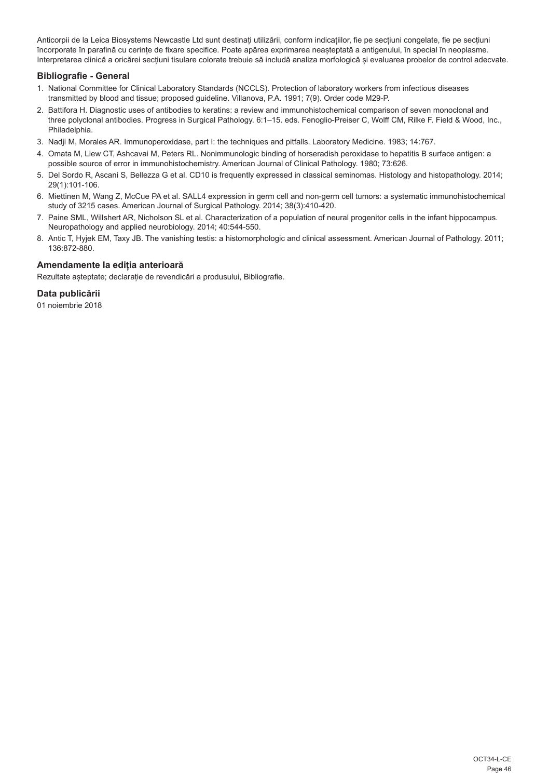Anticorpii de la Leica Biosystems Newcastle Ltd sunt destinați utilizării, conform indicațiilor, fie pe secțiuni congelate, fie pe secțiuni încorporate în parafină cu cerințe de fixare specifice. Poate apărea exprimarea neașteptată a antigenului, în special în neoplasme. Interpretarea clinică a oricărei secțiuni tisulare colorate trebuie să includă analiza morfologică și evaluarea probelor de control adecvate.

### **Bibliografie - General**

- 1. National Committee for Clinical Laboratory Standards (NCCLS). Protection of laboratory workers from infectious diseases transmitted by blood and tissue; proposed guideline. Villanova, P.A. 1991; 7(9). Order code M29-P.
- 2. Battifora H. Diagnostic uses of antibodies to keratins: a review and immunohistochemical comparison of seven monoclonal and three polyclonal antibodies. Progress in Surgical Pathology. 6:1–15. eds. Fenoglio-Preiser C, Wolff CM, Rilke F. Field & Wood, Inc., Philadelphia.
- 3. Nadji M, Morales AR. Immunoperoxidase, part I: the techniques and pitfalls. Laboratory Medicine. 1983; 14:767.
- 4. Omata M, Liew CT, Ashcavai M, Peters RL. Nonimmunologic binding of horseradish peroxidase to hepatitis B surface antigen: a possible source of error in immunohistochemistry. American Journal of Clinical Pathology. 1980; 73:626.
- 5. Del Sordo R, Ascani S, Bellezza G et al. CD10 is frequently expressed in classical seminomas. Histology and histopathology. 2014; 29(1):101-106.
- 6. Miettinen M, Wang Z, McCue PA et al. SALL4 expression in germ cell and non-germ cell tumors: a systematic immunohistochemical study of 3215 cases. American Journal of Surgical Pathology. 2014; 38(3):410-420.
- 7. Paine SML, Willshert AR, Nicholson SL et al. Characterization of a population of neural progenitor cells in the infant hippocampus. Neuropathology and applied neurobiology. 2014; 40:544-550.
- 8. Antic T, Hyjek EM, Taxy JB. The vanishing testis: a histomorphologic and clinical assessment. American Journal of Pathology. 2011; 136:872-880.

## **Amendamente la ediția anterioară**

Rezultate așteptate; declarație de revendicări a produsului, Bibliografie.

#### **Data publicării**

01 noiembrie 2018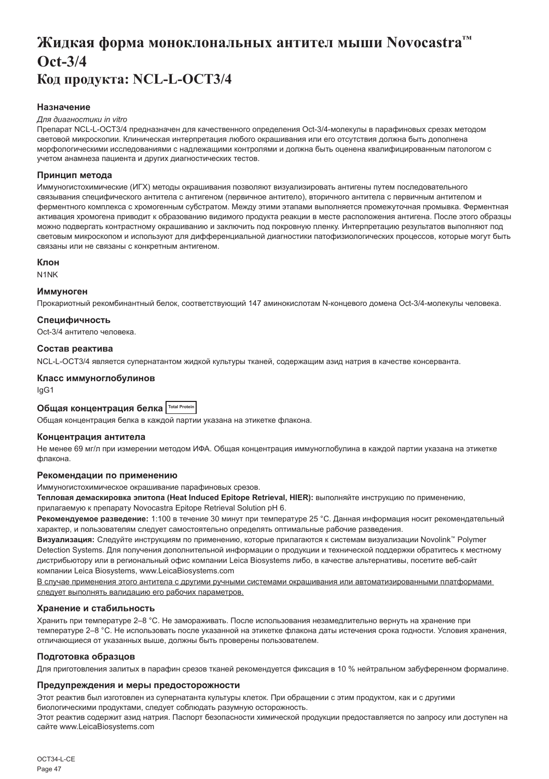# <span id="page-47-0"></span>**Жидкая форма моноклональных антител мыши Novocastra™ Oct-3/4 Код продукта: NCL-L-OCT3/4**

## **Назначение**

#### *Для диагностики in vitro*

Препарат NCL-L-OCT3/4 предназначен для качественного определения Oct-3/4-молекулы в парафиновых срезах методом световой микроскопии. Клиническая интерпретация любого окрашивания или его отсутствия должна быть дополнена морфологическими исследованиями с надлежащими контролями и должна быть оценена квалифицированным патологом с учетом анамнеза пациента и других диагностических тестов.

#### **Принцип метода**

Иммуногистохимические (ИГХ) методы окрашивания позволяют визуализировать антигены путем последовательного связывания специфического антитела с антигеном (первичное антитело), вторичного антитела с первичным антителом и ферментного комплекса с хромогенным субстратом. Между этими этапами выполняется промежуточная промывка. Ферментная активация хромогена приводит к образованию видимого продукта реакции в месте расположения антигена. После этого образцы можно подвергать контрастному окрашиванию и заключить под покровную пленку. Интерпретацию результатов выполняют под световым микроскопом и используют для дифференциальной диагностики патофизиологических процессов, которые могут быть связаны или не связаны с конкретным антигеном.

#### **Клон**

N1NK

#### **Иммуноген**

Прокариотный рекомбинантный белок, соответствующий 147 аминокислотам N-концевого домена Oct-3/4-молекулы человека.

#### **Специфичность**

Oct-3/4 антитело человека.

#### **Состав реактива**

NCL-L-OCT3/4 является супернатантом жидкой культуры тканей, содержащим азид натрия в качестве консерванта.

## **Класс иммуноглобулинов**

IgG1

## **Общая концентрация белка Total Protein**

Общая концентрация белка в каждой партии указана на этикетке флакона.

#### **Концентрация антитела**

Не менее 69 мг/л при измерении методом ИФА. Общая концентрация иммуноглобулина в каждой партии указана на этикетке флакона.

#### **Рекомендации по применению**

Иммуногистохимическое окрашивание парафиновых срезов.

**Тепловая демаскировка эпитопа (Heat Induced Epitope Retrieval, HIER):** выполняйте инструкцию по применению,

прилагаемую к препарату Novocastra Epitope Retrieval Solution pH 6.

**Рекомендуемое разведение:** 1:100 в течение 30 минут при температуре 25 °C. Данная информация носит рекомендательный характер, и пользователям следует самостоятельно определять оптимальные рабочие разведения.

**Визуализация:** Следуйте инструкциям по применению, которые прилагаются к системам визуализации Novolink™ Polymer Detection Systems. Для получения дополнительной информации о продукции и технической поддержки обратитесь к местному дистрибьютору или в региональный офис компании Leica Biosystems либо, в качестве альтернативы, посетите веб-сайт компании Leica Biosystems, www.LeicaBiosystems.com

В случае применения этого антитела с другими ручными системами окрашивания или автоматизированными платформами следует выполнять валидацию его рабочих параметров.

#### **Хранение и стабильность**

Хранить при температуре 2–8 °C. Не замораживать. После использования незамедлительно вернуть на хранение при температуре 2–8 °C. Не использовать после указанной на этикетке флакона даты истечения срока годности. Условия хранения, отличающиеся от указанных выше, должны быть проверены пользователем.

#### **Подготовка образцов**

Для приготовления залитых в парафин срезов тканей рекомендуется фиксация в 10 % нейтральном забуференном формалине.

#### **Предупреждения и меры предосторожности**

Этот реактив был изготовлен из супернатанта культуры клеток. При обращении с этим продуктом, как и с другими биологическими продуктами, следует соблюдать разумную осторожность.

Этот реактив содержит азид натрия. Паспорт безопасности химической продукции предоставляется по запросу или доступен на сайте www.LeicaBiosystems.com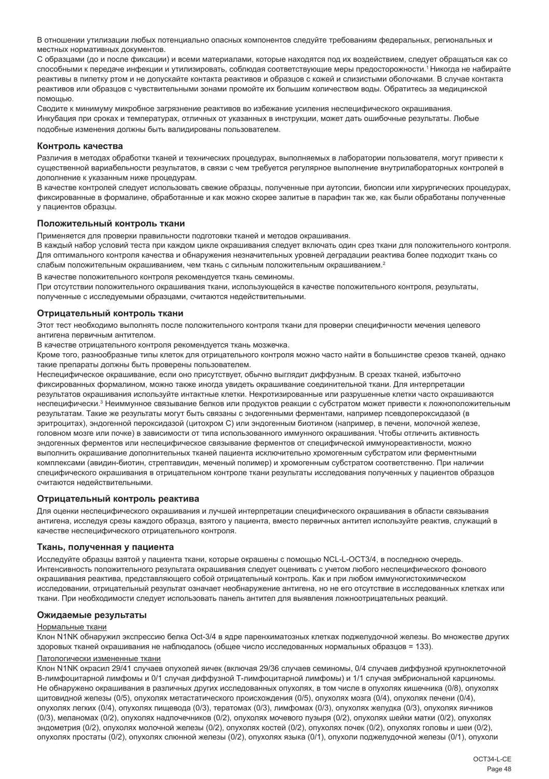В отношении утилизации любых потенциально опасных компонентов следуйте требованиям федеральных, региональных и местных нормативных документов.

С образцами (до и после фиксации) и всеми материалами, которые находятся под их воздействием, следует обращаться как со способными к передаче инфекции и утилизировать, соблюдая соответствующие меры предосторожности.<sup>1</sup>Никогда не набирайте реактивы в пипетку ртом и не допускайте контакта реактивов и образцов с кожей и слизистыми оболочками. В случае контакта реактивов или образцов с чувствительными зонами промойте их большим количеством воды. Обратитесь за медицинской помощью.

Сводите к минимуму микробное загрязнение реактивов во избежание усиления неспецифического окрашивания. Инкубация при сроках и температурах, отличных от указанных в инструкции, может дать ошибочные результаты. Любые подобные изменения должны быть валидированы пользователем.

#### **Контроль качества**

Различия в методах обработки тканей и технических процедурах, выполняемых в лаборатории пользователя, могут привести к существенной вариабельности результатов, в связи с чем требуется регулярное выполнение внутрилабораторных контролей в дополнение к указанным ниже процедурам.

В качестве контролей следует использовать свежие образцы, полученные при аутопсии, биопсии или хирургических процедурах, фиксированные в формалине, обработанные и как можно скорее залитые в парафин так же, как были обработаны полученные у пациентов образцы.

#### **Положительный контроль ткани**

Применяется для проверки правильности подготовки тканей и методов окрашивания.

В каждый набор условий теста при каждом цикле окрашивания следует включать один срез ткани для положительного контроля. Для оптимального контроля качества и обнаружения незначительных уровней деградации реактива более подходит ткань со слабым положительным окрашиванием, чем ткань с сильным положительным окрашиванием.<sup>2</sup>

В качестве положительного контроля рекомендуется ткань семиномы.

При отсутствии положительного окрашивания ткани, использующейся в качестве положительного контроля, результаты, полученные с исследуемыми образцами, считаются недействительными.

#### **Отрицательный контроль ткани**

Этот тест необходимо выполнять после положительного контроля ткани для проверки специфичности мечения целевого антигена первичным антителом.

В качестве отрицательного контроля рекомендуется ткань мозжечка.

Кроме того, разнообразные типы клеток для отрицательного контроля можно часто найти в большинстве срезов тканей, однако такие препараты должны быть проверены пользователем.

Неспецифическое окрашивание, если оно присутствует, обычно выглядит диффузным. В срезах тканей, избыточно фиксированных формалином, можно также иногда увидеть окрашивание соединительной ткани. Для интерпретации результатов окрашивания используйте интактные клетки. Некротизированные или разрушенные клетки часто окрашиваются неспецифически.<sup>з</sup> Неиммунное связывание белков или продуктов реакции с субстратом может привести к ложноположительным результатам. Такие же результаты могут быть связаны с эндогенными ферментами, например псевдопероксидазой (в эритроцитах), эндогенной пероксидазой (цитохром C) или эндогенным биотином (например, в печени, молочной железе, головном мозге или почке) в зависимости от типа использованного иммунного окрашивания. Чтобы отличить активность эндогенных ферментов или неспецифическое связывание ферментов от специфической иммунореактивности, можно выполнить окрашивание дополнительных тканей пациента исключительно хромогенным субстратом или ферментными комплексами (авидин-биотин, стрептавидин, меченый полимер) и хромогенным субстратом соответственно. При наличии специфического окрашивания в отрицательном контроле ткани результаты исследования полученных у пациентов образцов считаются недействительными.

#### **Отрицательный контроль реактива**

Для оценки неспецифического окрашивания и лучшей интерпретации специфического окрашивания в области связывания антигена, исследуя срезы каждого образца, взятого у пациента, вместо первичных антител используйте реактив, служащий в качестве неспецифического отрицательного контроля.

#### **Ткань, полученная у пациента**

Исследуйте образцы взятой у пациента ткани, которые окрашены с помощью NCL-L-OCT3/4, в последнюю очередь. Интенсивность положительного результата окрашивания следует оценивать с учетом любого неспецифического фонового окрашивания реактива, представляющего собой отрицательный контроль. Как и при любом иммуногистохимическом исследовании, отрицательный результат означает необнаружение антигена, но не его отсутствие в исследованных клетках или ткани. При необходимости следует использовать панель антител для выявления ложноотрицательных реакций.

#### **Ожидаемые результаты**

#### Нормальные ткани

Клон N1NK обнаружил экспрессию белка Oct-3/4 в ядре паренхиматозных клетках поджелудочной железы. Во множестве других здоровых тканей окрашивания не наблюдалось (общее число исследованных нормальных образцов = 133).

#### Патологически измененные ткани

Клон N1NK окрасил 29/41 случаев опухолей яичек (включая 29/36 случаев семиномы, 0/4 случаев диффузной крупноклеточной В-лимфоцитарной лимфомы и 0/1 случая диффузной Т-лимфоцитарной лимфомы) и 1/1 случая эмбриональной карциномы. Не обнаружено окрашивания в различных других исследованных опухолях, в том числе в опухолях кишечника (0/8), опухолях щитовидной железы (0/5), опухолях метастатического происхождения (0/5), опухолях мозга (0/4), опухолях печени (0/4), опухолях легких (0/4), опухолях пищевода (0/3), тератомах (0/3), лимфомах (0/3), опухолях желудка (0/3), опухолях яичников (0/3), меланомах (0/2), опухолях надпочечников (0/2), опухолях мочевого пузыря (0/2), опухолях шейки матки (0/2), опухолях эндометрия (0/2), опухолях молочной железы (0/2), опухолях костей (0/2), опухолях почек (0/2), опухолях головы и шеи (0/2), опухолях простаты (0/2), опухолях слюнной железы (0/2), опухолях языка (0/1), опухоли поджелудочной железы (0/1), опухоли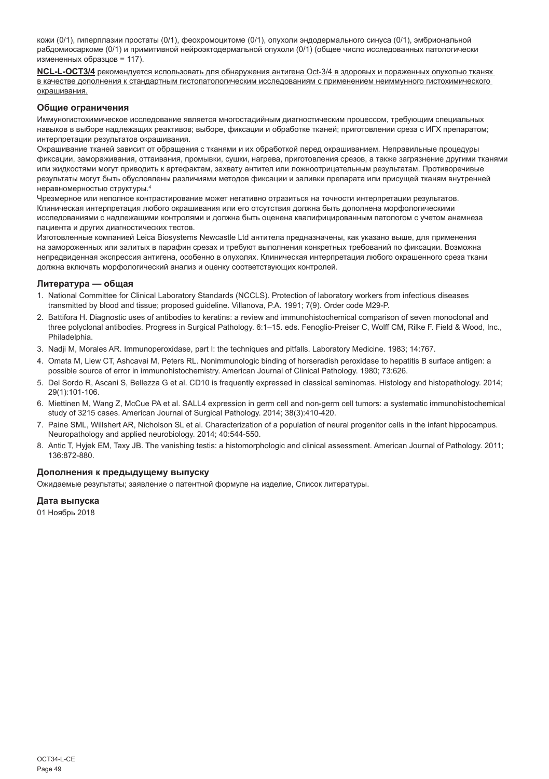кожи (0/1), гиперплазии простаты (0/1), феохромоцитоме (0/1), опухоли эндодермального синуса (0/1), эмбриональной рабдомиосаркоме (0/1) и примитивной нейроэктодермальной опухоли (0/1) (общее число исследованных патологически измененных образцов = 117).

**NCL-L-OCT3/4** рекомендуется использовать для обнаружения антигена Oct-3/4 в здоровых и пораженных опухолью тканях в качестве дополнения к стандартным гистопатологическим исследованиям с применением неиммунного гистохимического окрашивания.

#### **Общие ограничения**

Иммуногистохимическое исследование является многостадийным диагностическим процессом, требующим специальных навыков в выборе надлежащих реактивов; выборе, фиксации и обработке тканей; приготовлении среза с ИГХ препаратом; интерпретации результатов окрашивания.

Окрашивание тканей зависит от обращения с тканями и их обработкой перед окрашиванием. Неправильные процедуры фиксации, замораживания, оттаивания, промывки, сушки, нагрева, приготовления срезов, а также загрязнение другими тканями или жидкостями могут приводить к артефактам, захвату антител или ложноотрицательным результатам. Противоречивые результаты могут быть обусловлены различиями методов фиксации и заливки препарата или присущей тканям внутренней неравномерностью структуры.<sup>4</sup>

Чрезмерное или неполное контрастирование может негативно отразиться на точности интерпретации результатов. Клиническая интерпретация любого окрашивания или его отсутствия должна быть дополнена морфологическими исследованиями с надлежащими контролями и должна быть оценена квалифицированным патологом с учетом анамнеза пациента и других диагностических тестов.

Изготовленные компанией Leica Biosystems Newcastle Ltd антитела предназначены, как указано выше, для применения на замороженных или залитых в парафин срезах и требуют выполнения конкретных требований по фиксации. Возможна непредвиденная экспрессия антигена, особенно в опухолях. Клиническая интерпретация любого окрашенного среза ткани должна включать морфологический анализ и оценку соответствующих контролей.

#### **Литература — общая**

- 1. National Committee for Clinical Laboratory Standards (NCCLS). Protection of laboratory workers from infectious diseases transmitted by blood and tissue; proposed guideline. Villanova, P.A. 1991; 7(9). Order code M29-P.
- 2. Battifora H. Diagnostic uses of antibodies to keratins: a review and immunohistochemical comparison of seven monoclonal and three polyclonal antibodies. Progress in Surgical Pathology. 6:1–15. eds. Fenoglio-Preiser C, Wolff CM, Rilke F. Field & Wood, Inc., Philadelphia.
- 3. Nadji M, Morales AR. Immunoperoxidase, part I: the techniques and pitfalls. Laboratory Medicine. 1983; 14:767.
- 4. Omata M, Liew CT, Ashcavai M, Peters RL. Nonimmunologic binding of horseradish peroxidase to hepatitis B surface antigen: a possible source of error in immunohistochemistry. American Journal of Clinical Pathology. 1980; 73:626.
- 5. Del Sordo R, Ascani S, Bellezza G et al. CD10 is frequently expressed in classical seminomas. Histology and histopathology. 2014; 29(1):101-106.
- 6. Miettinen M, Wang Z, McCue PA et al. SALL4 expression in germ cell and non-germ cell tumors: a systematic immunohistochemical study of 3215 cases. American Journal of Surgical Pathology. 2014; 38(3):410-420.
- 7. Paine SML, Willshert AR, Nicholson SL et al. Characterization of a population of neural progenitor cells in the infant hippocampus. Neuropathology and applied neurobiology. 2014; 40:544-550.
- 8. Antic T, Hyjek EM, Taxy JB. The vanishing testis: a histomorphologic and clinical assessment. American Journal of Pathology. 2011; 136:872-880.

#### **Дополнения к предыдущему выпуску**

Ожидаемые результаты; заявление о патентной формуле на изделие, Список литературы.

## **Дата выпуска**

01 Ноябрь 2018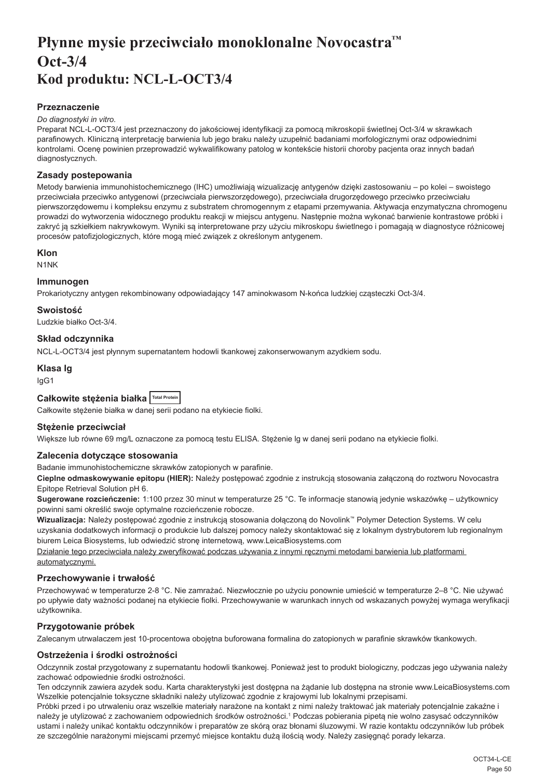## <span id="page-50-0"></span>**Płynne mysie przeciwciało monoklonalne Novocastra™ Oct-3/4 Kod produktu: NCL-L-OCT3/4**

## **Przeznaczenie**

#### *Do diagnostyki in vitro.*

Preparat NCL-L-OCT3/4 jest przeznaczony do jakościowej identyfikacji za pomocą mikroskopii świetlnej Oct-3/4 w skrawkach parafinowych. Kliniczną interpretację barwienia lub jego braku należy uzupełnić badaniami morfologicznymi oraz odpowiednimi kontrolami. Ocenę powinien przeprowadzić wykwalifikowany patolog w kontekście historii choroby pacjenta oraz innych badań diagnostycznych.

#### **Zasady postepowania**

Metody barwienia immunohistochemicznego (IHC) umożliwiają wizualizację antygenów dzięki zastosowaniu – po kolei – swoistego przeciwciała przeciwko antygenowi (przeciwciała pierwszorzędowego), przeciwciała drugorzędowego przeciwko przeciwciału pierwszorzędowemu i kompleksu enzymu z substratem chromogennym z etapami przemywania. Aktywacja enzymatyczna chromogenu prowadzi do wytworzenia widocznego produktu reakcji w miejscu antygenu. Następnie można wykonać barwienie kontrastowe próbki i zakryć ją szkiełkiem nakrywkowym. Wyniki są interpretowane przy użyciu mikroskopu świetlnego i pomagają w diagnostyce różnicowej procesów patofizjologicznych, które mogą mieć związek z określonym antygenem.

#### **Klon**

N1NK

#### **Immunogen**

Prokariotyczny antygen rekombinowany odpowiadający 147 aminokwasom N-końca ludzkiej cząsteczki Oct-3/4.

#### **Swoistość**

Ludzkie białko Oct-3/4.

## **Skład odczynnika**

NCL-L-OCT3/4 jest płynnym supernatantem hodowli tkankowej zakonserwowanym azydkiem sodu.

#### **Klasa Ig**

IgG1

| Całkowite stężenia białka   Total Protein |  |  |
|-------------------------------------------|--|--|
|-------------------------------------------|--|--|

Całkowite stężenie białka w danej serii podano na etykiecie fiolki.

## **Stężenie przeciwciał**

Wieksze lub równe 69 mg/L oznaczone za pomocą testu ELISA. Stężenie lg w danej serii podano na etykiecie fiolki.

#### **Zalecenia dotyczące stosowania**

Badanie immunohistochemiczne skrawków zatopionych w parafinie.

**Cieplne odmaskowywanie epitopu (HIER):** Należy postępować zgodnie z instrukcją stosowania załączoną do roztworu Novocastra Epitope Retrieval Solution pH 6.

**Sugerowane rozcieńczenie:** 1:100 przez 30 minut w temperaturze 25 °C. Te informacje stanowią jedynie wskazówkę – użytkownicy powinni sami określić swoje optymalne rozcieńczenie robocze.

**Wizualizacja:** Należy postępować zgodnie z instrukcją stosowania dołączoną do Novolink™ Polymer Detection Systems. W celu uzyskania dodatkowych informacji o produkcie lub dalszej pomocy należy skontaktować się z lokalnym dystrybutorem lub regionalnym biurem Leica Biosystems, lub odwiedzić stronę internetową, www.LeicaBiosystems.com

Działanie tego przeciwciała należy zweryfikować podczas używania z innymi ręcznymi metodami barwienia lub platformami automatycznymi.

#### **Przechowywanie i trwałość**

Przechowywać w temperaturze 2-8 °C. Nie zamrażać. Niezwłocznie po użyciu ponownie umieścić w temperaturze 2–8 °C. Nie używać po upływie daty ważności podanej na etykiecie fiolki. Przechowywanie w warunkach innych od wskazanych powyżej wymaga weryfikacji użytkownika.

#### **Przygotowanie próbek**

Zalecanym utrwalaczem jest 10-procentowa obojętna buforowana formalina do zatopionych w parafinie skrawków tkankowych.

#### **Ostrzeżenia i środki ostrożności**

Odczynnik został przygotowany z supernatantu hodowli tkankowej. Ponieważ jest to produkt biologiczny, podczas jego używania należy zachować odpowiednie środki ostrożności.

Ten odczynnik zawiera azydek sodu. Karta charakterystyki jest dostępna na żądanie lub dostępna na stronie www.LeicaBiosystems.com Wszelkie potencjalnie toksyczne składniki należy utylizować zgodnie z krajowymi lub lokalnymi przepisami.

Próbki przed i po utrwaleniu oraz wszelkie materiały narażone na kontakt z nimi należy traktować jak materiały potencjalnie zakaźne i należy je utylizować z zachowaniem odpowiednich środków ostrożności.<sup>1</sup> Podczas pobierania pipetą nie wolno zasysać odczynników ustami i należy unikać kontaktu odczynników i preparatów ze skórą oraz błonami śluzowymi. W razie kontaktu odczynników lub próbek ze szczególnie narażonymi miejscami przemyć miejsce kontaktu dużą ilością wody. Należy zasięgnąć porady lekarza.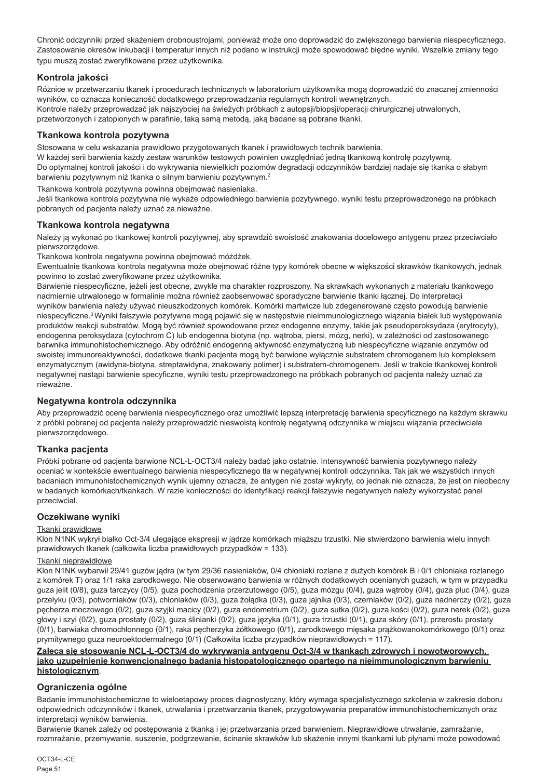Chronić odczynniki przed skażeniem drobnoustrojami, ponieważ może ono doprowadzić do zwiększonego barwienia niespecyficznego. Zastosowanie okresów inkubacji i temperatur innych niż podano w instrukcji może spowodować błędne wyniki. Wszelkie zmiany tego typu muszą zostać zweryfikowane przez użytkownika.

## **Kontrola jakości**

Różnice w przetwarzaniu tkanek i procedurach technicznych w laboratorium użytkownika mogą doprowadzić do znacznej zmienności wyników, co oznacza konieczność dodatkowego przeprowadzania regularnych kontroli wewnętrznych. Kontrole należy przeprowadzać jak najszybciej na świeżych próbkach z autopsji/biopsji/operacji chirurgicznej utrwalonych, przetworzonych i zatopionych w parafinie, taką samą metodą, jaką badane są pobrane tkanki.

## **Tkankowa kontrola pozytywna**

Stosowana w celu wskazania prawidłowo przygotowanych tkanek i prawidłowych technik barwienia.

W każdej serii barwienia każdy zestaw warunków testowych powinien uwzględniać jedną tkankową kontrolę pozytywną. Do optymalnej kontroli jakości i do wykrywania niewielkich poziomów degradacji odczynników bardziej nadaje się tkanka o słabym barwieniu pozytywnym niż tkanka o silnym barwieniu pozytywnym.<sup>2</sup>

Tkankowa kontrola pozytywna powinna obejmować nasieniaka.

Jeśli tkankowa kontrola pozytywna nie wykaże odpowiedniego barwienia pozytywnego, wyniki testu przeprowadzonego na próbkach pobranych od pacjenta należy uznać za nieważne.

#### **Tkankowa kontrola negatywna**

Należy ją wykonać po tkankowej kontroli pozytywnej, aby sprawdzić swoistość znakowania docelowego antygenu przez przeciwciało pierwszorzędowe.

Tkankowa kontrola negatywna powinna obejmować móżdżek.

Ewentualnie tkankowa kontrola negatywna może obejmować różne typy komórek obecne w większości skrawków tkankowych, jednak powinno to zostać zweryfikowane przez użytkownika.

Barwienie niespecyficzne, jeżeli jest obecne, zwykle ma charakter rozproszony. Na skrawkach wykonanych z materiału tkankowego nadmiernie utrwalonego w formalinie można również zaobserwować sporadyczne barwienie tkanki łącznej. Do interpretacji wyników barwienia należy używać nieuszkodzonych komórek. Komórki martwicze lub zdegenerowane często powodują barwienie niespecyficzne.<sup>3</sup>Wyniki fałszywie pozytywne mogą pojawić się w następstwie nieimmunologicznego wiązania białek lub występowania produktów reakcji substratów. Mogą być również spowodowane przez endogenne enzymy, takie jak pseudoperoksydaza (erytrocyty), endogenna peroksydaza (cytochrom C) lub endogenna biotyna (np. wątroba, piersi, mózg, nerki), w zależności od zastosowanego barwnika immunohistochemicznego. Aby odróżnić endogenną aktywność enzymatyczną lub niespecyficzne wiązanie enzymów od swoistej immunoreaktywności, dodatkowe tkanki pacjenta mogą być barwione wyłącznie substratem chromogenem lub kompleksem enzymatycznym (awidyna-biotyna, streptawidyna, znakowany polimer) i substratem-chromogenem. Jeśli w trakcie tkankowej kontroli negatywnej nastąpi barwienie specyficzne, wyniki testu przeprowadzonego na próbkach pobranych od pacjenta należy uznać za nieważne.

#### **Negatywna kontrola odczynnika**

Aby przeprowadzić ocenę barwienia niespecyficznego oraz umożliwić lepszą interpretację barwienia specyficznego na każdym skrawku z próbki pobranej od pacjenta należy przeprowadzić nieswoistą kontrolę negatywną odczynnika w miejscu wiązania przeciwciała pierwszorzędowego.

#### **Tkanka pacjenta**

Próbki pobrane od pacjenta barwione NCL-L-OCT3/4 należy badać jako ostatnie. Intensywność barwienia pozytywnego należy oceniać w kontekście ewentualnego barwienia niespecyficznego tła w negatywnej kontroli odczynnika. Tak jak we wszystkich innych badaniach immunohistochemicznych wynik ujemny oznacza, że antygen nie został wykryty, co jednak nie oznacza, że jest on nieobecny w badanych komórkach/tkankach. W razie konieczności do identyfikacji reakcji fałszywie negatywnych należy wykorzystać panel przeciwciał.

### **Oczekiwane wyniki**

#### Tkanki prawidłowe

Klon N1NK wykrył białko Oct-3/4 ulegające ekspresji w jądrze komórkach miąższu trzustki. Nie stwierdzono barwienia wielu innych prawidłowych tkanek (całkowita liczba prawidłowych przypadków = 133).

#### Tkanki nieprawidłowe

Klon N1NK wybarwił 29/41 guzów jądra (w tym 29/36 nasieniaków, 0/4 chłoniaki rozlane z dużych komórek B i 0/1 chłoniaka rozlanego z komórek T) oraz 1/1 raka zarodkowego. Nie obserwowano barwienia w różnych dodatkowych ocenianych guzach, w tym w przypadku guza jelit (0/8), guza tarczycy (0/5), guza pochodzenia przerzutowego (0/5), guza mózgu (0/4), guza wątroby (0/4), guza płuc (0/4), guza przełyku (0/3), potworniaków (0/3), chłoniaków (0/3), guza żołądka (0/3), guza jajnika (0/3), czerniaków (0/2), guza nadnerczy (0/2), guza pęcherza moczowego (0/2), guza szyjki macicy (0/2), guza endometrium (0/2), guza sutka (0/2), guza kości (0/2), guza nerek (0/2), guza głowy i szyi (0/2), guza prostaty (0/2), guza ślinianki (0/2), guza języka (0/1), guza trzustki (0/1), guza skóry (0/1), przerostu prostaty (0/1), barwiaka chromochłonnego (0/1), raka pęcherzyka żółtkowego (0/1), zarodkowego mięsaka prążkowanokomórkowego (0/1) oraz prymitywnego guza neuroektodermalnego (0/1) (Całkowita liczba przypadków nieprawidłowych = 117).

#### **Zaleca się stosowanie NCL-L-OCT3/4 do wykrywania antygenu Oct-3/4 w tkankach zdrowych i nowotworowych, jako uzupełnienie konwencjonalnego badania histopatologicznego opartego na nieimmunologicznym barwieniu histologicznym**.

## **Ograniczenia ogólne**

Badanie immunohistochemiczne to wieloetapowy proces diagnostyczny, który wymaga specjalistycznego szkolenia w zakresie doboru odpowiednich odczynników i tkanek, utrwalania i przetwarzania tkanek, przygotowywania preparatów immunohistochemicznych oraz interpretacji wyników barwienia.

Barwienie tkanek zależy od postępowania z tkanką i jej przetwarzania przed barwieniem. Nieprawidłowe utrwalanie, zamrażanie, rozmrażanie, przemywanie, suszenie, podgrzewanie, ścinanie skrawków lub skażenie innymi tkankami lub płynami może powodować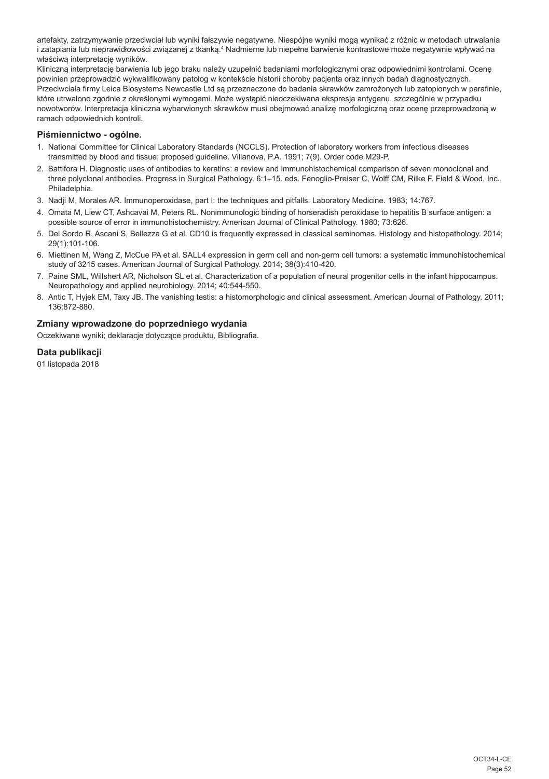artefakty, zatrzymywanie przeciwciał lub wyniki fałszywie negatywne. Niespójne wyniki mogą wynikać z różnic w metodach utrwalania i zatapiania lub nieprawidłowości związanej z tkanką.ª Nadmierne lub niepełne barwienie kontrastowe może negatywnie wpływać na właściwą interpretację wyników.

Kliniczną interpretację barwienia lub jego braku należy uzupełnić badaniami morfologicznymi oraz odpowiednimi kontrolami. Ocenę powinien przeprowadzić wykwalifikowany patolog w kontekście historii choroby pacjenta oraz innych badań diagnostycznych. Przeciwciała firmy Leica Biosystems Newcastle Ltd są przeznaczone do badania skrawków zamrożonych lub zatopionych w parafinie, które utrwalono zgodnie z określonymi wymogami. Może wystąpić nieoczekiwana ekspresja antygenu, szczególnie w przypadku nowotworów. Interpretacja kliniczna wybarwionych skrawków musi obejmować analizę morfologiczną oraz ocenę przeprowadzoną w ramach odpowiednich kontroli.

#### **Piśmiennictwo - ogólne.**

- 1. National Committee for Clinical Laboratory Standards (NCCLS). Protection of laboratory workers from infectious diseases transmitted by blood and tissue; proposed guideline. Villanova, P.A. 1991; 7(9). Order code M29-P.
- 2. Battifora H. Diagnostic uses of antibodies to keratins: a review and immunohistochemical comparison of seven monoclonal and three polyclonal antibodies. Progress in Surgical Pathology. 6:1–15. eds. Fenoglio-Preiser C, Wolff CM, Rilke F. Field & Wood, Inc., Philadelphia.
- 3. Nadji M, Morales AR. Immunoperoxidase, part I: the techniques and pitfalls. Laboratory Medicine. 1983; 14:767.
- 4. Omata M, Liew CT, Ashcavai M, Peters RL. Nonimmunologic binding of horseradish peroxidase to hepatitis B surface antigen: a possible source of error in immunohistochemistry. American Journal of Clinical Pathology. 1980; 73:626.
- 5. Del Sordo R, Ascani S, Bellezza G et al. CD10 is frequently expressed in classical seminomas. Histology and histopathology. 2014; 29(1):101-106.
- 6. Miettinen M, Wang Z, McCue PA et al. SALL4 expression in germ cell and non-germ cell tumors: a systematic immunohistochemical study of 3215 cases. American Journal of Surgical Pathology. 2014; 38(3):410-420.
- 7. Paine SML, Willshert AR, Nicholson SL et al. Characterization of a population of neural progenitor cells in the infant hippocampus. Neuropathology and applied neurobiology. 2014; 40:544-550.
- 8. Antic T, Hyjek EM, Taxy JB. The vanishing testis: a histomorphologic and clinical assessment. American Journal of Pathology. 2011; 136:872-880.

#### **Zmiany wprowadzone do poprzedniego wydania**

Oczekiwane wyniki; deklaracje dotyczące produktu, Bibliografia.

## **Data publikacji**

01 listopada 2018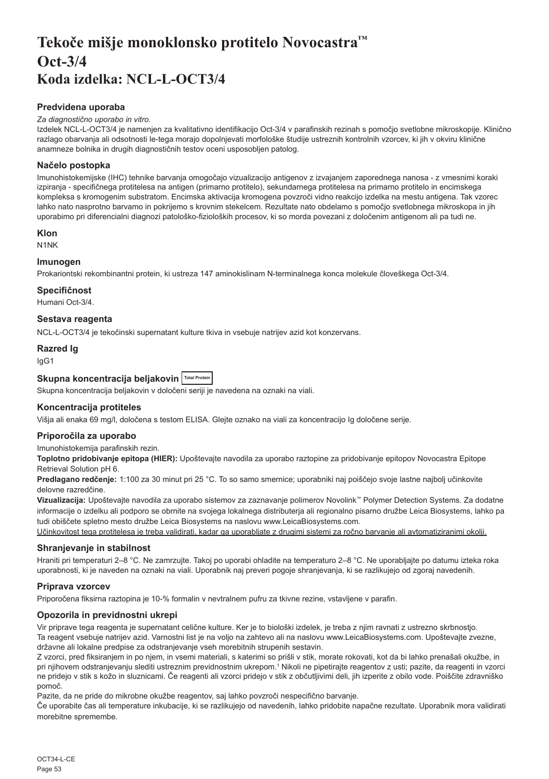## <span id="page-53-0"></span>**Tekoče mišje monoklonsko protitelo Novocastra™ Oct-3/4 Koda izdelka: NCL-L-OCT3/4**

## **Predvidena uporaba**

#### *Za diagnostično uporabo in vitro.*

Izdelek NCL-L-OCT3/4 je namenjen za kvalitativno identifikacijo Oct-3/4 v parafinskih rezinah s pomočjo svetlobne mikroskopije. Klinično razlago obarvanja ali odsotnosti le-tega morajo dopolnjevati morfološke študije ustreznih kontrolnih vzorcev, ki jih v okviru klinične anamneze bolnika in drugih diagnostičnih testov oceni usposobljen patolog.

## **Načelo postopka**

Imunohistokemijske (IHC) tehnike barvanja omogočajo vizualizacijo antigenov z izvajanjem zaporednega nanosa - z vmesnimi koraki izpiranja - specifičnega protitelesa na antigen (primarno protitelo), sekundarnega protitelesa na primarno protitelo in encimskega kompleksa s kromogenim substratom. Encimska aktivacija kromogena povzroči vidno reakcijo izdelka na mestu antigena. Tak vzorec lahko nato nasprotno barvamo in pokrijemo s krovnim stekelcem. Rezultate nato obdelamo s pomočjo svetlobnega mikroskopa in jih uporabimo pri diferencialni diagnozi patološko-fizioloških procesov, ki so morda povezani z določenim antigenom ali pa tudi ne.

#### **Klon**

N1NK

#### **Imunogen**

Prokariontski rekombinantni protein, ki ustreza 147 aminokislinam N-terminalnega konca molekule človeškega Oct-3/4.

#### **Specifičnost**

Humani Oct-3/4.

### **Sestava reagenta**

NCL-L-OCT3/4 je tekočinski supernatant kulture tkiva in vsebuje natrijev azid kot konzervans.

#### **Razred Ig**

IgG1

## **Skupna koncentracija beljakovin Total Protein**

Skupna koncentracija beljakovin v določeni seriji je navedena na oznaki na viali.

#### **Koncentracija protiteles**

Višja ali enaka 69 mg/l, določena s testom ELISA. Glejte oznako na viali za koncentracijo Ig določene serije.

## **Priporočila za uporabo**

Imunohistokemija parafinskih rezin.

**Toplotno pridobivanje epitopa (HIER):** Upoštevajte navodila za uporabo raztopine za pridobivanje epitopov Novocastra Epitope Retrieval Solution pH 6.

**Predlagano redčenje:** 1:100 za 30 minut pri 25 °C. To so samo smernice; uporabniki naj poiščejo svoje lastne najbolj učinkovite delovne razredčine.

**Vizualizacija:** Upoštevajte navodila za uporabo sistemov za zaznavanje polimerov Novolink™ Polymer Detection Systems. Za dodatne informacije o izdelku ali podporo se obrnite na svojega lokalnega distributerja ali regionalno pisarno družbe Leica Biosystems, lahko pa tudi obiščete spletno mesto družbe Leica Biosystems na naslovu www.LeicaBiosystems.com.

Učinkovitost tega protitelesa je treba validirati, kadar ga uporabljate z drugimi sistemi za ročno barvanje ali avtomatiziranimi okolji.

#### **Shranjevanje in stabilnost**

Hraniti pri temperaturi 2–8 °C. Ne zamrzujte. Takoj po uporabi ohladite na temperaturo 2–8 °C. Ne uporabljajte po datumu izteka roka uporabnosti, ki je naveden na oznaki na viali. Uporabnik naj preveri pogoje shranjevanja, ki se razlikujejo od zgoraj navedenih.

#### **Priprava vzorcev**

Priporočena fiksirna raztopina je 10-% formalin v nevtralnem pufru za tkivne rezine, vstavljene v parafin.

#### **Opozorila in previdnostni ukrepi**

Vir priprave tega reagenta je supernatant celične kulture. Ker je to biološki izdelek, je treba z njim ravnati z ustrezno skrbnostjo. Ta reagent vsebuje natrijev azid. Varnostni list je na voljo na zahtevo ali na naslovu www.LeicaBiosystems.com. Upoštevajte zvezne, državne ali lokalne predpise za odstranjevanje vseh morebitnih strupenih sestavin.

Z vzorci, pred fiksiranjem in po njem, in vsemi materiali, s katerimi so prišli v stik, morate rokovati, kot da bi lahko prenašali okužbe, in pri njihovem odstranjevanju slediti ustreznim previdnostnim ukrepom.<sup>1</sup> Nikoli ne pipetirajte reagentov z usti; pazite, da reagenti in vzorci ne pridejo v stik s kožo in sluznicami. Če reagenti ali vzorci pridejo v stik z občutljivimi deli, jih izperite z obilo vode. Poiščite zdravniško pomoč.

Pazite, da ne pride do mikrobne okužbe reagentov, saj lahko povzroči nespecifično barvanje.

Če uporabite čas ali temperature inkubacije, ki se razlikujejo od navedenih, lahko pridobite napačne rezultate. Uporabnik mora validirati morebitne spremembe.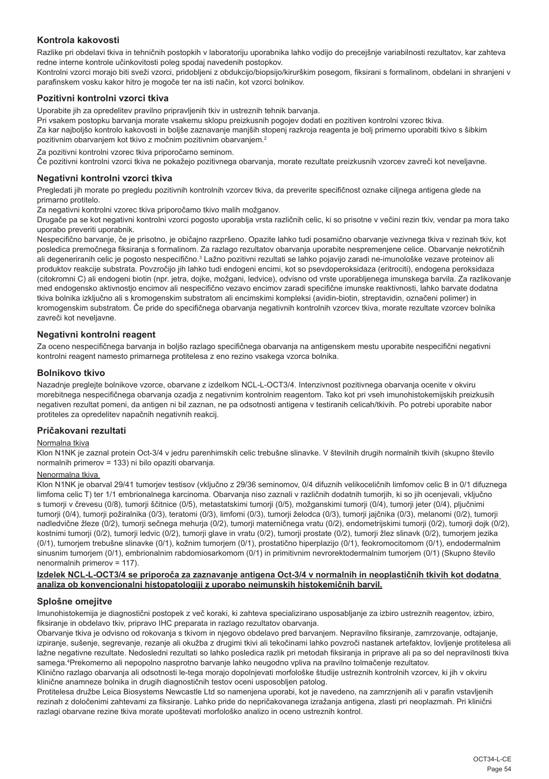## **Kontrola kakovosti**

Razlike pri obdelavi tkiva in tehničnih postopkih v laboratoriju uporabnika lahko vodijo do precejšnje variabilnosti rezultatov, kar zahteva redne interne kontrole učinkovitosti poleg spodaj navedenih postopkov.

Kontrolni vzorci morajo biti sveži vzorci, pridobljeni z obdukcijo/biopsijo/kirurškim posegom, fiksirani s formalinom, obdelani in shranjeni v parafinskem vosku kakor hitro je mogoče ter na isti način, kot vzorci bolnikov.

#### **Pozitivni kontrolni vzorci tkiva**

Uporabite jih za opredelitev pravilno pripravljenih tkiv in ustreznih tehnik barvanja.

Pri vsakem postopku barvanja morate vsakemu sklopu preizkusnih pogojev dodati en pozitiven kontrolni vzorec tkiva. Za kar najboljšo kontrolo kakovosti in boljše zaznavanje manjših stopenj razkroja reagenta je bolj primerno uporabiti tkivo s šibkim pozitivnim obarvanjem kot tkivo z močnim pozitivnim obarvanjem.<sup>2</sup>

Za pozitivni kontrolni vzorec tkiva priporočamo seminom.

Če pozitivni kontrolni vzorci tkiva ne pokažejo pozitivnega obarvanja, morate rezultate preizkusnih vzorcev zavreči kot neveljavne.

#### **Negativni kontrolni vzorci tkiva**

Pregledati jih morate po pregledu pozitivnih kontrolnih vzorcev tkiva, da preverite specifičnost oznake ciljnega antigena glede na primarno protitelo.

Za negativni kontrolni vzorec tkiva priporočamo tkivo malih možganov.

Drugače pa se kot negativni kontrolni vzorci pogosto uporablja vrsta različnih celic, ki so prisotne v večini rezin tkiv, vendar pa mora tako uporabo preveriti uporabnik.

Nespecifično barvanje, če je prisotno, je običajno razpršeno. Opazite lahko tudi posamično obarvanje vezivnega tkiva v rezinah tkiv, kot posledica premočnega fiksiranja s formalinom. Za razlago rezultatov obarvanja uporabite nespremenjene celice. Obarvanje nekrotičnih ali degeneriranih celic je pogosto nespecifično.<sup>3</sup> Lažno pozitivni rezultati se lahko pojavijo zaradi ne-imunološke vezave proteinov ali produktov reakcije substrata. Povzročijo jih lahko tudi endogeni encimi, kot so psevdoperoksidaza (eritrociti), endogena peroksidaza (citokromni C) ali endogeni biotin (npr. jetra, dojke, možgani, ledvice), odvisno od vrste uporabljenega imunskega barvila. Za razlikovanje med endogensko aktivnostjo encimov ali nespecifično vezavo encimov zaradi specifične imunske reaktivnosti, lahko barvate dodatna tkiva bolnika izključno ali s kromogenskim substratom ali encimskimi kompleksi (avidin-biotin, streptavidin, označeni polimer) in kromogenskim substratom. Če pride do specifičnega obarvanja negativnih kontrolnih vzorcev tkiva, morate rezultate vzorcev bolnika zavreči kot neveljavne.

#### **Negativni kontrolni reagent**

Za oceno nespecifičnega barvanja in boljšo razlago specifičnega obarvanja na antigenskem mestu uporabite nespecifični negativni kontrolni reagent namesto primarnega protitelesa z eno rezino vsakega vzorca bolnika.

#### **Bolnikovo tkivo**

Nazadnje preglejte bolnikove vzorce, obarvane z izdelkom NCL-L-OCT3/4. Intenzivnost pozitivnega obarvanja ocenite v okviru morebitnega nespecifičnega obarvanja ozadja z negativnim kontrolnim reagentom. Tako kot pri vseh imunohistokemijskih preizkusih negativen rezultat pomeni, da antigen ni bil zaznan, ne pa odsotnosti antigena v testiranih celicah/tkivih. Po potrebi uporabite nabor protiteles za opredelitev napačnih negativnih reakcij.

#### **Pričakovani rezultati**

## Normalna tkiva

Klon N1NK je zaznal protein Oct-3/4 v jedru parenhimskih celic trebušne slinavke. V številnih drugih normalnih tkivih (skupno število normalnih primerov = 133) ni bilo opaziti obarvanja.

#### Nenormalna tkiva

Klon N1NK je obarval 29/41 tumorjev testisov (vključno z 29/36 seminomov, 0/4 difuznih velikoceličnih limfomov celic B in 0/1 difuznega limfoma celic T) ter 1/1 embrionalnega karcinoma. Obarvanja niso zaznali v različnih dodatnih tumorjih, ki so jih ocenjevali, vključno s tumorji v črevesu (0/8), tumorji ščitnice (0/5), metastatskimi tumorji (0/5), možganskimi tumorji (0/4), tumorji jeter (0/4), pljučnimi tumorji (0/4), tumorji požiralnika (0/3), teratomi (0/3), limfomi (0/3), tumorji želodca (0/3), tumorji jajčnika (0/3), melanomi (0/2), tumorji nadledvične žleze (0/2), tumorji sečnega mehurja (0/2), tumorji materničnega vratu (0/2), endometrijskimi tumorji (0/2), tumorji dojk (0/2), kostnimi tumorji (0/2), tumorji ledvic (0/2), tumorji glave in vratu (0/2), tumorji prostate (0/2), tumorji žlez slinavk (0/2), tumorjem jezika (0/1), tumorjem trebušne slinavke (0/1), kožnim tumorjem (0/1), prostatično hiperplazijo (0/1), feokromocitomom (0/1), endodermalnim sinusnim tumorjem (0/1), embrionalnim rabdomiosarkomom (0/1) in primitivnim nevrorektodermalnim tumorjem (0/1) (Skupno število nenormalnih primerov = 117).

#### **Izdelek NCL-L-OCT3/4 se priporoča za zaznavanje antigena Oct-3/4 v normalnih in neoplastičnih tkivih kot dodatna analiza ob konvencionalni histopatologiji z uporabo neimunskih histokemičnih barvil.**

#### **Splošne omejitve**

Imunohistokemija je diagnostični postopek z več koraki, ki zahteva specializirano usposabljanje za izbiro ustreznih reagentov, izbiro, fiksiranje in obdelavo tkiv, pripravo IHC preparata in razlago rezultatov obarvanja.

Obarvanje tkiva je odvisno od rokovanja s tkivom in njegovo obdelavo pred barvanjem. Nepravilno fiksiranje, zamrzovanje, odtajanje, izpiranje, sušenje, segrevanje, rezanje ali okužba z drugimi tkivi ali tekočinami lahko povzroči nastanek artefaktov, lovljenje protitelesa ali lažne negativne rezultate. Nedosledni rezultati so lahko posledica razlik pri metodah fiksiranja in priprave ali pa so del nepravilnosti tkiva samega.<sup>4</sup> Prekomerno ali nepopolno nasprotno barvanje lahko neugodno vpliva na pravilno tolmačenje rezultatov.

Klinično razlago obarvanja ali odsotnosti le-tega morajo dopolnjevati morfološke študije ustreznih kontrolnih vzorcev, ki jih v okviru klinične anamneze bolnika in drugih diagnostičnih testov oceni usposobljen patolog.

Protitelesa družbe Leica Biosystems Newcastle Ltd so namenjena uporabi, kot je navedeno, na zamrznjenih ali v parafin vstavljenih rezinah z določenimi zahtevami za fiksiranje. Lahko pride do nepričakovanega izražanja antigena, zlasti pri neoplazmah. Pri klinični razlagi obarvane rezine tkiva morate upoštevati morfološko analizo in oceno ustreznih kontrol.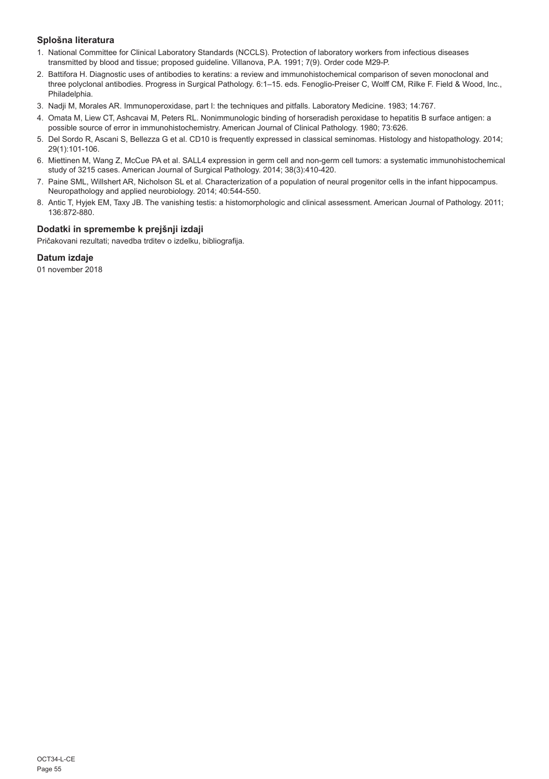## **Splošna literatura**

- 1. National Committee for Clinical Laboratory Standards (NCCLS). Protection of laboratory workers from infectious diseases transmitted by blood and tissue; proposed guideline. Villanova, P.A. 1991; 7(9). Order code M29-P.
- 2. Battifora H. Diagnostic uses of antibodies to keratins: a review and immunohistochemical comparison of seven monoclonal and three polyclonal antibodies. Progress in Surgical Pathology. 6:1–15. eds. Fenoglio-Preiser C, Wolff CM, Rilke F. Field & Wood, Inc., Philadelphia.
- 3. Nadji M, Morales AR. Immunoperoxidase, part I: the techniques and pitfalls. Laboratory Medicine. 1983; 14:767.
- 4. Omata M, Liew CT, Ashcavai M, Peters RL. Nonimmunologic binding of horseradish peroxidase to hepatitis B surface antigen: a possible source of error in immunohistochemistry. American Journal of Clinical Pathology. 1980; 73:626.
- 5. Del Sordo R, Ascani S, Bellezza G et al. CD10 is frequently expressed in classical seminomas. Histology and histopathology. 2014; 29(1):101-106.
- 6. Miettinen M, Wang Z, McCue PA et al. SALL4 expression in germ cell and non-germ cell tumors: a systematic immunohistochemical study of 3215 cases. American Journal of Surgical Pathology. 2014; 38(3):410-420.
- 7. Paine SML, Willshert AR, Nicholson SL et al. Characterization of a population of neural progenitor cells in the infant hippocampus. Neuropathology and applied neurobiology. 2014; 40:544-550.
- 8. Antic T, Hyjek EM, Taxy JB. The vanishing testis: a histomorphologic and clinical assessment. American Journal of Pathology. 2011; 136:872-880.

## **Dodatki in spremembe k prejšnji izdaji**

Pričakovani rezultati; navedba trditev o izdelku, bibliografija.

## **Datum izdaje**

01 november 2018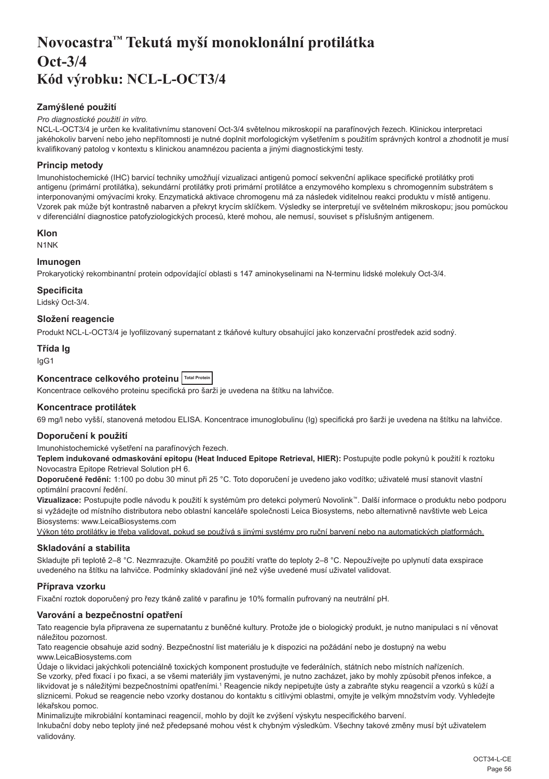# <span id="page-56-0"></span>**Novocastra™ Tekutá myší monoklonální protilátka Oct-3/4 Kód výrobku: NCL-L-OCT3/4**

## **Zamýšlené použití**

#### *Pro diagnostické použití in vitro.*

NCL-L-OCT3/4 je určen ke kvalitativnímu stanovení Oct-3/4 světelnou mikroskopií na parafínových řezech. Klinickou interpretaci jakéhokoliv barvení nebo jeho nepřítomnosti je nutné doplnit morfologickým vyšetřením s použitím správných kontrol a zhodnotit je musí kvalifikovaný patolog v kontextu s klinickou anamnézou pacienta a jinými diagnostickými testy.

## **Princip metody**

Imunohistochemické (IHC) barvicí techniky umožňují vizualizaci antigenů pomocí sekvenční aplikace specifické protilátky proti antigenu (primární protilátka), sekundární protilátky proti primární protilátce a enzymového komplexu s chromogenním substrátem s interponovanými omývacími kroky. Enzymatická aktivace chromogenu má za následek viditelnou reakci produktu v místě antigenu. Vzorek pak může být kontrastně nabarven a překryt krycím sklíčkem. Výsledky se interpretují ve světelném mikroskopu; jsou pomůckou v diferenciální diagnostice patofyziologických procesů, které mohou, ale nemusí, souviset s příslušným antigenem.

#### **Klon**

N1NK

## **Imunogen**

Prokaryotický rekombinantní protein odpovídající oblasti s 147 aminokyselinami na N-terminu lidské molekuly Oct-3/4.

## **Specificita**

Lidský Oct-3/4.

#### **Složení reagencie**

Produkt NCL-L-OCT3/4 je lyofilizovaný supernatant z tkáňové kultury obsahující jako konzervační prostředek azid sodný.

#### **Třída Ig**

IgG1

## **Koncentrace celkového proteinu Total Protein**

Koncentrace celkového proteinu specifická pro šarži je uvedena na štítku na lahvičce.

#### **Koncentrace protilátek**

69 mg/l nebo vyšší, stanovená metodou ELISA. Koncentrace imunoglobulinu (Ig) specifická pro šarži je uvedena na štítku na lahvičce.

### **Doporučení k použití**

Imunohistochemické vyšetření na parafínových řezech.

**Teplem indukované odmaskování epitopu (Heat Induced Epitope Retrieval, HIER):** Postupujte podle pokynů k použití k roztoku Novocastra Epitope Retrieval Solution pH 6.

**Doporučené ředění:** 1:100 po dobu 30 minut při 25 °C. Toto doporučení je uvedeno jako vodítko; uživatelé musí stanovit vlastní optimální pracovní ředění.

**Vizualizace:** Postupujte podle návodu k použití k systémům pro detekci polymerů Novolink™. Další informace o produktu nebo podporu si vyžádejte od místního distributora nebo oblastní kanceláře společnosti Leica Biosystems, nebo alternativně navštivte web Leica Biosystems: www.LeicaBiosystems.com

Výkon této protilátky je třeba validovat, pokud se používá s jinými systémy pro ruční barvení nebo na automatických platformách.

#### **Skladování a stabilita**

Skladujte při teplotě 2–8 °C. Nezmrazujte. Okamžitě po použití vraťte do teploty 2–8 °C. Nepoužívejte po uplynutí data exspirace uvedeného na štítku na lahvičce. Podmínky skladování jiné než výše uvedené musí uživatel validovat.

#### **Příprava vzorku**

Fixační roztok doporučený pro řezy tkáně zalité v parafinu je 10% formalín pufrovaný na neutrální pH.

#### **Varování a bezpečnostní opatření**

Tato reagencie byla připravena ze supernatantu z buněčné kultury. Protože jde o biologický produkt, je nutno manipulaci s ní věnovat náležitou pozornost.

Tato reagencie obsahuje azid sodný. Bezpečnostní list materiálu je k dispozici na požádání nebo je dostupný na webu www.LeicaBiosystems.com

Údaje o likvidaci jakýchkoli potenciálně toxických komponent prostudujte ve federálních, státních nebo místních nařízeních. Se vzorky, před fixací i po fixaci, a se všemi materiály jim vystavenými, je nutno zacházet, jako by mohly způsobit přenos infekce, a likvidovat je s náležitými bezpečnostními opatřeními.<sup>1</sup> Reagencie nikdy nepipetujte ústy a zabraňte styku reagencií a vzorků s kůží a sliznicemi. Pokud se reagencie nebo vzorky dostanou do kontaktu s citlivými oblastmi, omyjte je velkým množstvím vody. Vyhledejte lékařskou pomoc.

Minimalizujte mikrobiální kontaminaci reagencií, mohlo by dojít ke zvýšení výskytu nespecifického barvení.

Inkubační doby nebo teploty jiné než předepsané mohou vést k chybným výsledkům. Všechny takové změny musí být uživatelem validovány.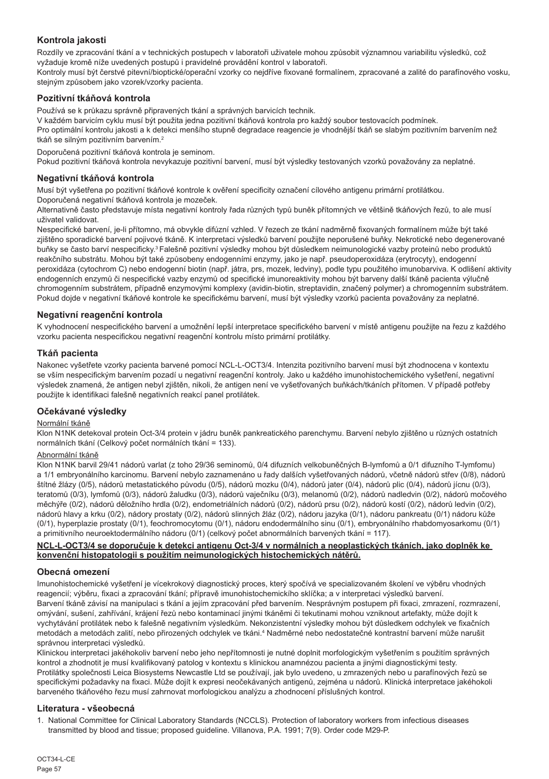## **Kontrola jakosti**

Rozdíly ve zpracování tkání a v technických postupech v laboratoři uživatele mohou způsobit významnou variabilitu výsledků, což vyžaduje kromě níže uvedených postupů i pravidelné provádění kontrol v laboratoři.

Kontroly musí být čerstvé pitevní/bioptické/operační vzorky co nejdříve fixované formalínem, zpracované a zalité do parafínového vosku, stejným způsobem jako vzorek/vzorky pacienta.

## **Pozitivní tkáňová kontrola**

Používá se k průkazu správně připravených tkání a správných barvicích technik.

V každém barvicím cyklu musí být použita jedna pozitivní tkáňová kontrola pro každý soubor testovacích podmínek.

Pro optimální kontrolu jakosti a k detekci menšího stupně degradace reagencie je vhodnější tkáň se slabým pozitivním barvením než tkáň se silným pozitivním barvením.<sup>2</sup>

Doporučená pozitivní tkáňová kontrola je seminom.

Pokud pozitivní tkáňová kontrola nevykazuje pozitivní barvení, musí být výsledky testovaných vzorků považovány za neplatné.

#### **Negativní tkáňová kontrola**

Musí být vyšetřena po pozitivní tkáňové kontrole k ověření specificity označení cílového antigenu primární protilátkou. Doporučená negativní tkáňová kontrola je mozeček.

Alternativně často představuje místa negativní kontroly řada různých typů buněk přítomných ve většině tkáňových řezů, to ale musí uživatel validovat.

Nespecifické barvení, je-li přítomno, má obvykle difúzní vzhled. V řezech ze tkání nadměrně fixovaných formalínem může být také zjištěno sporadické barvení pojivové tkáně. K interpretaci výsledků barvení použijte neporušené buňky. Nekrotické nebo degenerované buňky se často barví nespecificky.<sup>3</sup>Falešně pozitivní výsledky mohou být důsledkem neimunologické vazby proteinů nebo produktů reakčního substrátu. Mohou být také způsobeny endogenními enzymy, jako je např. pseudoperoxidáza (erytrocyty), endogenní peroxidáza (cytochrom C) nebo endogenní biotin (např. játra, prs, mozek, ledviny), podle typu použitého imunobarviva. K odlišení aktivity endogenních enzymů či nespecifické vazby enzymů od specifické imunoreaktivity mohou být barveny další tkáně pacienta výlučně chromogenním substrátem, případně enzymovými komplexy (avidin-biotin, streptavidin, značený polymer) a chromogenním substrátem. Pokud dojde v negativní tkáňové kontrole ke specifickému barvení, musí být výsledky vzorků pacienta považovány za neplatné.

#### **Negativní reagenční kontrola**

K vyhodnocení nespecifického barvení a umožnění lepší interpretace specifického barvení v místě antigenu použijte na řezu z každého vzorku pacienta nespecifickou negativní reagenční kontrolu místo primární protilátky.

#### **Tkáň pacienta**

Nakonec vyšetřete vzorky pacienta barvené pomocí NCL-L-OCT3/4. Intenzita pozitivního barvení musí být zhodnocena v kontextu se vším nespecifickým barvením pozadí u negativní reagenční kontroly. Jako u každého imunohistochemického vyšetření, negativní výsledek znamená, že antigen nebyl zjištěn, nikoli, že antigen není ve vyšetřovaných buňkách/tkáních přítomen. V případě potřeby použijte k identifikaci falešně negativních reakcí panel protilátek.

## **Očekávané výsledky**

#### Normální tkáně

Klon N1NK detekoval protein Oct-3/4 protein v jádru buněk pankreatického parenchymu. Barvení nebylo zjištěno u různých ostatních normálních tkání (Celkový počet normálních tkání = 133).

#### Abnormální tkáně

Klon N1NK barvil 29/41 nádorů varlat (z toho 29/36 seminomů, 0/4 difuzních velkobuněčných B-lymfomů a 0/1 difuzního T-lymfomu) a 1/1 embryonálního karcinomu. Barvení nebylo zaznamenáno u řady dalších vyšetřovaných nádorů, včetně nádorů střev (0/8), nádorů štítné žlázy (0/5), nádorů metastatického původu (0/5), nádorů mozku (0/4), nádorů jater (0/4), nádorů plic (0/4), nádorů jícnu (0/3), teratomů (0/3), lymfomů (0/3), nádorů žaludku (0/3), nádorů vaječníku (0/3), melanomů (0/2), nádorů nadledvin (0/2), nádorů močového měchýře (0/2), nádorů děložního hrdla (0/2), endometriálních nádorů (0/2), nádorů prsu (0/2), nádorů kostí (0/2), nádorů ledvin (0/2), nádorů hlavy a krku (0/2), nádory prostaty (0/2), nádorů slinných žláz (0/2), nádoru jazyka (0/1), nádoru pankreatu (0/1) nádoru kůže (0/1), hyperplazie prostaty (0/1), feochromocytomu (0/1), nádoru endodermálního sinu (0/1), embryonálního rhabdomyosarkomu (0/1) a primitivního neuroektodermálního nádoru (0/1) (celkový počet abnormálních barvených tkání = 117).

#### **NCL-L-OCT3/4 se doporučuje k detekci antigenu Oct-3/4 v normálních a neoplastických tkáních, jako doplněk ke konvenční histopatologii s použitím neimunologických histochemických nátěrů.**

## **Obecná omezení**

Imunohistochemické vyšetření je vícekrokový diagnostický proces, který spočívá ve specializovaném školení ve výběru vhodných reagencií; výběru, fixaci a zpracování tkání; přípravě imunohistochemickího sklíčka; a v interpretaci výsledků barvení. Barvení tkáně závisí na manipulaci s tkání a jejím zpracování před barvením. Nesprávným postupem při fixaci, zmrazení, rozmrazení, omývání, sušení, zahřívání, krájení řezů nebo kontaminací jinými tkáněmi či tekutinami mohou vzniknout artefakty, může dojít k vychytávání protilátek nebo k falešně negativním výsledkům. Nekonzistentní výsledky mohou být důsledkem odchylek ve fixačních metodách a metodách zalití, nebo přirozených odchylek ve tkáni.<sup>4</sup> Nadměrné nebo nedostatečné kontrastní barvení může narušit správnou interpretaci výsledků.

Klinickou interpretaci jakéhokoliv barvení nebo jeho nepřítomnosti je nutné doplnit morfologickým vyšetřením s použitím správných kontrol a zhodnotit je musí kvalifikovaný patolog v kontextu s klinickou anamnézou pacienta a jinými diagnostickými testy. Protilátky společnosti Leica Biosystems Newcastle Ltd se používají, jak bylo uvedeno, u zmrazených nebo u parafínových řezů se specifickými požadavky na fixaci. Může dojít k expresi neočekávaných antigenů, zejména u nádorů. Klinická interpretace jakéhokoli barveného tkáňového řezu musí zahrnovat morfologickou analýzu a zhodnocení příslušných kontrol.

#### **Literatura - všeobecná**

1. National Committee for Clinical Laboratory Standards (NCCLS). Protection of laboratory workers from infectious diseases transmitted by blood and tissue; proposed guideline. Villanova, P.A. 1991; 7(9). Order code M29-P.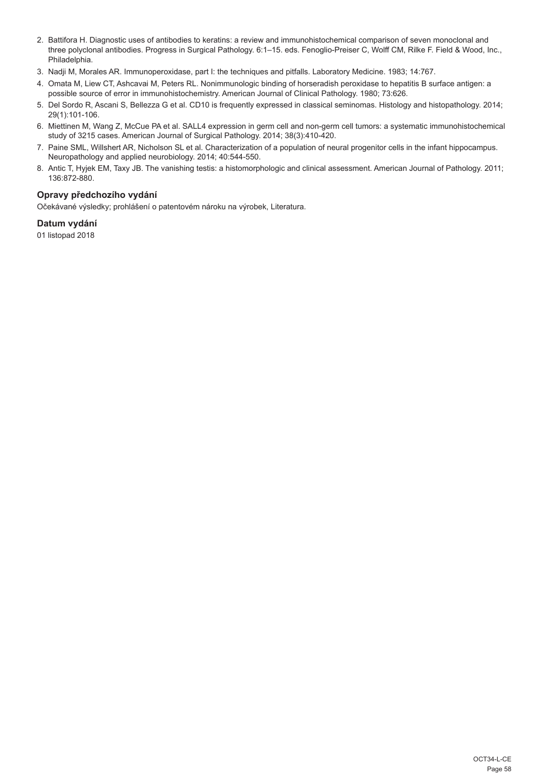- 2. Battifora H. Diagnostic uses of antibodies to keratins: a review and immunohistochemical comparison of seven monoclonal and three polyclonal antibodies. Progress in Surgical Pathology. 6:1–15. eds. Fenoglio-Preiser C, Wolff CM, Rilke F. Field & Wood, Inc., Philadelphia.
- 3. Nadji M, Morales AR. Immunoperoxidase, part I: the techniques and pitfalls. Laboratory Medicine. 1983; 14:767.
- 4. Omata M, Liew CT, Ashcavai M, Peters RL. Nonimmunologic binding of horseradish peroxidase to hepatitis B surface antigen: a possible source of error in immunohistochemistry. American Journal of Clinical Pathology. 1980; 73:626.
- 5. Del Sordo R, Ascani S, Bellezza G et al. CD10 is frequently expressed in classical seminomas. Histology and histopathology. 2014; 29(1):101-106.
- 6. Miettinen M, Wang Z, McCue PA et al. SALL4 expression in germ cell and non-germ cell tumors: a systematic immunohistochemical study of 3215 cases. American Journal of Surgical Pathology. 2014; 38(3):410-420.
- 7. Paine SML, Willshert AR, Nicholson SL et al. Characterization of a population of neural progenitor cells in the infant hippocampus. Neuropathology and applied neurobiology. 2014; 40:544-550.
- 8. Antic T, Hyjek EM, Taxy JB. The vanishing testis: a histomorphologic and clinical assessment. American Journal of Pathology. 2011; 136:872-880.

## **Opravy předchozího vydání**

Očekávané výsledky; prohlášení o patentovém nároku na výrobek, Literatura.

## **Datum vydání**

01 listopad 2018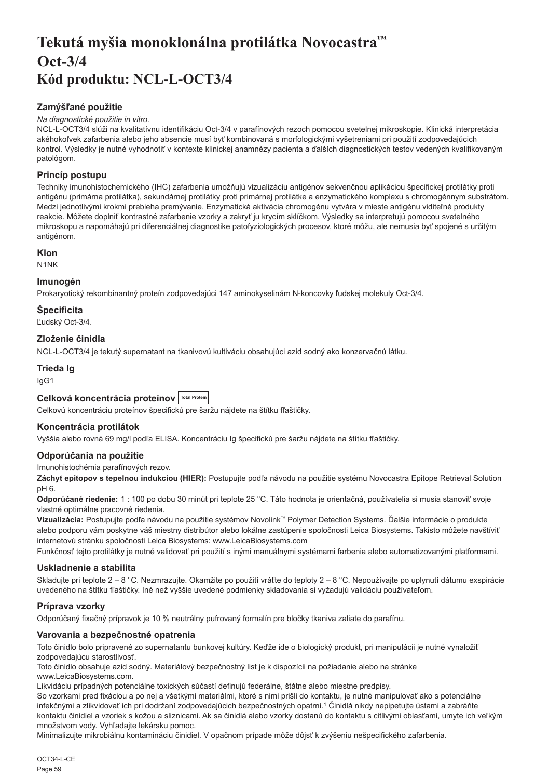# <span id="page-59-0"></span>**Tekutá myšia monoklonálna protilátka Novocastra™ Oct-3/4 Kód produktu: NCL-L-OCT3/4**

## **Zamýšľané použitie**

#### *Na diagnostické použitie in vitro.*

NCL-L-OCT3/4 slúži na kvalitatívnu identifikáciu Oct-3/4 v parafínových rezoch pomocou svetelnej mikroskopie. Klinická interpretácia akéhokoľvek zafarbenia alebo jeho absencie musí byť kombinovaná s morfologickými vyšetreniami pri použití zodpovedajúcich kontrol. Výsledky je nutné vyhodnotiť v kontexte klinickej anamnézy pacienta a ďalších diagnostických testov vedených kvalifikovaným patológom.

## **Princíp postupu**

Techniky imunohistochemického (IHC) zafarbenia umožňujú vizualizáciu antigénov sekvenčnou aplikáciou špecifickej protilátky proti antigénu (primárna protilátka), sekundárnej protilátky proti primárnej protilátke a enzymatického komplexu s chromogénnym substrátom. Medzi jednotlivými krokmi prebieha premývanie. Enzymatická aktivácia chromogénu vytvára v mieste antigénu viditeľné produkty reakcie. Môžete doplniť kontrastné zafarbenie vzorky a zakryť ju krycím sklíčkom. Výsledky sa interpretujú pomocou svetelného mikroskopu a napomáhajú pri diferenciálnej diagnostike patofyziologických procesov, ktoré môžu, ale nemusia byť spojené s určitým antigénom.

#### **Klon**

N1NK

## **Imunogén**

Prokaryotický rekombinantný proteín zodpovedajúci 147 aminokyselinám N-koncovky ľudskej molekuly Oct-3/4.

## **Špecificita**

Ľudský Oct-3/4.

## **Zloženie činidla**

NCL-L-OCT3/4 je tekutý supernatant na tkanivovú kultiváciu obsahujúci azid sodný ako konzervačnú látku.

#### **Trieda Ig**

IgG1

## **Celková koncentrácia proteínov Total Protein**

Celkovú koncentráciu proteínov špecifickú pre šaržu nájdete na štítku fľaštičky.

## **Koncentrácia protilátok**

Vyššia alebo rovná 69 mg/l podľa ELISA. Koncentráciu Ig špecifickú pre šaržu nájdete na štítku fľaštičky.

#### **Odporúčania na použitie**

#### Imunohistochémia parafínových rezov.

**Záchyt epitopov s tepelnou indukciou (HIER):** Postupujte podľa návodu na použitie systému Novocastra Epitope Retrieval Solution pH 6.

**Odporúčané riedenie:** 1 : 100 po dobu 30 minút pri teplote 25 °C. Táto hodnota je orientačná, používatelia si musia stanoviť svoje vlastné optimálne pracovné riedenia.

**Vizualizácia:** Postupujte podľa návodu na použitie systémov Novolink™ Polymer Detection Systems. Ďalšie informácie o produkte alebo podporu vám poskytne váš miestny distribútor alebo lokálne zastúpenie spoločnosti Leica Biosystems. Takisto môžete navštíviť internetovú stránku spoločnosti Leica Biosystems: www.LeicaBiosystems.com

Funkčnosť tejto protilátky je nutné validovať pri použití s inými manuálnymi systémami farbenia alebo automatizovanými platformami.

#### **Uskladnenie a stabilita**

Skladujte pri teplote 2 – 8 °C. Nezmrazujte. Okamžite po použití vráťte do teploty 2 – 8 °C. Nepoužívajte po uplynutí dátumu exspirácie uvedeného na štítku fľaštičky. Iné než vyššie uvedené podmienky skladovania si vyžadujú validáciu používateľom.

#### **Príprava vzorky**

Odporúčaný fixačný prípravok je 10 % neutrálny pufrovaný formalín pre bločky tkaniva zaliate do parafínu.

#### **Varovania a bezpečnostné opatrenia**

Toto činidlo bolo pripravené zo supernatantu bunkovej kultúry. Keďže ide o biologický produkt, pri manipulácii je nutné vynaložiť zodpovedajúcu starostlivosť.

Toto činidlo obsahuje azid sodný. Materiálový bezpečnostný list je k dispozícii na požiadanie alebo na stránke www.LeicaBiosystems.com.

Likvidáciu prípadných potenciálne toxických súčastí definujú federálne, štátne alebo miestne predpisy.

So vzorkami pred fixáciou a po nej a všetkými materiálmi, ktoré s nimi prišli do kontaktu, je nutné manipulovať ako s potenciálne infekčnými a zlikvidovať ich pri dodržaní zodpovedajúcich bezpečnostných opatrní.<sup>1</sup> Činidlá nikdy nepipetujte ústami a zabráňte kontaktu činidiel a vzoriek s kožou a sliznicami. Ak sa činidlá alebo vzorky dostanú do kontaktu s citlivými oblasťami, umyte ich veľkým množstvom vody. Vyhľadajte lekársku pomoc.

Minimalizujte mikrobiálnu kontamináciu činidiel. V opačnom prípade môže dôjsť k zvýšeniu nešpecifického zafarbenia.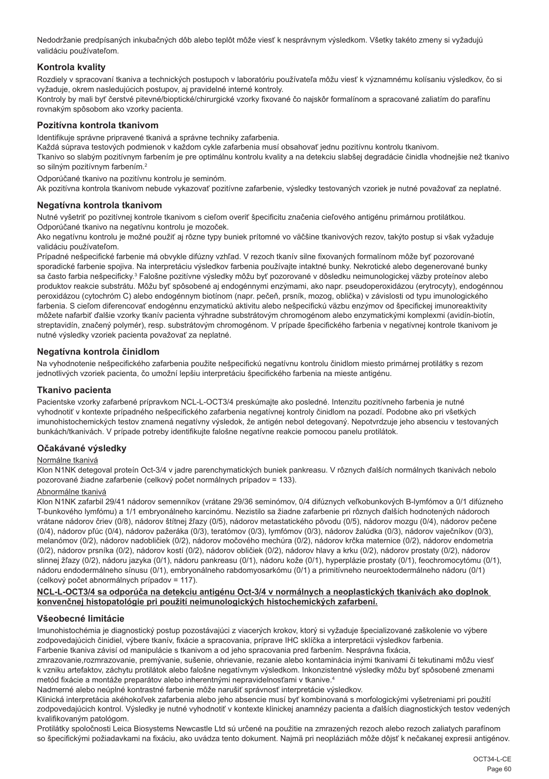Nedodržanie predpísaných inkubačných dôb alebo teplôt môže viesť k nesprávnym výsledkom. Všetky takéto zmeny si vyžadujú validáciu používateľom.

## **Kontrola kvality**

Rozdiely v spracovaní tkaniva a technických postupoch v laboratóriu používateľa môžu viesť k významnému kolísaniu výsledkov, čo si vyžaduje, okrem nasledujúcich postupov, aj pravidelné interné kontroly.

Kontroly by mali byť čerstvé pitevné/bioptické/chirurgické vzorky fixované čo najskôr formalínom a spracované zaliatím do parafínu rovnakým spôsobom ako vzorky pacienta.

## **Pozitívna kontrola tkanivom**

Identifikuje správne pripravené tkanivá a správne techniky zafarbenia.

Každá súprava testových podmienok v každom cykle zafarbenia musí obsahovať jednu pozitívnu kontrolu tkanivom.

Tkanivo so slabým pozitívnym farbením je pre optimálnu kontrolu kvality a na detekciu slabšej degradácie činidla vhodnejšie než tkanivo so silným pozitívnym farbením.<sup>2</sup>

Odporúčané tkanivo na pozitívnu kontrolu je seminóm.

Ak pozitívna kontrola tkanivom nebude vykazovať pozitívne zafarbenie, výsledky testovaných vzoriek je nutné považovať za neplatné.

#### **Negatívna kontrola tkanivom**

Nutné vyšetriť po pozitívnej kontrole tkanivom s cieľom overiť špecificitu značenia cieľového antigénu primárnou protilátkou. Odporúčané tkanivo na negatívnu kontrolu je mozoček.

Ako negatívnu kontrolu je možné použiť aj rôzne typy buniek prítomné vo väčšine tkanivových rezov, takýto postup si však vyžaduje validáciu používateľom.

Prípadné nešpecifické farbenie má obvykle difúzny vzhľad. V rezoch tkanív silne fixovaných formalínom môže byť pozorované sporadické farbenie spojiva. Na interpretáciu výsledkov farbenia používajte intaktné bunky. Nekrotické alebo degenerované bunky sa často farbia nešpecificky.<sup>3</sup> Falošne pozitívne výsledky môžu byť pozorované v dôsledku neimunologickej väzby proteínov alebo produktov reakcie substrátu. Môžu byť spôsobené aj endogénnymi enzýmami, ako napr. pseudoperoxidázou (erytrocyty), endogénnou peroxidázou (cytochróm C) alebo endogénnym biotínom (napr. pečeň, prsník, mozog, oblička) v závislosti od typu imunologického farbenia. S cieľom diferencovať endogénnu enzymatickú aktivitu alebo nešpecifickú väzbu enzýmov od špecifickej imunoreaktivity môžete nafarbiť ďalšie vzorky tkanív pacienta výhradne substrátovým chromogénom alebo enzymatickými komplexmi (avidín-biotín, streptavidín, značený polymér), resp. substrátovým chromogénom. V prípade špecifického farbenia v negatívnej kontrole tkanivom je nutné výsledky vzoriek pacienta považovať za neplatné.

#### **Negatívna kontrola činidlom**

Na vyhodnotenie nešpecifického zafarbenia použite nešpecifickú negatívnu kontrolu činidlom miesto primárnej protilátky s rezom jednotlivých vzoriek pacienta, čo umožní lepšiu interpretáciu špecifického farbenia na mieste antigénu.

#### **Tkanivo pacienta**

Pacientske vzorky zafarbené prípravkom NCL-L-OCT3/4 preskúmajte ako posledné. Intenzitu pozitívneho farbenia je nutné vyhodnotiť v kontexte prípadného nešpecifického zafarbenia negatívnej kontroly činidlom na pozadí. Podobne ako pri všetkých imunohistochemických testov znamená negatívny výsledok, že antigén nebol detegovaný. Nepotvrdzuje jeho absenciu v testovaných bunkách/tkanivách. V prípade potreby identifikujte falošne negatívne reakcie pomocou panelu protilátok.

#### **Očakávané výsledky**

#### Normálne tkanivá

Klon N1NK detegoval proteín Oct-3/4 v jadre parenchymatických buniek pankreasu. V rôznych ďalších normálnych tkanivách nebolo pozorované žiadne zafarbenie (celkový počet normálnych prípadov = 133).

#### Abnormálne tkanivá

Klon N1NK zafarbil 29/41 nádorov semenníkov (vrátane 29/36 seminómov, 0/4 difúznych veľkobunkových B-lymfómov a 0/1 difúzneho T-bunkového lymfómu) a 1/1 embryonálneho karcinómu. Nezistilo sa žiadne zafarbenie pri rôznych ďalších hodnotených nádoroch vrátane nádorov čriev (0/8), nádorov štítnej žľazy (0/5), nádorov metastatického pôvodu (0/5), nádorov mozgu (0/4), nádorov pečene (0/4), nádorov pľúc (0/4), nádorov pažeráka (0/3), teratómov (0/3), lymfómov (0/3), nádorov žalúdka (0/3), nádorov vaječníkov (0/3), melanómov (0/2), nádorov nadobličiek (0/2), nádorov močového mechúra (0/2), nádorov krčka maternice (0/2), nádorov endometria (0/2), nádorov prsníka (0/2), nádorov kostí (0/2), nádorov obličiek (0/2), nádorov hlavy a krku (0/2), nádorov prostaty (0/2), nádorov slinnej žľazy (0/2), nádoru jazyka (0/1), nádoru pankreasu (0/1), nádoru kože (0/1), hyperplázie prostaty (0/1), feochromocytómu (0/1), nádoru endodermálneho sínusu (0/1), embryonálneho rabdomyosarkómu (0/1) a primitívneho neuroektodermálneho nádoru (0/1) (celkový počet abnormálnych prípadov = 117).

#### **NCL-L-OCT3/4 sa odporúča na detekciu antigénu Oct-3/4 v normálnych a neoplastických tkanivách ako doplnok konvenčnej histopatológie pri použití neimunologických histochemických zafarbení.**

#### **Všeobecné limitácie**

Imunohistochémia je diagnostický postup pozostávajúci z viacerých krokov, ktorý si vyžaduje špecializované zaškolenie vo výbere zodpovedajúcich činidiel, výbere tkanív, fixácie a spracovania, príprave IHC sklíčka a interpretácii výsledkov farbenia.

Farbenie tkaniva závisí od manipulácie s tkanivom a od jeho spracovania pred farbením. Nesprávna fixácia,

zmrazovanie,rozmrazovanie, premývanie, sušenie, ohrievanie, rezanie alebo kontaminácia inými tkanivami či tekutinami môžu viesť k vzniku artefaktov, záchytu protilátok alebo falošne negatívnym výsledkom. Inkonzistentné výsledky môžu byť spôsobené zmenami metód fixácie a montáže preparátov alebo inherentnými nepravidelnosťami v tkanive.<sup>4</sup>

Nadmerné alebo neúplné kontrastné farbenie môže narušiť správnosť interpretácie výsledkov.

Klinická interpretácia akéhokoľvek zafarbenia alebo jeho absencie musí byť kombinovaná s morfologickými vyšetreniami pri použití zodpovedajúcich kontrol. Výsledky je nutné vyhodnotiť v kontexte klinickej anamnézy pacienta a ďalších diagnostických testov vedených kvalifikovaným patológom.

Protilátky spoločnosti Leica Biosystems Newcastle Ltd sú určené na použitie na zmrazených rezoch alebo rezoch zaliatych parafínom so špecifickými požiadavkami na fixáciu, ako uvádza tento dokument. Najmä pri neopláziách môže dôjsť k nečakanej expresii antigénov.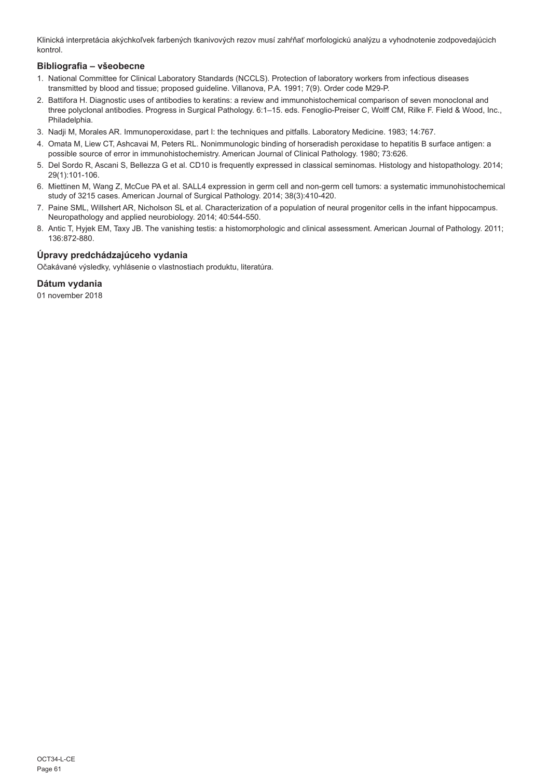Klinická interpretácia akýchkoľvek farbených tkanivových rezov musí zahŕňať morfologickú analýzu a vyhodnotenie zodpovedajúcich kontrol.

#### **Bibliografia – všeobecne**

- 1. National Committee for Clinical Laboratory Standards (NCCLS). Protection of laboratory workers from infectious diseases transmitted by blood and tissue; proposed guideline. Villanova, P.A. 1991; 7(9). Order code M29-P.
- 2. Battifora H. Diagnostic uses of antibodies to keratins: a review and immunohistochemical comparison of seven monoclonal and three polyclonal antibodies. Progress in Surgical Pathology. 6:1–15. eds. Fenoglio-Preiser C, Wolff CM, Rilke F. Field & Wood, Inc., Philadelphia.
- 3. Nadji M, Morales AR. Immunoperoxidase, part I: the techniques and pitfalls. Laboratory Medicine. 1983; 14:767.
- 4. Omata M, Liew CT, Ashcavai M, Peters RL. Nonimmunologic binding of horseradish peroxidase to hepatitis B surface antigen: a possible source of error in immunohistochemistry. American Journal of Clinical Pathology. 1980; 73:626.
- 5. Del Sordo R, Ascani S, Bellezza G et al. CD10 is frequently expressed in classical seminomas. Histology and histopathology. 2014; 29(1):101-106.
- 6. Miettinen M, Wang Z, McCue PA et al. SALL4 expression in germ cell and non-germ cell tumors: a systematic immunohistochemical study of 3215 cases. American Journal of Surgical Pathology. 2014; 38(3):410-420.
- 7. Paine SML, Willshert AR, Nicholson SL et al. Characterization of a population of neural progenitor cells in the infant hippocampus. Neuropathology and applied neurobiology. 2014; 40:544-550.
- 8. Antic T, Hyjek EM, Taxy JB. The vanishing testis: a histomorphologic and clinical assessment. American Journal of Pathology. 2011; 136:872-880.

#### **Úpravy predchádzajúceho vydania**

Očakávané výsledky, vyhlásenie o vlastnostiach produktu, literatúra.

#### **Dátum vydania**

01 november 2018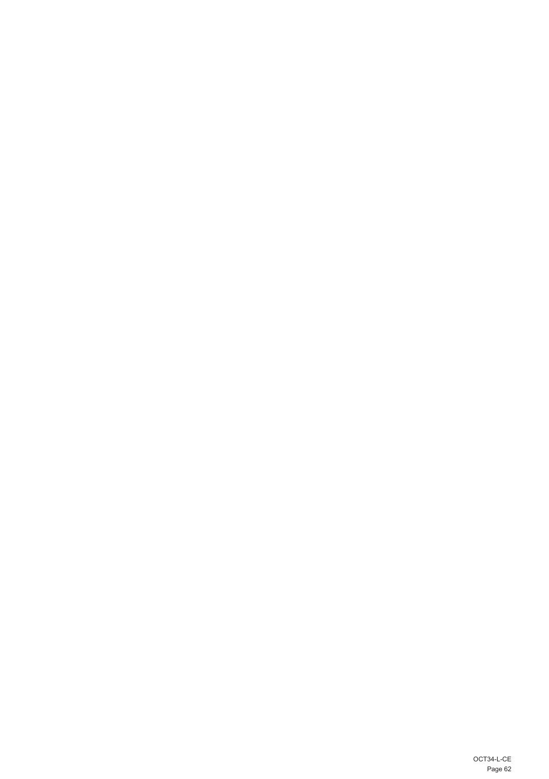OCT34-L-CE Page 62